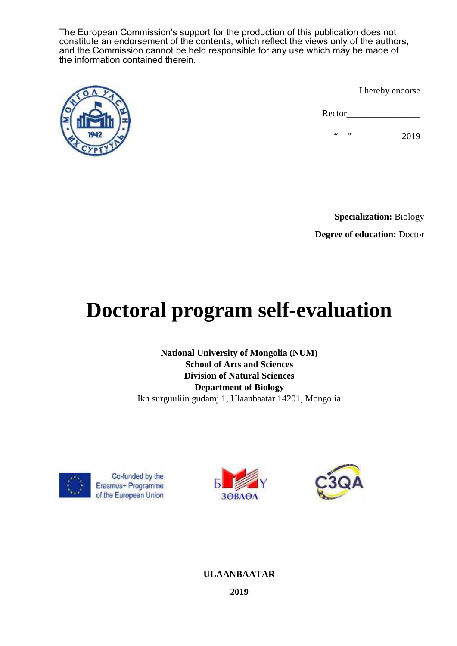The European Commission's support for the production of this publication does not constitute an endorsement of the contents, which reflect the views only of the authors, and the Commission cannot be held responsible for any use which may be made of the information contained therein.



I hereby endorse

Rector

 $\ldots$   $\ldots$   $2019$ 

**Specialization:** Biology **Degree of education:** Doctor

# **Doctoral program self-evaluation**

**National University of Mongolia (NUM) School of Arts and Sciences Division of Natural Sciences Department of Biology** Ikh surguuliin gudamj 1, Ulaanbaatar 14201, Mongolia







# **ULAANBAATAR**

**2019**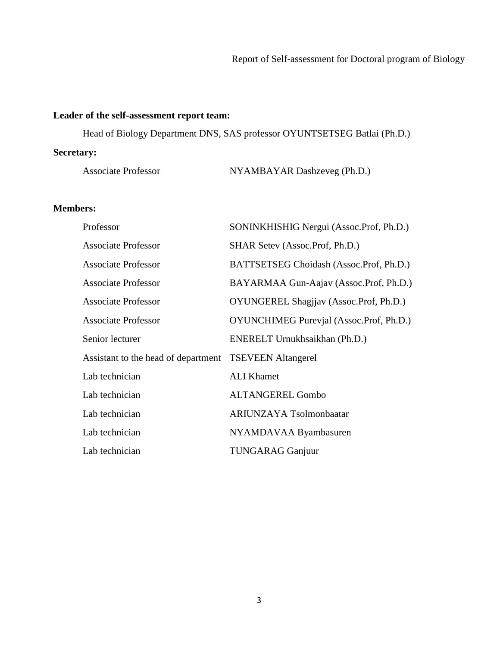# **Leader of the self-assessment report team:**

Head of Biology Department DNS, SAS professor OYUNTSETSEG Batlai (Ph.D.)

# **Secretary:**

| <b>Associate Professor</b> | NYAMBAYAR Dashzeveg (Ph.D.) |
|----------------------------|-----------------------------|
|----------------------------|-----------------------------|

# **Members:**

| Professor                                              | SONINKHISHIG Nergui (Assoc.Prof, Ph.D.)        |
|--------------------------------------------------------|------------------------------------------------|
| <b>Associate Professor</b>                             | SHAR Setev (Assoc.Prof, Ph.D.)                 |
| <b>Associate Professor</b>                             | BATTSETSEG Choidash (Assoc.Prof, Ph.D.)        |
| <b>Associate Professor</b>                             | BAYARMAA Gun-Aajav (Assoc.Prof, Ph.D.)         |
| <b>Associate Professor</b>                             | OYUNGEREL Shagjiav (Assoc.Prof, Ph.D.)         |
| <b>Associate Professor</b>                             | <b>OYUNCHIMEG Purevjal (Assoc.Prof, Ph.D.)</b> |
| Senior lecturer                                        | ENERELT Urnukhsaikhan (Ph.D.)                  |
| Assistant to the head of department TSEVEEN Altangerel |                                                |
| Lab technician                                         | <b>ALI</b> Khamet                              |
| Lab technician                                         | <b>ALTANGEREL Gombo</b>                        |
| Lab technician                                         | <b>ARIUNZAYA Tsolmonbaatar</b>                 |
| Lab technician                                         | NYAMDAVAA Byambasuren                          |
| Lab technician                                         | <b>TUNGARAG Ganjuur</b>                        |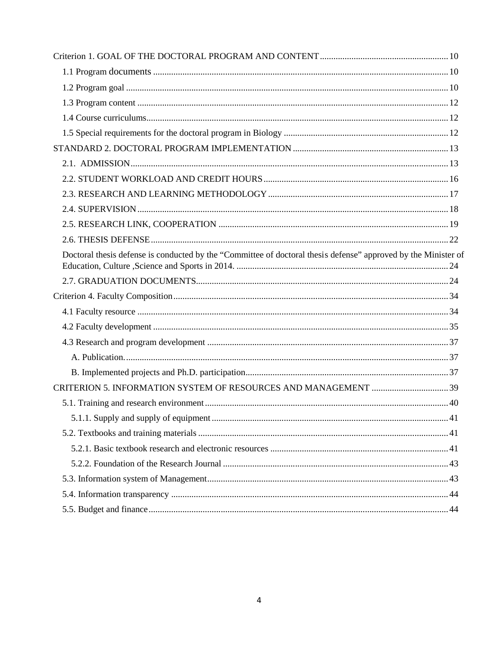| Doctoral thesis defense is conducted by the "Committee of doctoral thesis defense" approved by the Minister of |  |
|----------------------------------------------------------------------------------------------------------------|--|
|                                                                                                                |  |
|                                                                                                                |  |
|                                                                                                                |  |
|                                                                                                                |  |
|                                                                                                                |  |
|                                                                                                                |  |
|                                                                                                                |  |
|                                                                                                                |  |
|                                                                                                                |  |
|                                                                                                                |  |
|                                                                                                                |  |
|                                                                                                                |  |
|                                                                                                                |  |
|                                                                                                                |  |
|                                                                                                                |  |
|                                                                                                                |  |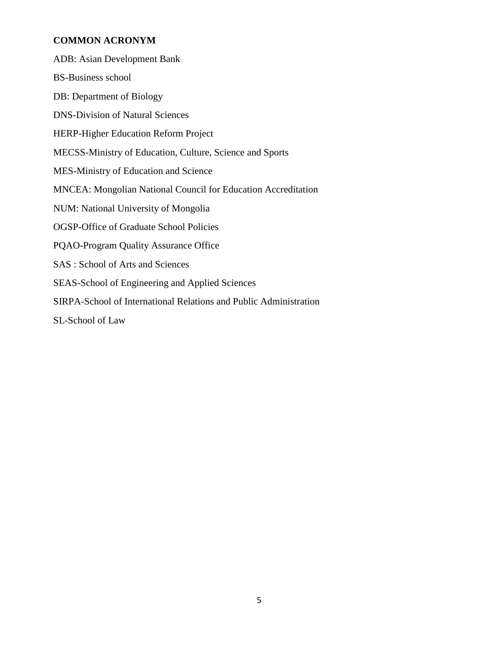# **COMMON ACRONYM**

| <b>ADB:</b> Asian Development Bank                                   |
|----------------------------------------------------------------------|
| <b>BS-Business school</b>                                            |
| DB: Department of Biology                                            |
| <b>DNS-Division of Natural Sciences</b>                              |
| <b>HERP-Higher Education Reform Project</b>                          |
| MECSS-Ministry of Education, Culture, Science and Sports             |
| MES-Ministry of Education and Science                                |
| <b>MNCEA: Mongolian National Council for Education Accreditation</b> |
| NUM: National University of Mongolia                                 |
| <b>OGSP-Office of Graduate School Policies</b>                       |
| <b>PQAO-Program Quality Assurance Office</b>                         |
| SAS : School of Arts and Sciences                                    |
| SEAS-School of Engineering and Applied Sciences                      |
| SIRPA-School of International Relations and Public Administration    |
| SL-School of Law                                                     |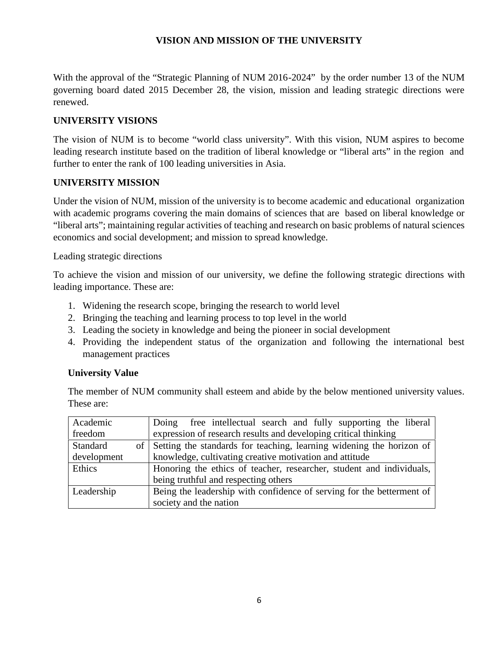## **VISION AND MISSION OF THE UNIVERSITY**

With the approval of the "Strategic Planning of NUM 2016-2024" by the order number 13 of the NUM governing board dated 2015 December 28, the vision, mission and leading strategic directions were renewed.

# **UNIVERSITY VISIONS**

The vision of NUM is to become "world class university". With this vision, NUM aspires to become leading research institute based on the tradition of liberal knowledge or "liberal arts" in the region and further to enter the rank of 100 leading universities in Asia.

## **UNIVERSITY MISSION**

Under the vision of NUM, mission of the university is to become academic and educational organization with academic programs covering the main domains of sciences that are based on liberal knowledge or "liberal arts"; maintaining regular activities of teaching and research on basic problems of natural sciences economics and social development; and mission to spread knowledge.

## Leading strategic directions

To achieve the vision and mission of our university, we define the following strategic directions with leading importance. These are:

- 1. Widening the research scope, bringing the research to world level
- 2. Bringing the teaching and learning process to top level in the world
- 3. Leading the society in knowledge and being the pioneer in social development
- 4. Providing the independent status of the organization and following the international best management practices

## **University Value**

The member of NUM community shall esteem and abide by the below mentioned university values. These are:

| Academic                | Doing free intellectual search and fully supporting the liberal       |  |  |  |  |
|-------------------------|-----------------------------------------------------------------------|--|--|--|--|
| freedom                 | expression of research results and developing critical thinking       |  |  |  |  |
| <b>Standard</b><br>of 1 | Setting the standards for teaching, learning widening the horizon of  |  |  |  |  |
| development             | knowledge, cultivating creative motivation and attitude               |  |  |  |  |
| Ethics                  | Honoring the ethics of teacher, researcher, student and individuals,  |  |  |  |  |
|                         | being truthful and respecting others                                  |  |  |  |  |
| Leadership              | Being the leadership with confidence of serving for the betterment of |  |  |  |  |
|                         | society and the nation                                                |  |  |  |  |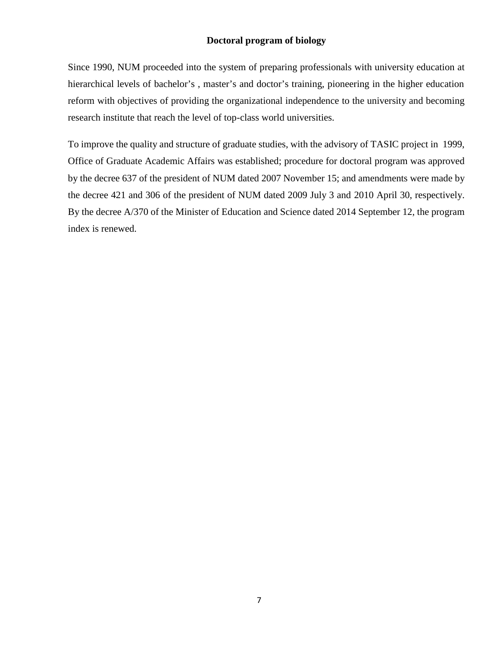## **Doctoral program of biology**

Since 1990, NUM proceeded into the system of preparing professionals with university education at hierarchical levels of bachelor's, master's and doctor's training, pioneering in the higher education reform with objectives of providing the organizational independence to the university and becoming research institute that reach the level of top-class world universities.

To improve the quality and structure of graduate studies, with the advisory of TASIC project in 1999, Office of Graduate Academic Affairs was established; procedure for doctoral program was approved by the decree 637 of the president of NUM dated 2007 November 15; and amendments were made by the decree 421 and 306 of the president of NUM dated 2009 July 3 and 2010 April 30, respectively. By the decree A/370 of the Minister of Education and Science dated 2014 September 12, the program index is renewed.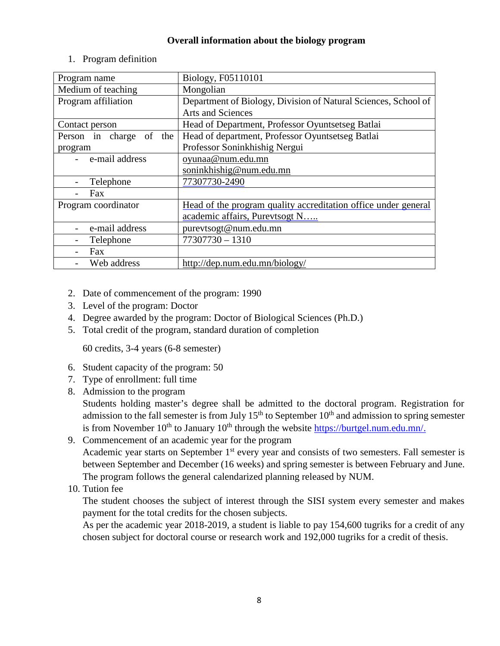## **Overall information about the biology program**

| Program name            | Biology, F05110101                                             |  |  |
|-------------------------|----------------------------------------------------------------|--|--|
| Medium of teaching      | Mongolian                                                      |  |  |
| Program affiliation     | Department of Biology, Division of Natural Sciences, School of |  |  |
|                         | <b>Arts and Sciences</b>                                       |  |  |
| Contact person          | Head of Department, Professor Oyuntsetseg Batlai               |  |  |
| Person in charge of the | Head of department, Professor Oyuntsetseg Batlai               |  |  |
| program                 | Professor Soninkhishig Nergui                                  |  |  |
| e-mail address          | oyunaa@num.edu.mn                                              |  |  |
|                         | soninkhishig@num.edu.mn                                        |  |  |
| Telephone               | 77307730-2490                                                  |  |  |
| Fax                     |                                                                |  |  |
| Program coordinator     | Head of the program quality accreditation office under general |  |  |
|                         | academic affairs, Purevtsogt N                                 |  |  |
| e-mail address          | purevtsogt@num.edu.mn                                          |  |  |
| Telephone               | $77307730 - 1310$                                              |  |  |
| Fax                     |                                                                |  |  |
| Web address             | http://dep.num.edu.mn/biology/                                 |  |  |

1. Program definition

- 2. Date of commencement of the program: 1990
- 3. Level of the program: Doctor
- 4. Degree awarded by the program: Doctor of Biological Sciences (Ph.D.)
- 5. Total credit of the program, standard duration of completion

60 credits, 3-4 years (6-8 semester)

- 6. Student capacity of the program: 50
- 7. Type of enrollment: full time
- 8. Admission to the program

Students holding master's degree shall be admitted to the doctoral program. Registration for admission to the fall semester is from July  $15<sup>th</sup>$  to September  $10<sup>th</sup>$  and admission to spring semester is from November  $10^{th}$  to January  $10^{th}$  through the website https://burtgel.num.edu.mn/.

- 9. Commencement of an academic year for the program Academic year starts on September 1<sup>st</sup> every year and consists of two semesters. Fall semester is between September and December (16 weeks) and spring semester is between February and June. The program follows the general calendarized planning released by NUM.
- 10. Tution fee

The student chooses the subject of interest through the SISI system every semester and makes payment for the total credits for the chosen subjects.

As per the academic year 2018-2019, a student is liable to pay 154,600 tugriks for a credit of any chosen subject for doctoral course or research work and 192,000 tugriks for a credit of thesis.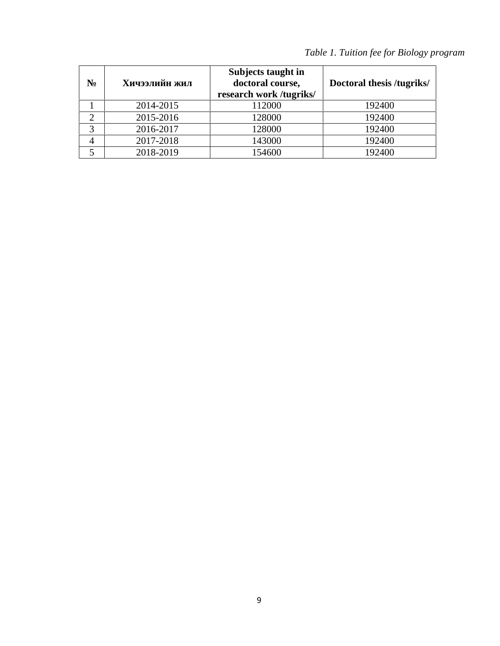|                |           | Subjects taught in<br>doctoral course,<br>research work /tugriks/ | Doctoral thesis /tugriks/ |
|----------------|-----------|-------------------------------------------------------------------|---------------------------|
|                | 2014-2015 | 112000                                                            | 192400                    |
| ↑              | 2015-2016 | 128000                                                            | 192400                    |
| 3              | 2016-2017 | 128000                                                            | 192400                    |
| $\overline{4}$ | 2017-2018 | 143000                                                            | 192400                    |
|                | 2018-2019 | 154600                                                            | 192400                    |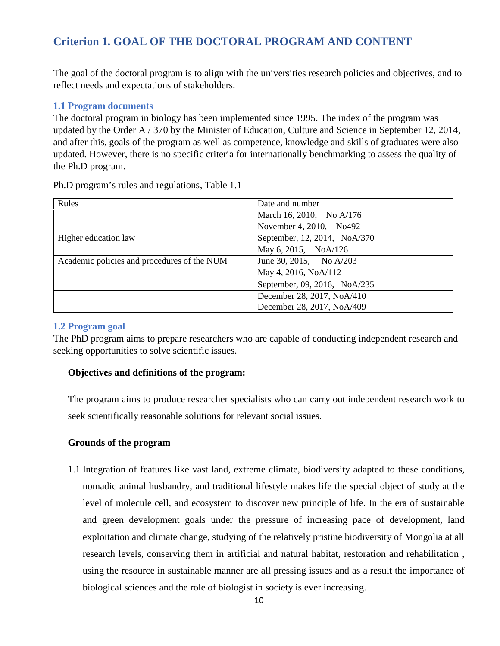# **Criterion 1. GOAL OF THE DOCTORAL PROGRAM AND CONTENT**

The goal of the doctoral program is to align with the universities research policies and objectives, and to reflect needs and expectations of stakeholders.

#### **1.1 Program documents**

The doctoral program in biology has been implemented since 1995. The index of the program was updated by the Order A / 370 by the Minister of Education, Culture and Science in September 12, 2014, and after this, goals of the program as well as competence, knowledge and skills of graduates were also updated. However, there is no specific criteria for internationally benchmarking to assess the quality of the Ph.D program.

| Rules                                       | Date and number              |
|---------------------------------------------|------------------------------|
|                                             | March 16, 2010, No A/176     |
|                                             | November 4, 2010, No492      |
| Higher education law                        | September, 12, 2014, NoA/370 |
|                                             | May 6, 2015, NoA/126         |
| Academic policies and procedures of the NUM | June 30, 2015, No A/203      |
|                                             | May 4, 2016, NoA/112         |
|                                             | September, 09, 2016, NoA/235 |
|                                             | December 28, 2017, NoA/410   |
|                                             | December 28, 2017, NoA/409   |

Ph.D program's rules and regulations, Table 1.1

#### **1.2 Program goal**

The PhD program aims to prepare researchers who are capable of conducting independent research and seeking opportunities to solve scientific issues.

#### **Objectives and definitions of the program:**

The program aims to produce researcher specialists who can carry out independent research work to seek scientifically reasonable solutions for relevant social issues.

#### **Grounds of the program**

1.1 Integration of features like vast land, extreme climate, biodiversity adapted to these conditions, nomadic animal husbandry, and traditional lifestyle makes life the special object of study at the level of molecule cell, and ecosystem to discover new principle of life. In the era of sustainable and green development goals under the pressure of increasing pace of development, land exploitation and climate change, studying of the relatively pristine biodiversity of Mongolia at all research levels, conserving them in artificial and natural habitat, restoration and rehabilitation , using the resource in sustainable manner are all pressing issues and as a result the importance of biological sciences and the role of biologist in society is ever increasing.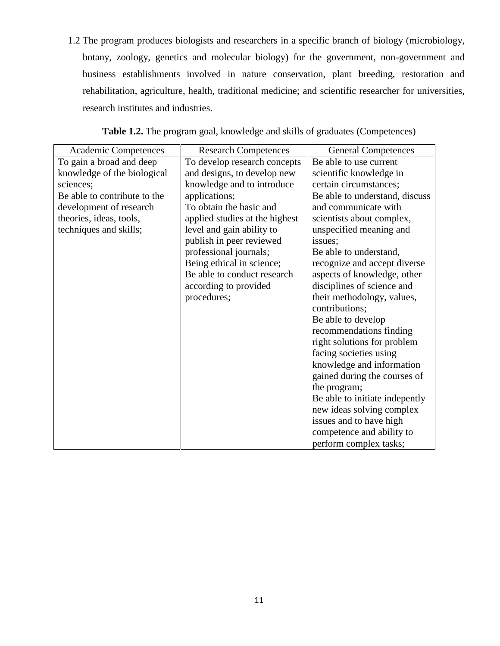1.2 The program produces biologists and researchers in a specific branch of biology (microbiology, botany, zoology, genetics and molecular biology) for the government, non-government and business establishments involved in nature conservation, plant breeding, restoration and rehabilitation, agriculture, health, traditional medicine; and scientific researcher for universities, research institutes and industries.

| Academic Competences         | <b>Research Competences</b>                          | <b>General Competences</b>     |
|------------------------------|------------------------------------------------------|--------------------------------|
| To gain a broad and deep     | To develop research concepts                         | Be able to use current         |
| knowledge of the biological  | and designs, to develop new                          | scientific knowledge in        |
| sciences;                    | knowledge and to introduce                           | certain circumstances;         |
| Be able to contribute to the | applications;                                        | Be able to understand, discuss |
| development of research      | To obtain the basic and                              | and communicate with           |
| theories, ideas, tools,      | applied studies at the highest                       | scientists about complex,      |
| techniques and skills;       | level and gain ability to<br>unspecified meaning and |                                |
|                              | publish in peer reviewed                             | issues;                        |
|                              | professional journals;                               | Be able to understand,         |
|                              | Being ethical in science;                            | recognize and accept diverse   |
|                              | Be able to conduct research                          | aspects of knowledge, other    |
|                              | according to provided                                | disciplines of science and     |
|                              | procedures;                                          | their methodology, values,     |
|                              |                                                      | contributions;                 |
|                              |                                                      | Be able to develop             |
|                              |                                                      | recommendations finding        |
|                              |                                                      | right solutions for problem    |
|                              |                                                      | facing societies using         |
|                              |                                                      | knowledge and information      |
|                              |                                                      | gained during the courses of   |
|                              |                                                      | the program;                   |
|                              |                                                      | Be able to initiate indepently |
|                              |                                                      | new ideas solving complex      |
|                              |                                                      | issues and to have high        |
|                              |                                                      | competence and ability to      |
|                              |                                                      | perform complex tasks;         |

Table 1.2. The program goal, knowledge and skills of graduates (Competences)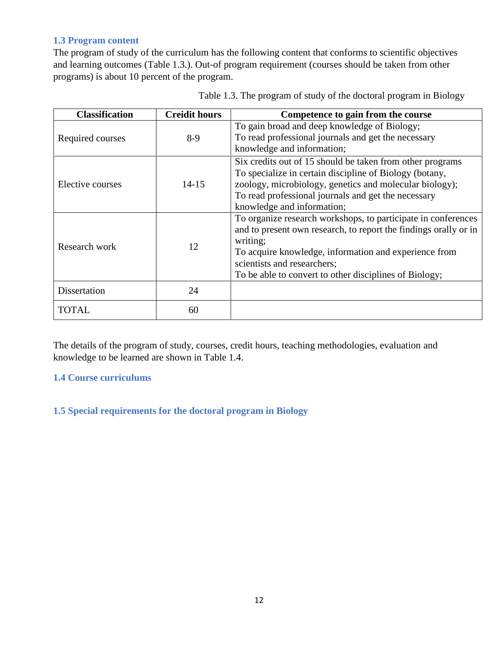## **1.3 Program content**

The program of study of the curriculum has the following content that conforms to scientific objectives and learning outcomes (Table 1.3.). Out-of program requirement (courses should be taken from other programs) is about 10 percent of the program.

| <b>Creidit hours</b><br><b>Classification</b> |           | Competence to gain from the course                                                                                                                                                                                                                                                              |  |
|-----------------------------------------------|-----------|-------------------------------------------------------------------------------------------------------------------------------------------------------------------------------------------------------------------------------------------------------------------------------------------------|--|
| Required courses                              | $8-9$     | To gain broad and deep knowledge of Biology;<br>To read professional journals and get the necessary<br>knowledge and information;                                                                                                                                                               |  |
| Elective courses                              | $14 - 15$ | Six credits out of 15 should be taken from other programs<br>To specialize in certain discipline of Biology (botany,<br>zoology, microbiology, genetics and molecular biology);<br>To read professional journals and get the necessary<br>knowledge and information;                            |  |
| Research work                                 | 12        | To organize research workshops, to participate in conferences<br>and to present own research, to report the findings orally or in<br>writing;<br>To acquire knowledge, information and experience from<br>scientists and researchers;<br>To be able to convert to other disciplines of Biology; |  |
| Dissertation                                  | 24        |                                                                                                                                                                                                                                                                                                 |  |
| <b>TOTAL</b>                                  | 60        |                                                                                                                                                                                                                                                                                                 |  |

Table 1.3. The program of study of the doctoral program in Biology

The details of the program of study, courses, credit hours, teaching methodologies, evaluation and knowledge to be learned are shown in Table 1.4.

## **1.4 Course curriculums**

## **1.5 Special requirements for the doctoral program in Biology**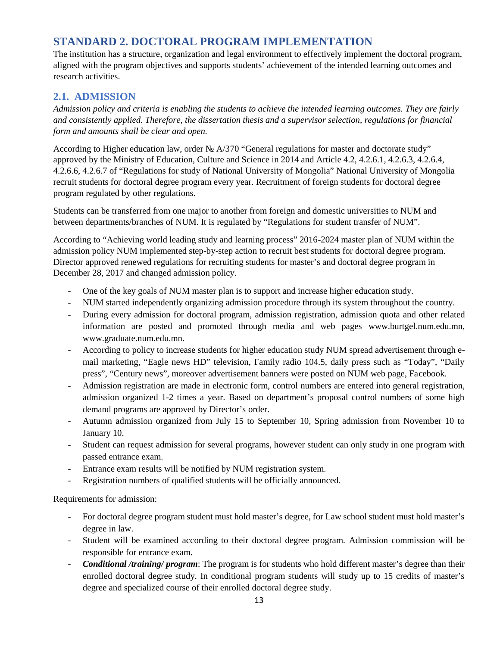# **STANDARD 2. DOCTORAL PROGRAM IMPLEMENTATION**

The institution has a structure, organization and legal environment to effectively implement the doctoral program, aligned with the program objectives and supports students' achievement of the intended learning outcomes and research activities.

## **2.1. ADMISSION**

*Admission policy and criteria is enabling the students to achieve the intended learning outcomes. They are fairly and consistently applied. Therefore, the dissertation thesis and a supervisor selection, regulations for financial form and amounts shall be clear and open.*

According to Higher education law, order A/370 "General regulations for master and doctorate study" approved by the Ministry of Education, Culture and Science in 2014 and Article 4.2, 4.2.6.1, 4.2.6.3, 4.2.6.4, 4.2.6.6, 4.2.6.7 of "Regulations for study of National University of Mongolia" National University of Mongolia recruit students for doctoral degree program every year. Recruitment of foreign students for doctoral degree program regulated by other regulations.

Students can be transferred from one major to another from foreign and domestic universities to NUM and between departments/branches of NUM. It is regulated by "Regulations for student transfer of NUM".

According to "Achieving world leading study and learning process" 2016-2024 master plan of NUM within the admission policy NUM implemented step-by-step action to recruit best students for doctoral degree program. Director approved renewed regulations for recruiting students for master's and doctoral degree program in December 28, 2017 and changed admission policy.

- One of the key goals of NUM master plan is to support and increase higher education study.
- NUM started independently organizing admission procedure through its system throughout the country.
- During every admission for doctoral program, admission registration, admission quota and other related information are posted and promoted through media and web pages www.burtgel.num.edu.mn, www.graduate.num.edu.mn.
- According to policy to increase students for higher education study NUM spread advertisement through e mail marketing, "Eagle news HD" television, Family radio 104.5, daily press such as "Today", "Daily press", "Century news", moreover advertisement banners were posted on NUM web page, Facebook.
- Admission registration are made in electronic form, control numbers are entered into general registration, admission organized 1-2 times a year. Based on department's proposal control numbers of some high demand programs are approved by Director's order.
- Autumn admission organized from July 15 to September 10, Spring admission from November 10 to January 10.
- Student can request admission for several programs, however student can only study in one program with passed entrance exam.
- Entrance exam results will be notified by NUM registration system.
- Registration numbers of qualified students will be officially announced.

Requirements for admission:

- For doctoral degree program student must hold master's degree, for Law school student must hold master's degree in law.
- Student will be examined according to their doctoral degree program. Admission commission will be responsible for entrance exam.
- *Conditional /training/ program*: The program is for students who hold different master's degree than their enrolled doctoral degree study. In conditional program students will study up to 15 credits of master's degree and specialized course of their enrolled doctoral degree study.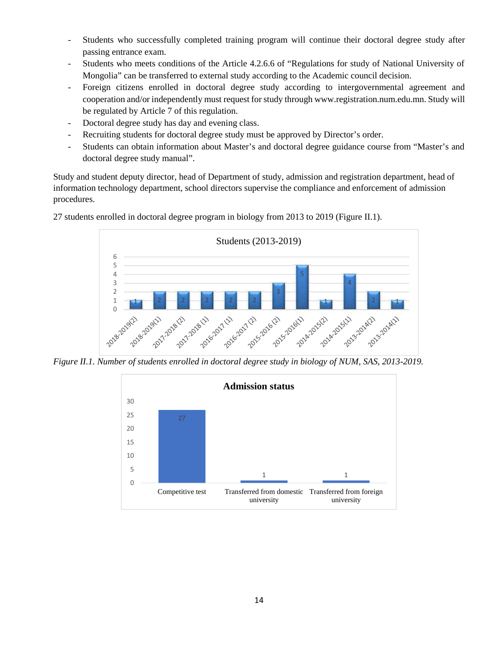- Students who successfully completed training program will continue their doctoral degree study after passing entrance exam.
- Students who meets conditions of the Article 4.2.6.6 of "Regulations for study of National University of Mongolia" can be transferred to external study according to the Academic council decision.
- Foreign citizens enrolled in doctoral degree study according to intergovernmental agreement and cooperation and/or independently must request for study through www.registration.num.edu.mn. Study will be regulated by Article 7 of this regulation.
- Doctoral degree study has day and evening class.
- Recruiting students for doctoral degree study must be approved by Director's order.
- Students can obtain information about Master's and doctoral degree guidance course from "Master's and doctoral degree study manual".

Study and student deputy director, head of Department of study, admission and registration department, head of information technology department, school directors supervise the compliance and enforcement of admission procedures.



27 students enrolled in doctoral degree program in biology from 2013 to 2019 (Figure II.1).

*Figure II.1. Number of students enrolled in doctoral degree study in biology of NUM, SAS, 2013-2019.*

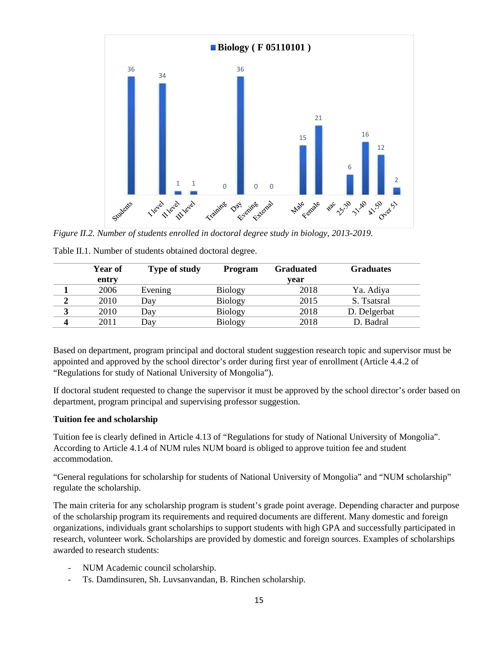

*Figure II.2. Number of students enrolled in doctoral degree study in biology, 2013-2019.*

|   | Year of | <b>Type of study</b> | Program        | <b>Graduated</b> | <b>Graduates</b> |
|---|---------|----------------------|----------------|------------------|------------------|
|   | entry   |                      |                | year             |                  |
|   | 2006    | Evening              | <b>Biology</b> | 2018             | Ya. Adiya        |
|   | 2010    | Day                  | <b>Biology</b> | 2015             | S. Tsatsral      |
| 3 | 2010    | Day                  | <b>Biology</b> | 2018             | D. Delgerbat     |
| 4 | 2011    | Day                  | <b>Biology</b> | 2018             | D. Badral        |
|   |         |                      |                |                  |                  |

Table II.1. Number of students obtained doctoral degree.

Based on department, program principal and doctoral student suggestion research topic and supervisor must be appointed and approved by the school director's order during first year of enrollment (Article 4.4.2 of "Regulations for study of National University of Mongolia").

If doctoral student requested to change the supervisor it must be approved by the school director's order based on department, program principal and supervising professor suggestion.

#### **Tuition fee and scholarship**

Tuition fee is clearly defined in Article 4.13 of "Regulations for study of National University of Mongolia". According to Article 4.1.4 of NUM rules NUM board is obliged to approve tuition fee and student accommodation.

"General regulations for scholarship for students of National University of Mongolia" and "NUM scholarship" regulate the scholarship.

The main criteria for any scholarship program is student's grade point average. Depending character and purpose of the scholarship program its requirements and required documents are different. Many domestic and foreign organizations, individuals grant scholarships to support students with high GPA and successfully participated in research, volunteer work. Scholarships are provided by domestic and foreign sources. Examples of scholarships awarded to research students:

- NUM Academic council scholarship.
- Ts. Damdinsuren, Sh. Luvsanvandan, B. Rinchen scholarship.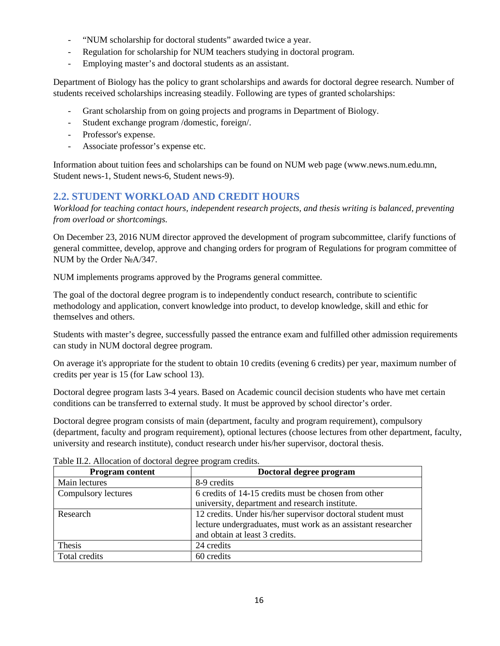- "NUM scholarship for doctoral students" awarded twice a year.
- Regulation for scholarship for NUM teachers studying in doctoral program.
- Employing master's and doctoral students as an assistant.

Department of Biology has the policy to grant scholarships and awards for doctoral degree research. Number of students received scholarships increasing steadily. Following are types of granted scholarships:

- Grant scholarship from on going projects and programs in Department of Biology.
- Student exchange program /domestic, foreign/.
- Professor's expense.
- Associate professor's expense etc.

Information about tuition fees and scholarships can be found on NUM web page (www.news.num.edu.mn, Student news-1, Student news-6, Student news-9).

# **2.2. STUDENT WORKLOAD AND CREDIT HOURS**

*Workload for teaching contact hours, independent research projects, and thesis writing is balanced, preventing from overload or shortcomings.*

On December 23, 2016 NUM director approved the development of program subcommittee, clarify functions of general committee, develop, approve and changing orders for program of Regulations for program committee of NUM by the Order A/347.

NUM implements programs approved by the Programs general committee.

The goal of the doctoral degree program is to independently conduct research, contribute to scientific methodology and application, convert knowledge into product, to develop knowledge, skill and ethic for themselves and others.

Students with master's degree, successfully passed the entrance exam and fulfilled other admission requirements can study in NUM doctoral degree program.

On average it's appropriate for the student to obtain 10 credits (evening 6 credits) per year, maximum number of credits per year is 15 (for Law school 13).

Doctoral degree program lasts 3-4 years. Based on Academic council decision students who have met certain conditions can be transferred to external study. It must be approved by school director's order.

Doctoral degree program consists of main (department, faculty and program requirement), compulsory (department, faculty and program requirement), optional lectures (choose lectures from other department, faculty, university and research institute), conduct research under his/her supervisor, doctoral thesis.

| <b>Program content</b> | Doctoral degree program                                      |  |  |  |
|------------------------|--------------------------------------------------------------|--|--|--|
| Main lectures          | 8-9 credits                                                  |  |  |  |
| Compulsory lectures    | 6 credits of 14-15 credits must be chosen from other         |  |  |  |
|                        | university, department and research institute.               |  |  |  |
| Research               | 12 credits. Under his/her supervisor doctoral student must   |  |  |  |
|                        | lecture undergraduates, must work as an assistant researcher |  |  |  |
|                        | and obtain at least 3 credits.                               |  |  |  |
| Thesis                 | 24 credits                                                   |  |  |  |
| Total credits          | 60 credits                                                   |  |  |  |

Table II.2. Allocation of doctoral degree program credits.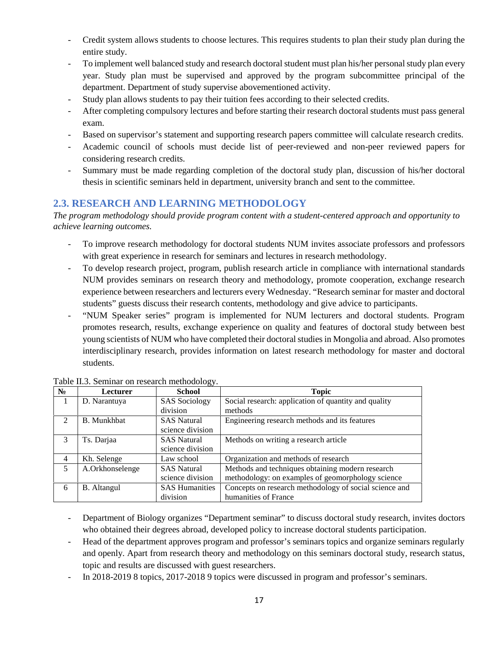- Credit system allows students to choose lectures. This requires students to plan their study plan during the entire study.
- To implement well balanced study and research doctoral student must plan his/her personal study plan every year. Study plan must be supervised and approved by the program subcommittee principal of the department. Department of study supervise abovementioned activity.
- Study plan allows students to pay their tuition fees according to their selected credits.
- After completing compulsory lectures and before starting their research doctoral students must pass general exam.
- Based on supervisor's statement and supporting research papers committee will calculate research credits.
- Academic council of schools must decide list of peer-reviewed and non-peer reviewed papers for considering research credits.
- Summary must be made regarding completion of the doctoral study plan, discussion of his/her doctoral thesis in scientific seminars held in department, university branch and sent to the committee.

# **2.3. RESEARCH AND LEARNING METHODOLOGY**

*The program methodology should provide program content with a student-centered approach and opportunity to achieve learning outcomes.*

- To improve research methodology for doctoral students NUM invites associate professors and professors with great experience in research for seminars and lectures in research methodology.
- To develop research project, program, publish research article in compliance with international standards NUM provides seminars on research theory and methodology, promote cooperation, exchange research experience between researchers and lecturers every Wednesday. "Research seminar for master and doctoral students" guests discuss their research contents, methodology and give advice to participants.
- "NUM Speaker series" program is implemented for NUM lecturers and doctoral students. Program promotes research, results, exchange experience on quality and features of doctoral study between best young scientists of NUM who have completed their doctoral studies in Mongolia and abroad. Also promotes interdisciplinary research, provides information on latest research methodology for master and doctoral students.

|                             | Lecturer           | ັັ<br>School          | <b>Topic</b>                                           |
|-----------------------------|--------------------|-----------------------|--------------------------------------------------------|
|                             | D. Narantuya       | <b>SAS</b> Sociology  | Social research: application of quantity and quality   |
|                             |                    | division              | methods                                                |
| $\mathcal{D}_{\mathcal{L}}$ | <b>B.</b> Munkhbat | <b>SAS Natural</b>    | Engineering research methods and its features          |
|                             |                    | science division      |                                                        |
| 3                           | Ts. Darjaa         | <b>SAS Natural</b>    | Methods on writing a research article                  |
|                             |                    | science division      |                                                        |
| 4                           | Kh. Selenge        | Law school            | Organization and methods of research                   |
| 5                           | A.Orkhonselenge    | <b>SAS Natural</b>    | Methods and techniques obtaining modern research       |
|                             |                    | science division      | methodology: on examples of geomorphology science      |
| 6                           | <b>B.</b> Altangul | <b>SAS Humanities</b> | Concepts on research methodology of social science and |
|                             |                    | division              | humanities of France                                   |

#### Table II.3. Seminar on research methodology.

- Department of Biology organizes "Department seminar" to discuss doctoral study research, invites doctors who obtained their degrees abroad, developed policy to increase doctoral students participation.
- Head of the department approves program and professor's seminars topics and organize seminars regularly and openly. Apart from research theory and methodology on this seminars doctoral study, research status, topic and results are discussed with guest researchers.
- In 2018-2019 8 topics, 2017-2018 9 topics were discussed in program and professor's seminars.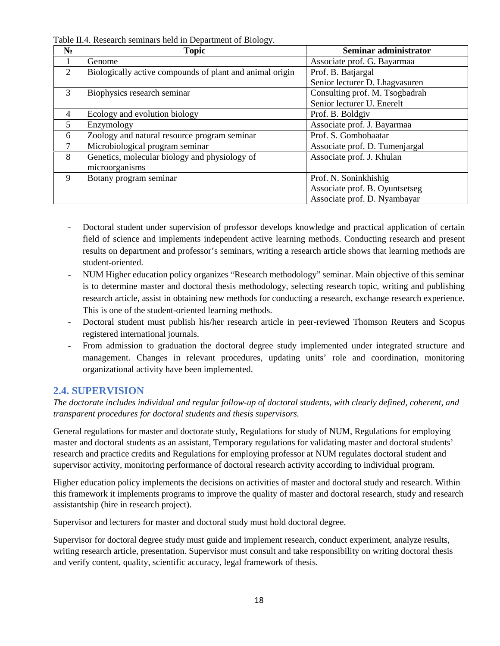|                | <b>Topic</b>                                             | Seminar administrator          |
|----------------|----------------------------------------------------------|--------------------------------|
|                | Genome                                                   | Associate prof. G. Bayarmaa    |
| 2              | Biologically active compounds of plant and animal origin | Prof. B. Batjargal             |
|                |                                                          | Senior lecturer D. Lhagvasuren |
| 3              | Biophysics research seminar                              | Consulting prof. M. Tsogbadrah |
|                |                                                          | Senior lecturer U. Enerelt     |
| $\overline{4}$ | Ecology and evolution biology                            | Prof. B. Boldgiv               |
| 5              | Enzymology                                               | Associate prof. J. Bayarmaa    |
| 6              | Zoology and natural resource program seminar             | Prof. S. Gombobaatar           |
| $\tau$         | Microbiological program seminar                          | Associate prof. D. Tumenjargal |
| 8              | Genetics, molecular biology and physiology of            | Associate prof. J. Khulan      |
|                | microorganisms                                           |                                |
| 9              | Botany program seminar                                   | Prof. N. Soninkhishig          |
|                |                                                          | Associate prof. B. Oyuntsetseg |
|                |                                                          | Associate prof. D. Nyambayar   |

Table II.4. Research seminars held in Department of Biology.

- Doctoral student under supervision of professor develops knowledge and practical application of certain field of science and implements independent active learning methods. Conducting research and present results on department and professor's seminars, writing a research article shows that learning methods are student-oriented.
- NUM Higher education policy organizes "Research methodology" seminar. Main objective of this seminar is to determine master and doctoral thesis methodology, selecting research topic, writing and publishing research article, assist in obtaining new methods for conducting a research, exchange research experience. This is one of the student-oriented learning methods.
- Doctoral student must publish his/her research article in peer-reviewed Thomson Reuters and Scopus registered international journals.
- From admission to graduation the doctoral degree study implemented under integrated structure and management. Changes in relevant procedures, updating units' role and coordination, monitoring organizational activity have been implemented.

## **2.4. SUPERVISION**

*The doctorate includes individual and regular follow-up of doctoral students, with clearly defined, coherent, and transparent procedures for doctoral students and thesis supervisors.*

General regulations for master and doctorate study, Regulations for study of NUM, Regulations for employing master and doctoral students as an assistant, Temporary regulations for validating master and doctoral students' research and practice credits and Regulations for employing professor at NUM regulates doctoral student and supervisor activity, monitoring performance of doctoral research activity according to individual program.

Higher education policy implements the decisions on activities of master and doctoral study and research. Within this framework it implements programs to improve the quality of master and doctoral research, study and research assistantship (hire in research project).

Supervisor and lecturers for master and doctoral study must hold doctoral degree.

Supervisor for doctoral degree study must guide and implement research, conduct experiment, analyze results, writing research article, presentation. Supervisor must consult and take responsibility on writing doctoral thesis and verify content, quality, scientific accuracy, legal framework of thesis.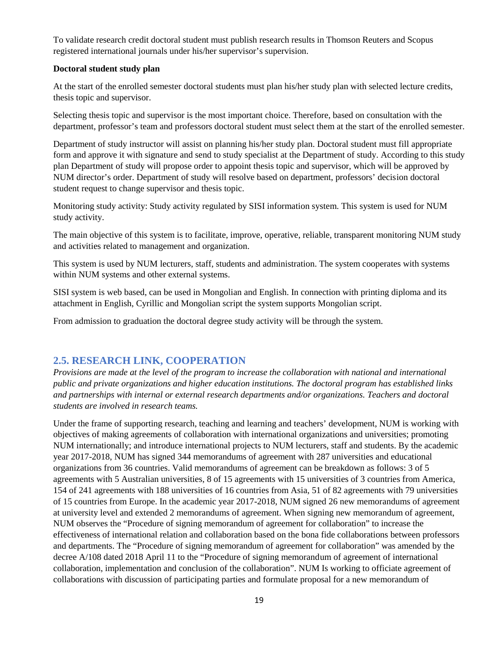To validate research credit doctoral student must publish research results in Thomson Reuters and Scopus registered international journals under his/her supervisor's supervision.

#### **Doctoral student study plan**

At the start of the enrolled semester doctoral students must plan his/her study plan with selected lecture credits, thesis topic and supervisor.

Selecting thesis topic and supervisor is the most important choice. Therefore, based on consultation with the department, professor's team and professors doctoral student must select them at the start of the enrolled semester.

Department of study instructor will assist on planning his/her study plan. Doctoral student must fill appropriate form and approve it with signature and send to study specialist at the Department of study. According to this study plan Department of study will propose order to appoint thesis topic and supervisor, which will be approved by NUM director's order. Department of study will resolve based on department, professors' decision doctoral student request to change supervisor and thesis topic.

Monitoring study activity: Study activity regulated by SISI information system. This system is used for NUM study activity.

The main objective of this system is to facilitate, improve, operative, reliable, transparent monitoring NUM study and activities related to management and organization.

This system is used by NUM lecturers, staff, students and administration. The system cooperates with systems within NUM systems and other external systems.

SISI system is web based, can be used in Mongolian and English. In connection with printing diploma and its attachment in English, Cyrillic and Mongolian script the system supports Mongolian script.

From admission to graduation the doctoral degree study activity will be through the system.

# **2.5. RESEARCH LINK, COOPERATION**

*Provisions are made at the level of the program to increase the collaboration with national and international public and private organizations and higher education institutions. The doctoral program has established links and partnerships with internal or external research departments and/or organizations. Teachers and doctoral students are involved in research teams.*

Under the frame of supporting research, teaching and learning and teachers' development, NUM is working with objectives of making agreements of collaboration with international organizations and universities; promoting NUM internationally; and introduce international projects to NUM lecturers, staff and students. By the academic year 2017-2018, NUM has signed 344 memorandums of agreement with 287 universities and educational organizations from 36 countries. Valid memorandums of agreement can be breakdown as follows: 3 of 5 agreements with 5 Australian universities, 8 of 15 agreements with 15 universities of 3 countries from America, 154 of 241 agreements with 188 universities of 16 countries from Asia, 51 of 82 agreements with 79 universities of 15 countries from Europe. In the academic year 2017-2018, NUM signed 26 new memorandums of agreement at university level and extended 2 memorandums of agreement. When signing new memorandum of agreement, NUM observes the "Procedure of signing memorandum of agreement for collaboration" to increase the effectiveness of international relation and collaboration based on the bona fide collaborations between professors and departments. The "Procedure of signing memorandum of agreement for collaboration" was amended by the decree A/108 dated 2018 April 11 to the "Procedure of signing memorandum of agreement of international collaboration, implementation and conclusion of the collaboration". NUM Is working to officiate agreement of collaborations with discussion of participating parties and formulate proposal for a new memorandum of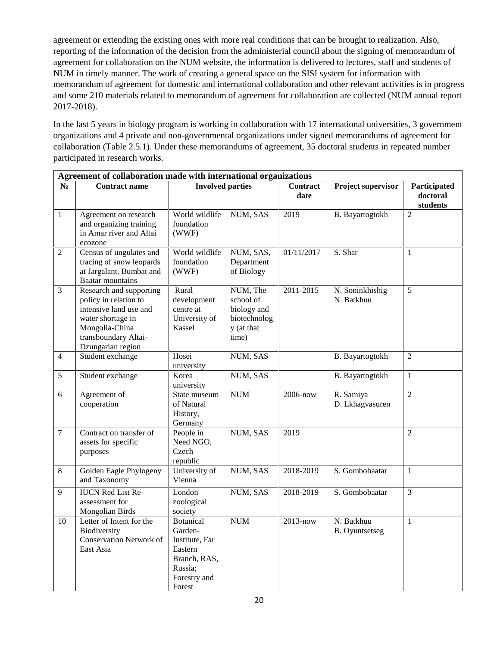agreement or extending the existing ones with more real conditions that can be brought to realization. Also, reporting of the information of the decision from the administerial council about the signing of memorandum of agreement for collaboration on the NUM website, the information is delivered to lectures, staff and students of NUM in timely manner. The work of creating a general space on the SISI system for information with memorandum of agreement for domestic and international collaboration and other relevant activities is in progress and some 210 materials related to memorandum of agreement for collaboration are collected (NUM annual report 2017-2018).

In the last 5 years in biology program is working in collaboration with 17 international universities, 3 government organizations and 4 private and non-governmental organizations under signed memorandums of agreement for collaboration (Table 2.5.1). Under these memorandums of agreement, 35 doctoral students in repeated number participated in research works.

|                | Agreement of collaboration made with international organizations                                                                                               |                                                                                                               |                                                                             |                         |                                     |                                      |  |  |
|----------------|----------------------------------------------------------------------------------------------------------------------------------------------------------------|---------------------------------------------------------------------------------------------------------------|-----------------------------------------------------------------------------|-------------------------|-------------------------------------|--------------------------------------|--|--|
|                | <b>Contract name</b>                                                                                                                                           | <b>Involved parties</b>                                                                                       |                                                                             | <b>Contract</b><br>date | <b>Project supervisor</b>           | Participated<br>doctoral<br>students |  |  |
| $\mathbf{1}$   | Agreement on research<br>and organizing training<br>in Amar river and Altai<br>ecozone                                                                         | World wildlife<br>foundation<br>(WWF)                                                                         | NUM, SAS                                                                    | 2019                    | B. Bayartogtokh                     | $\overline{2}$                       |  |  |
| $\overline{2}$ | Census of ungulates and<br>tracing of snow leopards<br>at Jargalant, Bumbat and<br><b>Baatar</b> mountains                                                     | World wildlife<br>foundation<br>(WWF)                                                                         | NUM, SAS,<br>Department<br>of Biology                                       | 01/11/2017              | S. Shar                             | $\mathbf{1}$                         |  |  |
| $\overline{3}$ | Research and supporting<br>policy in relation to<br>intensive land use and<br>water shortage in<br>Mongolia-China<br>transboundary Altai-<br>Dzungarian region | Rural<br>development<br>centre at<br>University of<br>Kassel                                                  | NUM, The<br>school of<br>biology and<br>biotechnolog<br>y (at that<br>time) | 2011-2015               | N. Soninkhishig<br>N. Batkhuu       | 5                                    |  |  |
| $\overline{4}$ | Student exchange                                                                                                                                               | Hosei<br>university                                                                                           | NUM, SAS                                                                    |                         | B. Bayartogtokh                     | $\overline{2}$                       |  |  |
| 5              | Student exchange                                                                                                                                               | Korea<br>university                                                                                           | NUM, SAS                                                                    |                         | B. Bayartogtokh                     | $\mathbf{1}$                         |  |  |
| 6              | Agreement of<br>cooperation                                                                                                                                    | State museum<br>of Natural<br>History,<br>Germany                                                             | $\ensuremath{\text{NUM}}$                                                   | 2006-now                | R. Samiya<br>D. Lkhagvasuren        | $\overline{2}$                       |  |  |
| $\overline{7}$ | Contract on transfer of<br>assets for specific<br>purposes                                                                                                     | People in<br>Need NGO,<br>Czech<br>republic                                                                   | NUM, SAS                                                                    | 2019                    |                                     | $\overline{2}$                       |  |  |
| 8              | Golden Eagle Phylogeny<br>and Taxonomy                                                                                                                         | University of<br>Vienna                                                                                       | NUM, SAS                                                                    | 2018-2019               | S. Gombobaatar                      | $\mathbf{1}$                         |  |  |
| 9              | <b>IUCN Red List Re-</b><br>assessment for<br>Mongolian Birds                                                                                                  | London<br>zoological<br>society                                                                               | NUM, SAS                                                                    | 2018-2019               | S. Gombobaatar                      | 3                                    |  |  |
| 10             | Letter of Intent for the<br>Biodiversity<br><b>Conservation Network of</b><br>East Asia                                                                        | <b>Botanical</b><br>Garden-<br>Institute, Far<br>Eastern<br>Branch, RAS,<br>Russia;<br>Forestry and<br>Forest | $\ensuremath{\text{NUM}}$                                                   | 2013-now                | N. Batkhuu<br><b>B.</b> Oyuntsetseg | $\mathbf{1}$                         |  |  |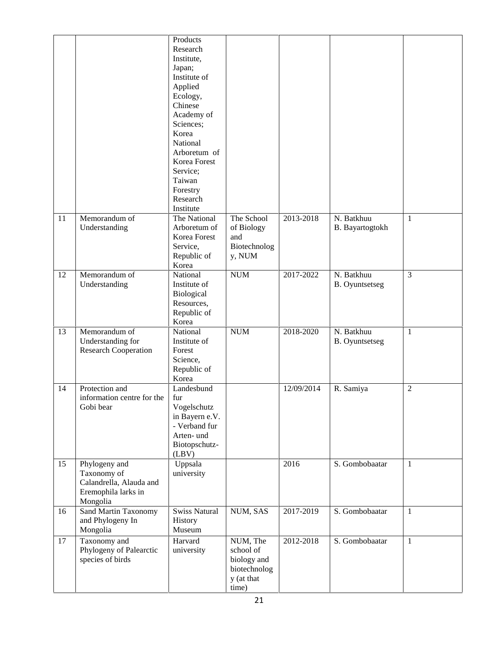|    |                                                                                            | Products<br>Research<br>Institute,<br>Japan;<br>Institute of<br>Applied<br>Ecology,<br>Chinese<br>Academy of<br>Sciences;<br>Korea<br>National<br>Arboretum of<br>Korea Forest<br>Service;<br>Taiwan<br>Forestry<br>Research<br>Institute |                                                                             |            |                                     |                |
|----|--------------------------------------------------------------------------------------------|-------------------------------------------------------------------------------------------------------------------------------------------------------------------------------------------------------------------------------------------|-----------------------------------------------------------------------------|------------|-------------------------------------|----------------|
| 11 | Memorandum of<br>Understanding                                                             | The National<br>Arboretum of<br>Korea Forest<br>Service,<br>Republic of<br>Korea                                                                                                                                                          | The School<br>of Biology<br>and<br>Biotechnolog<br>y, NUM                   | 2013-2018  | N. Batkhuu<br>B. Bayartogtokh       | $\mathbf{1}$   |
| 12 | Memorandum of<br>Understanding                                                             | National<br>Institute of<br>Biological<br>Resources,<br>Republic of<br>Korea                                                                                                                                                              | $\ensuremath{\text{NUM}}$                                                   | 2017-2022  | N. Batkhuu<br><b>B.</b> Oyuntsetseg | 3              |
| 13 | Memorandum of<br>Understanding for<br><b>Research Cooperation</b>                          | National<br>Institute of<br>Forest<br>Science,<br>Republic of<br>Korea                                                                                                                                                                    | $\ensuremath{\text{NUM}}$                                                   | 2018-2020  | N. Batkhuu<br><b>B.</b> Oyuntsetseg | 1              |
| 14 | Protection and<br>information centre for the<br>Gobi bear                                  | Landesbund<br>fur<br>Vogelschutz<br>in Bayern e.V.<br>- Verband fur<br>Arten- und<br>Biotopschutz-<br>(LBV)                                                                                                                               |                                                                             | 12/09/2014 | R. Samiya                           | $\overline{2}$ |
| 15 | Phylogeny and<br>Taxonomy of<br>Calandrella, Alauda and<br>Eremophila larks in<br>Mongolia | Uppsala<br>university                                                                                                                                                                                                                     |                                                                             | 2016       | S. Gombobaatar                      | 1              |
| 16 | Sand Martin Taxonomy<br>and Phylogeny In<br>Mongolia                                       | <b>Swiss Natural</b><br>History<br>Museum                                                                                                                                                                                                 | NUM, SAS                                                                    | 2017-2019  | S. Gombobaatar                      | $\mathbf{1}$   |
| 17 | Taxonomy and<br>Phylogeny of Palearctic<br>species of birds                                | Harvard<br>university                                                                                                                                                                                                                     | NUM, The<br>school of<br>biology and<br>biotechnolog<br>y (at that<br>time) | 2012-2018  | S. Gombobaatar                      | $\mathbf{1}$   |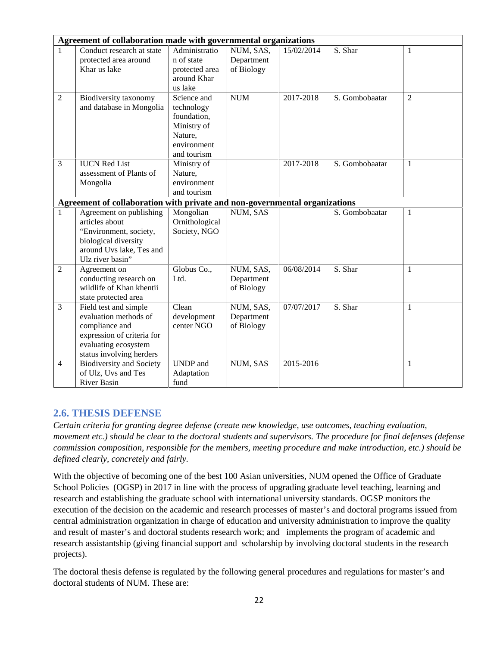|                | Agreement of collaboration made with governmental organizations                                                                                    |                                                                                                  |                                       |            |                |                |
|----------------|----------------------------------------------------------------------------------------------------------------------------------------------------|--------------------------------------------------------------------------------------------------|---------------------------------------|------------|----------------|----------------|
| $\mathbf{1}$   | Conduct research at state<br>protected area around<br>Khar us lake                                                                                 | Administratio<br>n of state<br>protected area<br>around Khar<br>us lake                          | NUM, SAS,<br>Department<br>of Biology | 15/02/2014 | S. Shar        | 1              |
| $\overline{2}$ | Biodiversity taxonomy<br>and database in Mongolia                                                                                                  | Science and<br>technology<br>foundation,<br>Ministry of<br>Nature,<br>environment<br>and tourism | <b>NUM</b>                            | 2017-2018  | S. Gombobaatar | $\overline{2}$ |
| 3              | <b>IUCN Red List</b><br>assessment of Plants of<br>Mongolia                                                                                        | Ministry of<br>Nature,<br>environment<br>and tourism                                             |                                       | 2017-2018  | S. Gombobaatar | $\mathbf{1}$   |
|                | Agreement of collaboration with private and non-governmental organizations                                                                         |                                                                                                  |                                       |            |                |                |
| 1              | Agreement on publishing<br>articles about<br>"Environment, society,<br>biological diversity<br>around Uvs lake, Tes and<br>Ulz river basin"        | Mongolian<br>Ornithological<br>Society, NGO                                                      | NUM, SAS                              |            | S. Gombobaatar | $\mathbf{1}$   |
| $\overline{2}$ | Agreement on<br>conducting research on<br>wildlife of Khan khentii<br>state protected area                                                         | Globus Co.,<br>Ltd.                                                                              | NUM, SAS,<br>Department<br>of Biology | 06/08/2014 | S. Shar        | 1              |
| 3              | Field test and simple<br>evaluation methods of<br>compliance and<br>expression of criteria for<br>evaluating ecosystem<br>status involving herders | Clean<br>development<br>center NGO                                                               | NUM, SAS,<br>Department<br>of Biology | 07/07/2017 | S. Shar        | 1              |
| $\overline{4}$ | <b>Biodiversity and Society</b><br>of Ulz, Uvs and Tes<br><b>River Basin</b>                                                                       | <b>UNDP</b> and<br>Adaptation<br>fund                                                            | NUM, SAS                              | 2015-2016  |                | $\mathbf{1}$   |

# **2.6. THESIS DEFENSE**

*Certain criteria for granting degree defense (create new knowledge, use outcomes, teaching evaluation, movement etc.) should be clear to the doctoral students and supervisors. The procedure for final defenses (defense commission composition, responsible for the members, meeting procedure and make introduction, etc.) should be defined clearly, concretely and fairly.*

With the objective of becoming one of the best 100 Asian universities, NUM opened the Office of Graduate School Policies (OGSP) in 2017 in line with the process of upgrading graduate level teaching, learning and research and establishing the graduate school with international university standards. OGSP monitors the execution of the decision on the academic and research processes of master's and doctoral programs issued from central administration organization in charge of education and university administration to improve the quality and result of master's and doctoral students research work; and implements the program of academic and research assistantship (giving financial support and scholarship by involving doctoral students in the research projects).

The doctoral thesis defense is regulated by the following general procedures and regulations for master's and doctoral students of NUM. These are: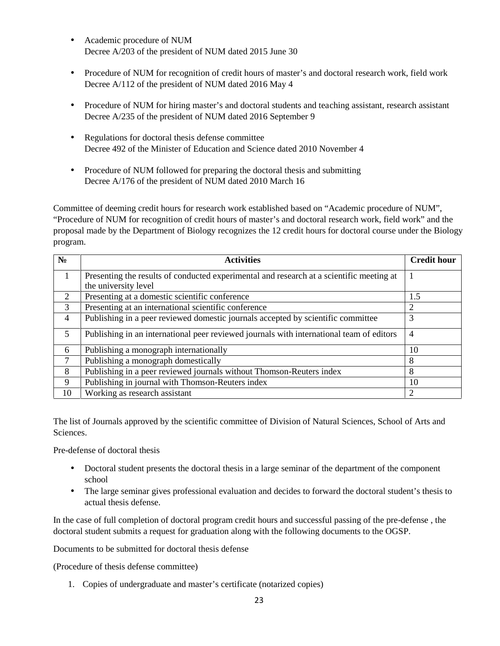- Academic procedure of NUM Decree A/203 of the president of NUM dated 2015 June 30
- Procedure of NUM for recognition of credit hours of master's and doctoral research work, field work Decree A/112 of the president of NUM dated 2016 May 4
- Procedure of NUM for hiring master's and doctoral students and teaching assistant, research assistant Decree A/235 of the president of NUM dated 2016 September 9
- Regulations for doctoral thesis defense committee Decree 492 of the Minister of Education and Science dated 2010 November 4
- Procedure of NUM followed for preparing the doctoral thesis and submitting Decree A/176 of the president of NUM dated 2010 March 16

Committee of deeming credit hours for research work established based on "Academic procedure of NUM", "Procedure of NUM for recognition of credit hours of master's and doctoral research work, field work" and the proposal made by the Department of Biology recognizes the 12 credit hours for doctoral course under the Biology program.

|                | <b>Activities</b>                                                                        | <b>Credit hour</b> |
|----------------|------------------------------------------------------------------------------------------|--------------------|
|                | Presenting the results of conducted experimental and research at a scientific meeting at |                    |
| $\overline{2}$ | the university level<br>Presenting at a domestic scientific conference                   | 1.5                |
| 3              | Presenting at an international scientific conference                                     | 2                  |
| 4              | Publishing in a peer reviewed domestic journals accepted by scientific committee         | 3                  |
| 5              | Publishing in an international peer reviewed journals with international team of editors | $\overline{4}$     |
| 6              | Publishing a monograph internationally                                                   | 10                 |
| 7              | Publishing a monograph domestically                                                      | 8                  |
| 8              | Publishing in a peer reviewed journals without Thomson-Reuters index                     | 8                  |
| 9              | Publishing in journal with Thomson-Reuters index                                         | 10                 |
| 10             | Working as research assistant                                                            | 2                  |

The list of Journals approved by the scientific committee of Division of Natural Sciences, School of Arts and Sciences.

Pre-defense of doctoral thesis

- Doctoral student presents the doctoral thesis in a large seminar of the department of the component school
- The large seminar gives professional evaluation and decides to forward the doctoral student's thesis to actual thesis defense.

In the case of full completion of doctoral program credit hours and successful passing of the pre-defense , the doctoral student submits a request for graduation along with the following documents to the OGSP.

Documents to be submitted for doctoral thesis defense

(Procedure of thesis defense committee)

1. Copies of undergraduate and master's certificate (notarized copies)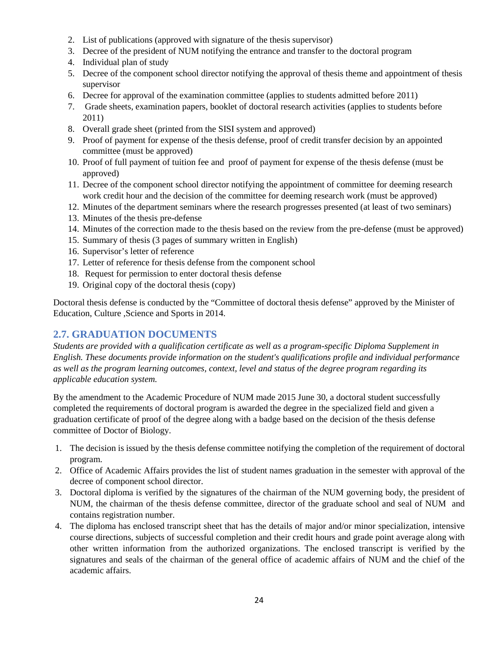- 2. List of publications (approved with signature of the thesis supervisor)
- 3. Decree of the president of NUM notifying the entrance and transfer to the doctoral program
- 4. Individual plan of study
- 5. Decree of the component school director notifying the approval of thesis theme and appointment of thesis supervisor
- 6. Decree for approval of the examination committee (applies to students admitted before 2011)
- 7. Grade sheets, examination papers, booklet of doctoral research activities (applies to students before 2011)
- 8. Overall grade sheet (printed from the SISI system and approved)
- 9. Proof of payment for expense of the thesis defense, proof of credit transfer decision by an appointed committee (must be approved)
- 10. Proof of full payment of tuition fee and proof of payment for expense of the thesis defense (must be approved)
- 11. Decree of the component school director notifying the appointment of committee for deeming research work credit hour and the decision of the committee for deeming research work (must be approved)
- 12. Minutes of the department seminars where the research progresses presented (at least of two seminars)
- 13. Minutes of the thesis pre-defense
- 14. Minutes of the correction made to the thesis based on the review from the pre-defense (must be approved)
- 15. Summary of thesis (3 pages of summary written in English)
- 16. Supervisor's letter of reference
- 17. Letter of reference for thesis defense from the component school
- 18. Request for permission to enter doctoral thesis defense
- 19. Original copy of the doctoral thesis (copy)

Doctoral thesis defense is conducted by the "Committee of doctoral thesis defense" approved by the Minister of Education, Culture ,Science and Sports in 2014.

# **2.7. GRADUATION DOCUMENTS**

*Students are provided with a qualification certificate as well as a program-specific Diploma Supplement in English. These documents provide information on the student's qualifications profile and individual performance as well as the program learning outcomes, context, level and status of the degree program regarding its applicable education system.*

By the amendment to the Academic Procedure of NUM made 2015 June 30, a doctoral student successfully completed the requirements of doctoral program is awarded the degree in the specialized field and given a graduation certificate of proof of the degree along with a badge based on the decision of the thesis defense committee of Doctor of Biology.

- 1. The decision is issued by the thesis defense committee notifying the completion of the requirement of doctoral program.
- 2. Office of Academic Affairs provides the list of student names graduation in the semester with approval of the decree of component school director.
- 3. Doctoral diploma is verified by the signatures of the chairman of the NUM governing body, the president of NUM, the chairman of the thesis defense committee, director of the graduate school and seal of NUM and contains registration number.
- 4. The diploma has enclosed transcript sheet that has the details of major and/or minor specialization, intensive course directions, subjects of successful completion and their credit hours and grade point average along with other written information from the authorized organizations. The enclosed transcript is verified by the signatures and seals of the chairman of the general office of academic affairs of NUM and the chief of the academic affairs.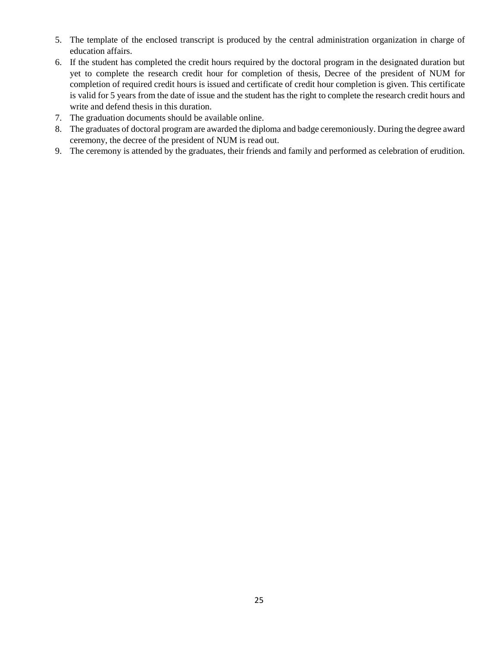- 5. The template of the enclosed transcript is produced by the central administration organization in charge of education affairs.
- 6. If the student has completed the credit hours required by the doctoral program in the designated duration but yet to complete the research credit hour for completion of thesis, Decree of the president of NUM for completion of required credit hours is issued and certificate of credit hour completion is given. This certificate is valid for 5 years from the date of issue and the student has the right to complete the research credit hours and write and defend thesis in this duration.
- 7. The graduation documents should be available online.
- 8. The graduates of doctoral program are awarded the diploma and badge ceremoniously. During the degree award ceremony, the decree of the president of NUM is read out.
- 9. The ceremony is attended by the graduates, their friends and family and performed as celebration of erudition.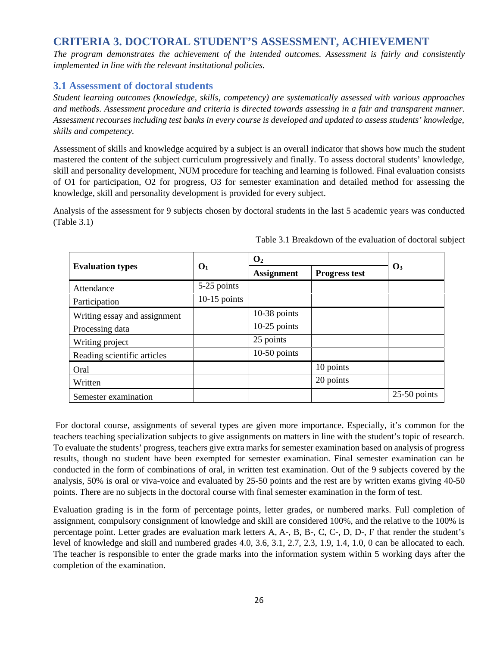# **CRITERIA 3. DOCTORAL STUDENT'S ASSESSMENT, ACHIEVEMENT**

*The program demonstrates the achievement of the intended outcomes. Assessment is fairly and consistently implemented in line with the relevant institutional policies.*

## **3.1 Assessment of doctoral students**

*Student learning outcomes (knowledge, skills, competency) are systematically assessed with various approaches and methods. Assessment procedure and criteria is directed towards assessing in a fair and transparent manner. Assessment recourses including test banks in every course is developed and updated to assess students' knowledge, skills and competency.*

Assessment of skills and knowledge acquired by a subject is an overall indicator that shows how much the student mastered the content of the subject curriculum progressively and finally. To assess doctoral students' knowledge, skill and personality development, NUM procedure for teaching and learning is followed. Final evaluation consists of O1 for participation, O2 for progress, O3 for semester examination and detailed method for assessing the knowledge, skill and personality development is provided for every subject.

Analysis of the assessment for 9 subjects chosen by doctoral students in the last 5 academic years was conducted (Table 3.1)

|                              |                | $\overline{2}$    |                      |                |
|------------------------------|----------------|-------------------|----------------------|----------------|
| <b>Evaluation types</b>      | 1              | <b>Assignment</b> | <b>Progress test</b> | 3              |
| Attendance                   | 5-25 points    |                   |                      |                |
| Participation                | $10-15$ points |                   |                      |                |
| Writing essay and assignment |                | $10-38$ points    |                      |                |
| Processing data              |                | $10-25$ points    |                      |                |
| Writing project              |                | 25 points         |                      |                |
| Reading scientific articles  |                | $10-50$ points    |                      |                |
| Oral                         |                |                   | 10 points            |                |
| Written                      |                |                   | 20 points            |                |
| Semester examination         |                |                   |                      | $25-50$ points |

Table 3.1 Breakdown of the evaluation of doctoral subject

For doctoral course, assignments of several types are given more importance. Especially, it's common for the teachers teaching specialization subjects to give assignments on matters in line with the student's topic of research. To evaluate the students' progress, teachers give extra marks for semester examination based on analysis of progress results, though no student have been exempted for semester examination. Final semester examination can be conducted in the form of combinations of oral, in written test examination. Out of the 9 subjects covered by the analysis, 50% is oral or viva-voice and evaluated by 25-50 points and the rest are by written exams giving 40-50 points. There are no subjects in the doctoral course with final semester examination in the form of test.

Evaluation grading is in the form of percentage points, letter grades, or numbered marks. Full completion of assignment, compulsory consignment of knowledge and skill are considered 100%, and the relative to the 100% is percentage point. Letter grades are evaluation mark letters A, A-, B, B-, C, C-, D, D-, F that render the student's level of knowledge and skill and numbered grades 4.0, 3.6, 3.1, 2.7, 2.3, 1.9, 1.4, 1.0, 0 can be allocated to each. The teacher is responsible to enter the grade marks into the information system within 5 working days after the completion of the examination.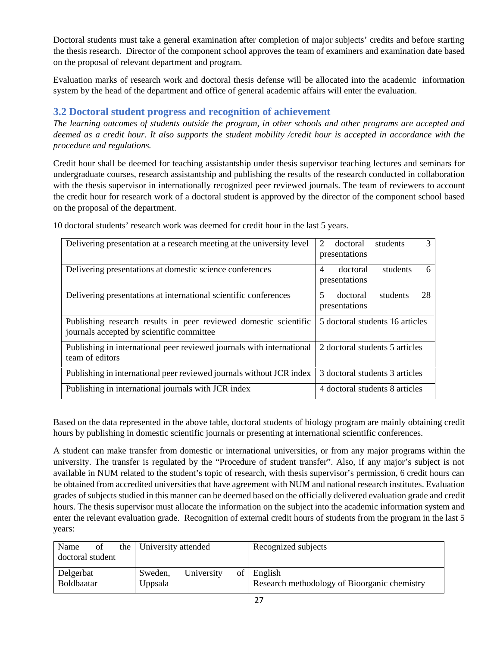Doctoral students must take a general examination after completion of major subjects' credits and before starting the thesis research. Director of the component school approves the team of examiners and examination date based on the proposal of relevant department and program.

Evaluation marks of research work and doctoral thesis defense will be allocated into the academic information system by the head of the department and office of general academic affairs will enter the evaluation.

# **3.2 Doctoral student progress and recognition of achievement**

*The learning outcomes of students outside the program, in other schools and other programs are accepted and deemed as a credit hour. It also supports the student mobility /credit hour is accepted in accordance with the procedure and regulations.*

Credit hour shall be deemed for teaching assistantship under thesis supervisor teaching lectures and seminars for undergraduate courses, research assistantship and publishing the results of the research conducted in collaboration with the thesis supervisor in internationally recognized peer reviewed journals. The team of reviewers to account the credit hour for research work of a doctoral student is approved by the director of the component school based on the proposal of the department.

| Delivering presentation at a research meeting at the university level                                         | 3<br>2<br>doctoral<br>students<br>presentations              |
|---------------------------------------------------------------------------------------------------------------|--------------------------------------------------------------|
| Delivering presentations at domestic science conferences                                                      | $\overline{4}$<br>doctoral<br>students<br>6<br>presentations |
| Delivering presentations at international scientific conferences                                              | 28<br>5<br>students<br>doctoral<br>presentations             |
| Publishing research results in peer reviewed domestic scientific<br>journals accepted by scientific committee | 5 doctoral students 16 articles                              |
| Publishing in international peer reviewed journals with international<br>team of editors                      | 2 doctoral students 5 articles                               |
| Publishing in international peer reviewed journals without JCR index                                          | 3 doctoral students 3 articles                               |
| Publishing in international journals with JCR index                                                           | 4 doctoral students 8 articles                               |

10 doctoral students' research work was deemed for credit hour in the last 5 years.

Based on the data represented in the above table, doctoral students of biology program are mainly obtaining credit hours by publishing in domestic scientific journals or presenting at international scientific conferences.

A student can make transfer from domestic or international universities, or from any major programs within the university. The transfer is regulated by the "Procedure of student transfer". Also, if any major's subject is not available in NUM related to the student's topic of research, with thesis supervisor's permission, 6 credit hours can be obtained from accredited universities that have agreement with NUM and national research institutes. Evaluation grades of subjects studied in this manner can be deemed based on the officially delivered evaluation grade and credit hours. The thesis supervisor must allocate the information on the subject into the academic information system and enter the relevant evaluation grade. Recognition of external credit hours of students from the program in the last 5 years:

| Name<br>doctoral student       | of | the | University attended |            | Recognized subjects                                        |
|--------------------------------|----|-----|---------------------|------------|------------------------------------------------------------|
| Delgerbat<br><b>Boldbaatar</b> |    |     | Sweden,<br>Uppsala  | University | of English<br>Research methodology of Bioorganic chemistry |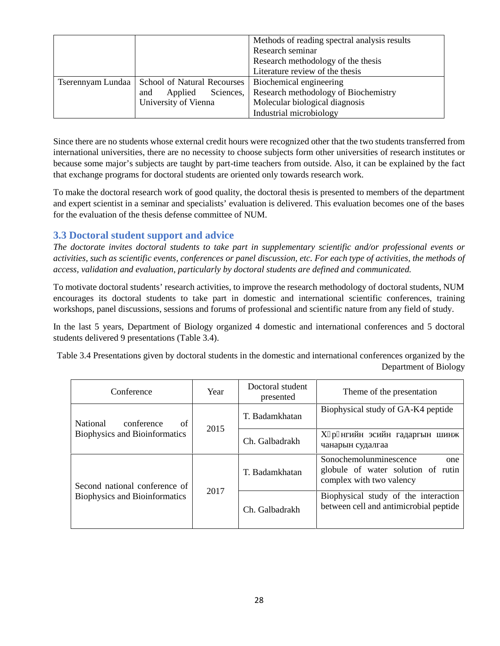|                                                 | Methods of reading spectral analysis results |
|-------------------------------------------------|----------------------------------------------|
|                                                 | Research seminar                             |
|                                                 | Research methodology of the thesis           |
|                                                 | Literature review of the thesis              |
| Tserennyam Lundaa   School of Natural Recourses | Biochemical engineering                      |
| Applied Sciences,<br>and                        | Research methodology of Biochemistry         |
| University of Vienna                            | Molecular biological diagnosis               |
|                                                 | Industrial microbiology                      |

Since there are no students whose external credit hours were recognized other that the two students transferred from international universities, there are no necessity to choose subjects form other universities of research institutes or because some major's subjects are taught by part-time teachers from outside. Also, it can be explained by the fact that exchange programs for doctoral students are oriented only towards research work.

To make the doctoral research work of good quality, the doctoral thesis is presented to members of the department and expert scientist in a seminar and specialists' evaluation is delivered. This evaluation becomes one of the bases for the evaluation of the thesis defense committee of NUM.

# **3.3 Doctoral student support and advice**

*The doctorate invites doctoral students to take part in supplementary scientific and/or professional events or activities, such as scientific events, conferences or panel discussion, etc. For each type of activities, the methods of access, validation and evaluation, particularly by doctoral students are defined and communicated.*

To motivate doctoral students' research activities, to improve the research methodology of doctoral students, NUM encourages its doctoral students to take part in domestic and international scientific conferences, training workshops, panel discussions, sessions and forums of professional and scientific nature from any field of study.

In the last 5 years, Department of Biology organized 4 domestic and international conferences and 5 doctoral students delivered 9 presentations (Table 3.4).

Table 3.4 Presentations given by doctoral students in the domestic and international conferences organized by the Department of Biology

| Conference                           | Year | Doctoral student<br>presented | Theme of the presentation                                                                       |
|--------------------------------------|------|-------------------------------|-------------------------------------------------------------------------------------------------|
| National<br>of<br>conference         | 2015 | T. Badamkhatan                | Biophysical study of GA-K4 peptide                                                              |
| <b>Biophysics and Bioinformatics</b> |      | Ch. Galbadrakh                |                                                                                                 |
| Second national conference of        |      | T. Badamkhatan                | Sonochemolunminescence<br>one<br>globule of water solution of rutin<br>complex with two valency |
| <b>Biophysics and Bioinformatics</b> | 2017 | Ch. Galbadrakh                | Biophysical study of the interaction<br>between cell and antimicrobial peptide                  |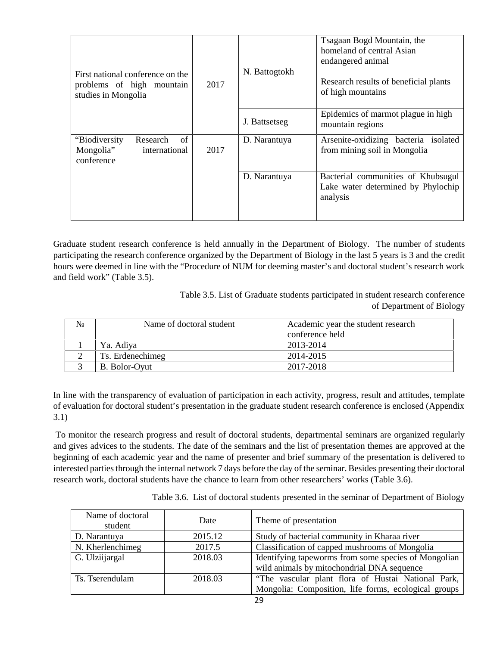| First national conference on the<br>problems of high mountain<br>studies in Mongolia | 2017 | N. Battogtokh<br>J. Battsetseg | Tsagaan Bogd Mountain, the<br>homeland of central Asian<br>endangered animal<br>Research results of beneficial plants<br>of high mountains<br>Epidemics of marmot plague in high<br>mountain regions |
|--------------------------------------------------------------------------------------|------|--------------------------------|------------------------------------------------------------------------------------------------------------------------------------------------------------------------------------------------------|
| "Biodiversity"<br>Research<br>of<br>Mongolia"<br>international<br>conference         | 2017 | D. Narantuya                   | Arsenite-oxidizing bacteria isolated<br>from mining soil in Mongolia                                                                                                                                 |
|                                                                                      |      | D. Narantuya                   | Bacterial communities of Khubsugul<br>Lake water determined by Phylochip<br>analysis                                                                                                                 |

Graduate student research conference is held annually in the Department of Biology. The number of students participating the research conference organized by the Department of Biology in the last 5 years is 3 and the credit hours were deemed in line with the "Procedure of NUM for deeming master's and doctoral student's research work and field work" (Table 3.5).

> Table 3.5. List of Graduate students participated in student research conference of Department of Biology

| Name of doctoral student | Academic year the student research |  |
|--------------------------|------------------------------------|--|
|                          | conference held                    |  |
| Ya. Adiya                | 2013-2014                          |  |
| Ts. Erdenechimeg         | 2014-2015                          |  |
| B. Bolor-Oyut            | 2017-2018                          |  |

In line with the transparency of evaluation of participation in each activity, progress, result and attitudes, template of evaluation for doctoral student's presentation in the graduate student research conference is enclosed (Appendix 3.1)

To monitor the research progress and result of doctoral students, departmental seminars are organized regularly and gives advices to the students. The date of the seminars and the list of presentation themes are approved at the beginning of each academic year and the name of presenter and brief summary of the presentation is delivered to interested parties through the internal network 7 days before the day of the seminar. Besides presenting their doctoral research work, doctoral students have the chance to learn from other researchers' works (Table 3.6).

| Name of doctoral<br>student | Date    | Theme of presentation                                |  |
|-----------------------------|---------|------------------------------------------------------|--|
| D. Narantuya                | 2015.12 | Study of bacterial community in Kharaa river         |  |
| N. Kherlenchimeg            | 2017.5  | Classification of capped mushrooms of Mongolia       |  |
| G. Ulziijargal              | 2018.03 | Identifying tapeworms from some species of Mongolian |  |
|                             |         | wild animals by mitochondrial DNA sequence           |  |
| Ts. Tserendulam             | 2018.03 | "The vascular plant flora of Hustai National Park,   |  |
|                             |         | Mongolia: Composition, life forms, ecological groups |  |

Table 3.6. List of doctoral students presented in the seminar of Department of Biology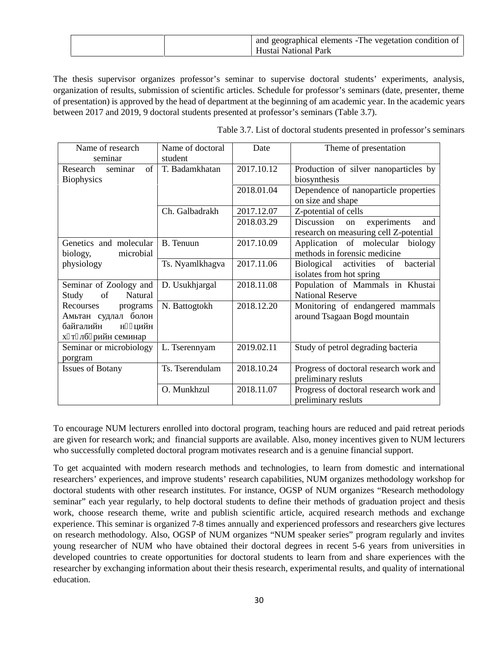|  | $\parallel$ and geographical elements -The vegetation condition of $\parallel$<br>Hustai National Park |
|--|--------------------------------------------------------------------------------------------------------|
|--|--------------------------------------------------------------------------------------------------------|

The thesis supervisor organizes professor's seminar to supervise doctoral students' experiments, analysis, organization of results, submission of scientific articles. Schedule for professor's seminars (date, presenter, theme of presentation) is approved by the head of department at the beginning of am academic year. In the academic years between 2017 and 2019, 9 doctoral students presented at professor's seminars (Table 3.7).

| Name of research<br>seminar                      | Name of doctoral<br>student | Date       | Theme of presentation                                                            |
|--------------------------------------------------|-----------------------------|------------|----------------------------------------------------------------------------------|
| of<br>Research<br>seminar<br><b>Biophysics</b>   | T. Badamkhatan              | 2017.10.12 | Production of silver nanoparticles by<br>biosynthesis                            |
|                                                  |                             | 2018.01.04 | Dependence of nanoparticle properties<br>on size and shape                       |
|                                                  | Ch. Galbadrakh              | 2017.12.07 | Z-potential of cells                                                             |
|                                                  |                             | 2018.03.29 | Discussion<br>experiments<br>on<br>and<br>research on measuring cell Z-potential |
| Genetics and molecular<br>microbial<br>biology,  | B. Tenuun                   | 2017.10.09 | Application of molecular<br>biology<br>methods in forensic medicine              |
| physiology                                       | Ts. Nyamlkhagva             | 2017.11.06 | Biological<br>activities<br>of<br>bacterial<br>isolates from hot spring          |
| Seminar of Zoology and<br>Study<br>Natural<br>of | D. Usukhjargal              | 2018.11.08 | Population of Mammals in Khustai<br><b>National Reserve</b>                      |
| Recourses<br>programs                            | N. Battogtokh               | 2018.12.20 | Monitoring of endangered mammals<br>around Tsagaan Bogd mountain                 |
| Seminar or microbiology<br>porgram               | L. Tserennyam               | 2019.02.11 | Study of petrol degrading bacteria                                               |
| <b>Issues of Botany</b>                          | Ts. Tserendulam             | 2018.10.24 | Progress of doctoral research work and<br>preliminary resluts                    |
|                                                  | O. Munkhzul                 | 2018.11.07 | Progress of doctoral research work and<br>preliminary resluts                    |

Table 3.7. List of doctoral students presented in professor's seminars

To encourage NUM lecturers enrolled into doctoral program, teaching hours are reduced and paid retreat periods are given for research work; and financial supports are available. Also, money incentives given to NUM lecturers who successfully completed doctoral program motivates research and is a genuine financial support.

To get acquainted with modern research methods and technologies, to learn from domestic and international researchers' experiences, and improve students' research capabilities, NUM organizes methodology workshop for doctoral students with other research institutes. For instance, OGSP of NUM organizes "Research methodology seminar" each year regularly, to help doctoral students to define their methods of graduation project and thesis work, choose research theme, write and publish scientific article, acquired research methods and exchange experience. This seminar is organized 7-8 times annually and experienced professors and researchers give lectures on research methodology. Also, OGSP of NUM organizes "NUM speaker series" program regularly and invites young researcher of NUM who have obtained their doctoral degrees in recent 5-6 years from universities in developed countries to create opportunities for doctoral students to learn from and share experiences with the researcher by exchanging information about their thesis research, experimental results, and quality of international education.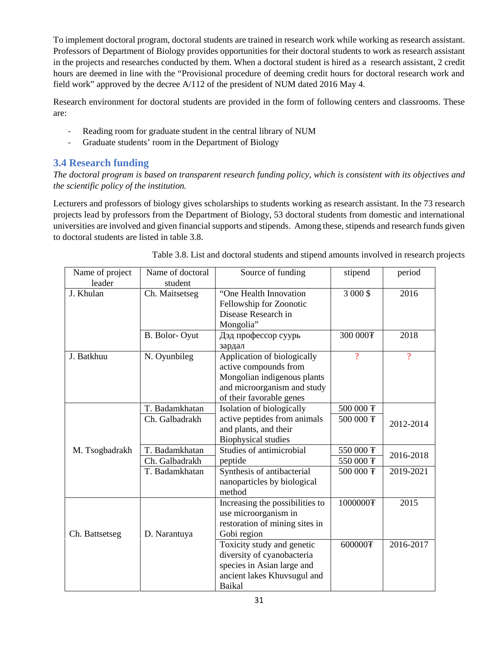To implement doctoral program, doctoral students are trained in research work while working as research assistant. Professors of Department of Biology provides opportunities for their doctoral students to work as research assistant in the projects and researches conducted by them. When a doctoral student is hired as a research assistant, 2 credit hours are deemed in line with the "Provisional procedure of deeming credit hours for doctoral research work and field work" approved by the decree A/112 of the president of NUM dated 2016 May 4.

Research environment for doctoral students are provided in the form of following centers and classrooms. These are:

- Reading room for graduate student in the central library of NUM
- Graduate students' room in the Department of Biology

# **3.4 Research funding**

*The doctoral program is based on transparent research funding policy, which is consistent with its objectives and the scientific policy of the institution.*

Lecturers and professors of biology gives scholarships to students working as research assistant. In the 73 research projects lead by professors from the Department of Biology, 53 doctoral students from domestic and international universities are involved and given financial supports and stipends. Among these, stipends and research funds given to doctoral students are listed in table 3.8.

| Name of project<br>leader | Name of doctoral<br>student      | Source of funding                                                                                                                              | stipend                           | period         |
|---------------------------|----------------------------------|------------------------------------------------------------------------------------------------------------------------------------------------|-----------------------------------|----------------|
| J. Khulan                 | Ch. Maitsetseg                   | "One Health Innovation<br>Fellowship for Zoonotic<br>Disease Research in<br>Mongolia"                                                          | 3 000 \$                          | 2016           |
|                           | B. Bolor-Oyut                    |                                                                                                                                                | 300 000 <sub>T</sub>              | 2018           |
| J. Batkhuu                | N. Oyunbileg                     | Application of biologically<br>active compounds from<br>Mongolian indigenous plants<br>and microorganism and study<br>of their favorable genes | $\overline{?}$                    | $\overline{?}$ |
|                           | T. Badamkhatan<br>Ch. Galbadrakh | Isolation of biologically<br>active peptides from animals<br>and plants, and their<br><b>Biophysical studies</b>                               | 500 000 平<br>500 000 <sub>T</sub> | 2012-2014      |
| M. Tsogbadrakh            | T. Badamkhatan<br>Ch. Galbadrakh | Studies of antimicrobial<br>peptide                                                                                                            | 550 000 F<br>550 000 平            | 2016-2018      |
|                           | T. Badamkhatan                   | Synthesis of antibacterial<br>nanoparticles by biological<br>method                                                                            | 500 000 F                         | 2019-2021      |
| Ch. Battsetseg            | D. Narantuya                     | Increasing the possibilities to<br>use microorganism in<br>restoration of mining sites in<br>Gobi region                                       | 10000000平                         | 2015           |
|                           |                                  | Toxicity study and genetic<br>diversity of cyanobacteria<br>species in Asian large and<br>ancient lakes Khuvsugul and<br>Baikal                | 600000 <sub>F</sub>               | 2016-2017      |

| Table 3.8. List and doctoral students and stipend amounts involved in research projects |  |  |
|-----------------------------------------------------------------------------------------|--|--|
|                                                                                         |  |  |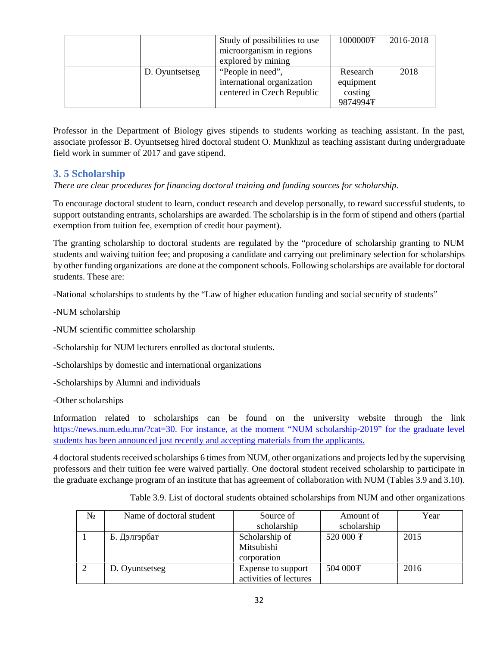|                | Study of possibilities to use | 1000000 平 | 2016-2018 |
|----------------|-------------------------------|-----------|-----------|
|                | microorganism in regions      |           |           |
|                | explored by mining            |           |           |
| D. Oyuntsetseg | "People in need",             | Research  | 2018      |
|                | international organization    | equipment |           |
|                | centered in Czech Republic    | costing   |           |
|                |                               | 9874994平  |           |

Professor in the Department of Biology gives stipends to students working as teaching assistant. In the past, associate professor B. Oyuntsetseg hired doctoral student O. Munkhzul as teaching assistant during undergraduate field work in summer of 2017 and gave stipend.

# **3. 5 Scholarship**

*There are clear procedures for financing doctoral training and funding sources for scholarship.*

To encourage doctoral student to learn, conduct research and develop personally, to reward successful students, to support outstanding entrants, scholarships are awarded. The scholarship is in the form of stipend and others (partial exemption from tuition fee, exemption of credit hour payment).

The granting scholarship to doctoral students are regulated by the "procedure of scholarship granting to NUM students and waiving tuition fee; and proposing a candidate and carrying out preliminary selection for scholarships by other funding organizations are done at the component schools. Following scholarships are available for doctoral students. These are:

-National scholarships to students by the "Law of higher education funding and social security of students"

- -NUM scholarship
- -NUM scientific committee scholarship
- -Scholarship for NUM lecturers enrolled as doctoral students.
- -Scholarships by domestic and international organizations
- -Scholarships by Alumni and individuals
- -Other scholarships

Information related to scholarships can be found on the university website through the link https://news.num.edu.mn/?cat=30. For instance, at the moment "NUM scholarship-2019" for the graduate level students has been announced just recently and accepting materials from the applicants.

4 doctoral students received scholarships 6 times from NUM, other organizations and projects led by the supervising professors and their tuition fee were waived partially. One doctoral student received scholarship to participate in the graduate exchange program of an institute that has agreement of collaboration with NUM (Tables 3.9 and 3.10).

| Name of doctoral student | Source of              | Amount of            | Year |
|--------------------------|------------------------|----------------------|------|
|                          | scholarship            | scholarship          |      |
|                          | Scholarship of         | 520 000 F            | 2015 |
|                          | Mitsubishi             |                      |      |
|                          | corporation            |                      |      |
| D. Oyuntsetseg           | Expense to support     | 504 000 <sub>F</sub> | 2016 |
|                          | activities of lectures |                      |      |

Table 3.9. List of doctoral students obtained scholarships from NUM and other organizations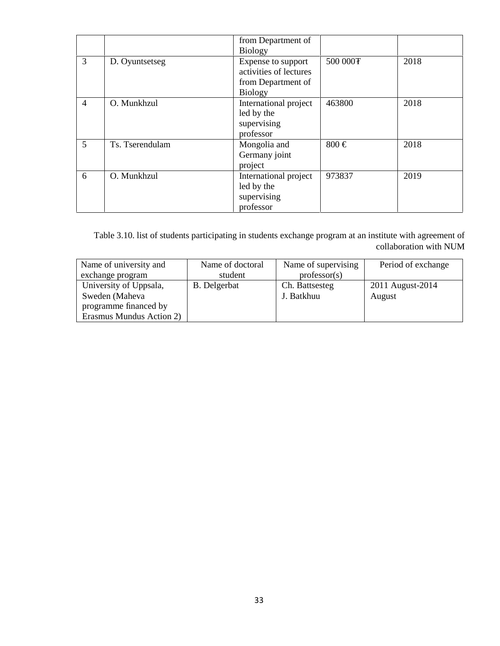|   |                 | from Department of<br><b>Biology</b>                                                 |           |      |
|---|-----------------|--------------------------------------------------------------------------------------|-----------|------|
| 3 | D. Oyuntsetseg  | Expense to support<br>activities of lectures<br>from Department of<br><b>Biology</b> | 500 000 F | 2018 |
| 4 | O. Munkhzul     | International project<br>led by the<br>supervising<br>professor                      | 463800    | 2018 |
| 5 | Ts. Tserendulam | Mongolia and<br>Germany joint<br>project                                             | $800 \in$ | 2018 |
| 6 | O. Munkhzul     | International project<br>led by the<br>supervising<br>professor                      | 973837    | 2019 |

Table 3.10. list of students participating in students exchange program at an institute with agreement of collaboration with NUM

| Name of university and   | Name of doctoral | Name of supervising | Period of exchange |
|--------------------------|------------------|---------------------|--------------------|
| exchange program         | student          | professor(s)        |                    |
| University of Uppsala,   | B. Delgerbat     | Ch. Battsesteg      | 2011 August-2014   |
| Sweden (Maheva           |                  | J. Batkhuu          | August             |
| programme financed by    |                  |                     |                    |
| Erasmus Mundus Action 2) |                  |                     |                    |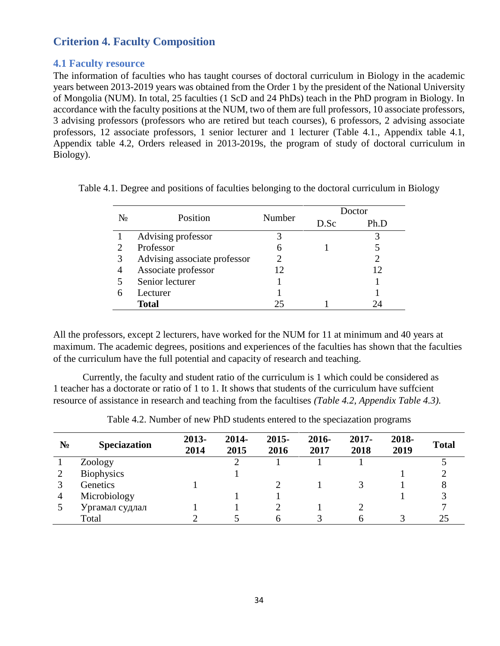# **Criterion 4. Faculty Composition**

## **4.1 Faculty resource**

The information of faculties who has taught courses of doctoral curriculum in Biology in the academic years between 2013-2019 years was obtained from the Order 1 by the president of the National University of Mongolia (NUM). In total, 25 faculties (1 ScD and 24 PhDs) teach in the PhD program in Biology. In accordance with the faculty positions at the NUM, two of them are full professors, 10 associate professors, 3 advising professors (professors who are retired but teach courses), 6 professors, 2 advising associate professors, 12 associate professors, 1 senior lecturer and 1 lecturer (Table 4.1., Appendix table 4.1, Appendix table 4.2, Orders released in 2013-2019s, the program of study of doctoral curriculum in Biology).

|   | Position                     | Number         | Doctor |      |
|---|------------------------------|----------------|--------|------|
|   |                              |                | D.Sc   | Ph.D |
|   | Advising professor           |                |        |      |
|   | Professor                    | 6              |        |      |
| 3 | Advising associate professor | $\overline{2}$ |        |      |
| 4 | Associate professor          | 12             |        | 12   |
|   | Senior lecturer              |                |        |      |
| 6 | Lecturer                     |                |        |      |
|   | <b>Total</b>                 | 25             |        | 24   |

Table 4.1. Degree and positions of faculties belonging to the doctoral curriculum in Biology

All the professors, except 2 lecturers, have worked for the NUM for 11 at minimum and 40 years at maximum. The academic degrees, positions and experiences of the faculties has shown that the faculties of the curriculum have the full potential and capacity of research and teaching.

Currently, the faculty and student ratio of the curriculum is 1 which could be considered as 1 teacher has a doctorate or ratio of 1 to 1. It shows that students of the curriculum have suffcient resource of assistance in research and teaching from the facultises *(Table 4.2, Appendix Table 4.3).*

|   | <b>Speciazation</b> | 2013-<br>2014 | 2014-<br>2015 | $2015 -$<br>2016 | 2016-<br>2017 | 2017-<br>2018 | 2018-<br>2019 | <b>Total</b> |
|---|---------------------|---------------|---------------|------------------|---------------|---------------|---------------|--------------|
|   | Zoology             |               |               |                  |               |               |               |              |
|   | <b>Biophysics</b>   |               |               |                  |               |               |               |              |
|   | Genetics            |               |               |                  |               |               |               | 8            |
| 4 | Microbiology        |               |               |                  |               |               |               |              |
|   |                     |               |               |                  |               |               |               |              |
|   | Total               |               |               |                  |               |               |               | 25           |

Table 4.2. Number of new PhD students entered to the speciazation programs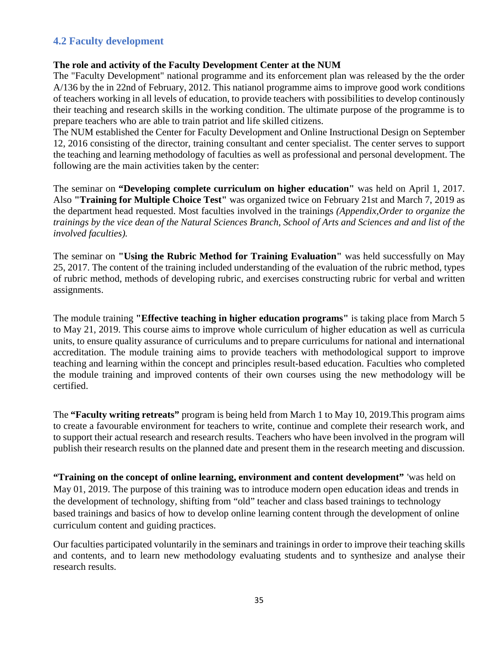# **4.2 Faculty development**

#### **The role and activity of the Faculty Development Center at the NUM**

The "Faculty Development" national programme and its enforcement plan was released by the the order A/136 by the in 22nd of February, 2012. This natianol programme aims to improve good work conditions of teachers working in all levels of education, to provide teachers with possibilities to develop continously their teaching and research skills in the working condition. The ultimate purpose of the programme is to prepare teachers who are able to train patriot and life skilled citizens.

The NUM established the Center for Faculty Development and Online Instructional Design on September 12, 2016 consisting of the director, training consultant and center specialist. The center serves to support the teaching and learning methodology of faculties as well as professional and personal development. The following are the main activities taken by the center:

The seminar on **"Developing complete curriculum on higher education"** was held on April 1, 2017. Also **"Training for Multiple Choice Test"** was organized twice on February 21st and March 7, 2019 as the department head requested. Most faculties involved in the trainings *(Appendix,Order to organize the trainings by the vice dean of the Natural Sciences Branch, School of Arts and Sciences and and list of the involved faculties).*

The seminar on **"Using the Rubric Method for Training Evaluation"** was held successfully on May 25, 2017. The content of the training included understanding of the evaluation of the rubric method, types of rubric method, methods of developing rubric, and exercises constructing rubric for verbal and written assignments.

The module training **"Effective teaching in higher education programs"** is taking place from March 5 to May 21, 2019. This course aims to improve whole curriculum of higher education as well as curricula units, to ensure quality assurance of curriculums and to prepare curriculums for national and international accreditation. The module training aims to provide teachers with methodological support to improve teaching and learning within the concept and principles result-based education. Faculties who completed the module training and improved contents of their own courses using the new methodology will be certified.

The **"Faculty writing retreats"** program is being held from March 1 to May 10, 2019.This program aims to create a favourable environment for teachers to write, continue and complete their research work, and to support their actual research and research results. Teachers who have been involved in the program will publish their research results on the planned date and present them in the research meeting and discussion.

**"Training on the concept of online learning, environment and content development"** 'was held on May 01, 2019. The purpose of this training was to introduce modern open education ideas and trends in the development of technology, shifting from "old" teacher and class based trainings to technology based trainings and basics of how to develop online learning content through the development of online curriculum content and guiding practices.

Our faculties participated voluntarily in the seminars and trainings in order to improve their teaching skills and contents, and to learn new methodology evaluating students and to synthesize and analyse their research results.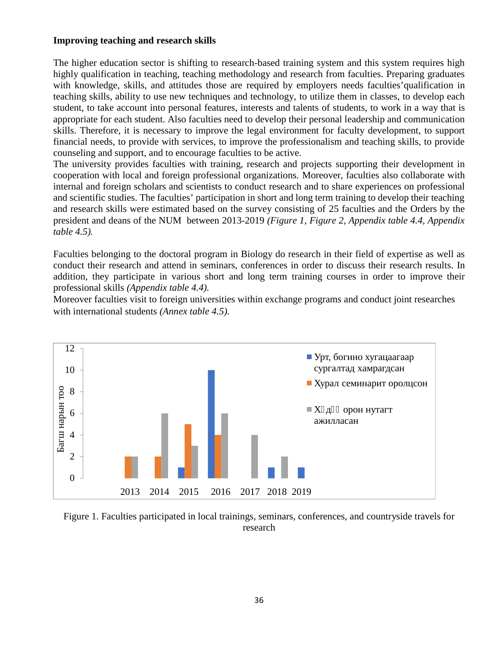### **Improving teaching and research skills**

The higher education sector is shifting to research-based training system and this system requires high highly qualification in teaching, teaching methodology and research from faculties. Preparing graduates with knowledge, skills, and attitudes those are required by employers needs faculties'qualification in teaching skills, ability to use new techniques and technology, to utilize them in classes, to develop each student, to take account into personal features, interests and talents of students, to work in a way that is appropriate for each student. Also faculties need to develop their personal leadership and communication skills. Therefore, it is necessary to improve the legal environment for faculty development, to support financial needs, to provide with services, to improve the professionalism and teaching skills, to provide counseling and support, and to encourage faculties to be active.

The university provides faculties with training, research and projects supporting their development in cooperation with local and foreign professional organizations. Moreover, faculties also collaborate with internal and foreign scholars and scientists to conduct research and to share experiences on professional and scientific studies. The faculties' participation in short and long term training to develop their teaching and research skills were estimated based on the survey consisting of 25 faculties and the Orders by the president and deans of the NUM between 2013-2019 *(Figure 1, Figure 2, Appendix table 4.4, Appendix table 4.5).*

Faculties belonging to the doctoral program in Biology do research in their field of expertise as well as conduct their research and attend in seminars, conferences in order to discuss their research results. In addition, they participate in various short and long term training courses in order to improve their professional skills *(Appendix table 4.4).*

Moreover faculties visit to foreign universities within exchange programs and conduct joint researches with international students *(Annex table 4.5).*



Figure 1. Faculties participated in local trainings, seminars, conferences, and countryside travels for research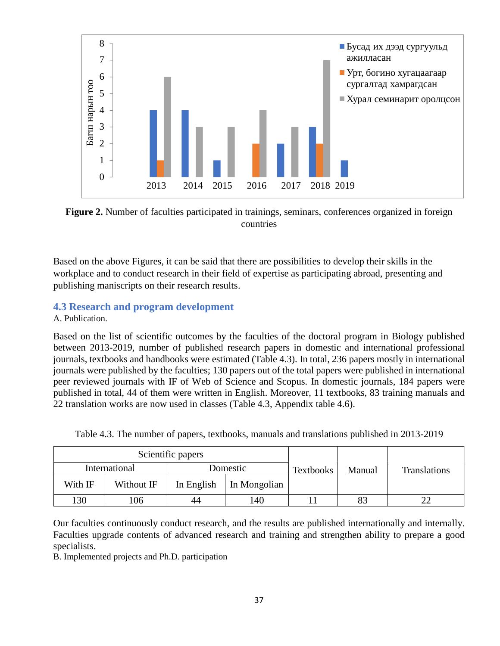

**Figure 2.** Number of faculties participated in trainings, seminars, conferences organized in foreign countries

Based on the above Figures, it can be said that there are possibilities to develop their skills in the workplace and to conduct research in their field of expertise as participating abroad, presenting and publishing maniscripts on their research results.

## **4.3 Research and program development**

. Publication.

Based on the list of scientific outcomes by the faculties of the doctoral program in Biology published between 2013-2019, number of published research papers in domestic and international professional journals, textbooks and handbooks were estimated (Table 4.3). In total, 236 papers mostly in international journals were published by the faculties; 130 papers out of the total papers were published in international peer reviewed journals with IF of Web of Science and Scopus. In domestic journals, 184 papers were published in total, 44 of them were written in English. Moreover, 11 textbooks, 83 training manuals and 22 translation works are now used in classes (Table 4.3, Appendix table 4.6).

| Table 4.3. The number of papers, textbooks, manuals and translations published in 2013-2019 |  |
|---------------------------------------------------------------------------------------------|--|
|                                                                                             |  |

|               |            | Scientific papers | <b>Textbooks</b> | Manual |          |                     |
|---------------|------------|-------------------|------------------|--------|----------|---------------------|
| International |            |                   |                  |        | Domestic | <b>Translations</b> |
| With IF       | Without IF | In English        | In Mongolian     |        |          |                     |
| 130           | 106        | 44                | 140              |        | 83       |                     |

Our faculties continuously conduct research, and the results are published internationally and internally. Faculties upgrade contents of advanced research and training and strengthen ability to prepare a good specialists.

B. Implemented projects and Ph.D. participation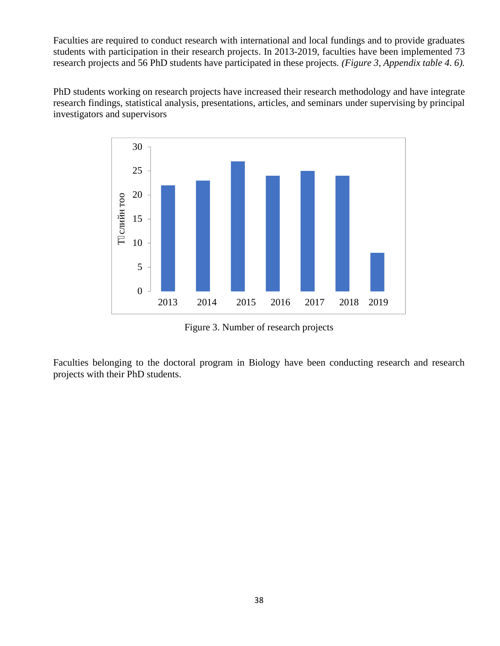Faculties are required to conduct research with international and local fundings and to provide graduates students with participation in their research projects. In 2013-2019, faculties have been implemented 73 research projects and 56 PhD students have participated in these projects*. (Figure 3, Appendix table 4. 6).*

PhD students working on research projects have increased their research methodology and have integrate research findings, statistical analysis, presentations, articles, and seminars under supervising by principal investigators and supervisors



Figure 3. Number of research projects

Faculties belonging to the doctoral program in Biology have been conducting research and research projects with their PhD students.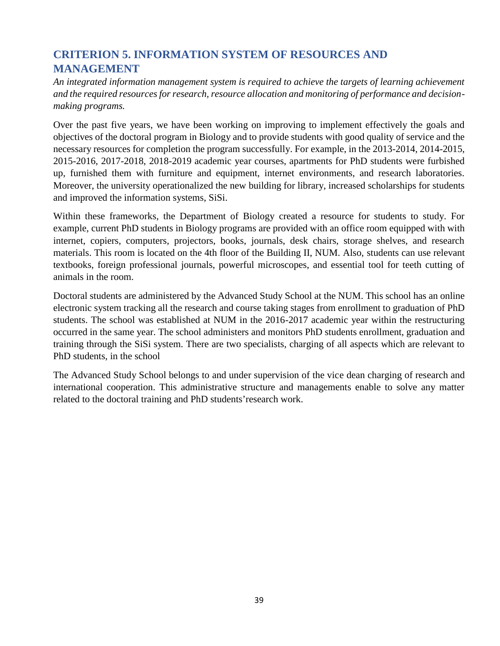# **CRITERION 5. INFORMATION SYSTEM OF RESOURCES AND MANAGEMENT**

*An integrated information management system is required to achieve the targets of learning achievement and the required resources for research, resource allocation and monitoring of performance and decision making programs.*

Over the past five years, we have been working on improving to implement effectively the goals and objectives of the doctoral program in Biology and to provide students with good quality of service and the necessary resources for completion the program successfully. For example, in the 2013-2014, 2014-2015, 2015-2016, 2017-2018, 2018-2019 academic year courses, apartments for PhD students were furbished up, furnished them with furniture and equipment, internet environments, and research laboratories. Moreover, the university operationalized the new building for library, increased scholarships for students and improved the information systems, SiSi.

Within these frameworks, the Department of Biology created a resource for students to study. For example, current PhD students in Biology programs are provided with an office room equipped with with internet, copiers, computers, projectors, books, journals, desk chairs, storage shelves, and research materials. This room is located on the 4th floor of the Building II, NUM. Also, students can use relevant textbooks, foreign professional journals, powerful microscopes, and essential tool for teeth cutting of animals in the room.

Doctoral students are administered by the Advanced Study School at the NUM. This school has an online electronic system tracking all the research and course taking stages from enrollment to graduation of PhD students. The school was established at NUM in the 2016-2017 academic year within the restructuring occurred in the same year. The school administers and monitors PhD students enrollment, graduation and training through the SiSi system. There are two specialists, charging of all aspects which are relevant to PhD students, in the school

The Advanced Study School belongs to and under supervision of the vice dean charging of research and international cooperation. This administrative structure and managements enable to solve any matter related to the doctoral training and PhD students'research work.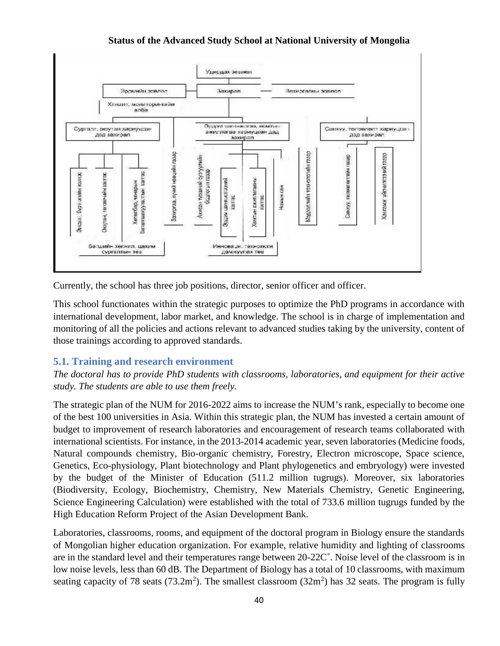

Currently, the school has three job positions, director, senior officer and officer.

This school functionates within the strategic purposes to optimize the PhD programs in accordance with international development, labor market, and knowledge. The school is in charge of implementation and monitoring of all the policies and actions relevant to advanced studies taking by the university, content of those trainings according to approved standards.

## **5.1. Training and research environment**

*The doctoral has to provide PhD students with classrooms, laboratories, and equipment for their active study. The students are able to use them freely.*

The strategic plan of the NUM for 2016-2022 aims to increase the NUM's rank, especially to become one of the best 100 universities in Asia. Within this strategic plan, the NUM has invested a certain amount of budget to improvement of research laboratories and encouragement of research teams collaborated with international scientists. For instance, in the 2013-2014 academic year, seven laboratories (Medicine foods, Natural compounds chemistry, Bio-organic chemistry, Forestry, Electron microscope, Space science, Genetics, Eco-physiology, Plant biotechnology and Plant phylogenetics and embryology) were invested by the budget of the Minister of Education (511.2 million tugrugs). Moreover, six laboratories (Biodiversity, Ecology, Biochemistry, Chemistry, New Materials Chemistry, Genetic Engineering, Science Engineering Calculation) were established with the total of 733.6 million tugrugs funded by the High Education Reform Project of the Asian Development Bank.

Laboratories, classrooms, rooms, and equipment of the doctoral program in Biology ensure the standards of Mongolian higher education organization. For example, relative humidity and lighting of classrooms are in the standard level and their temperatures range between 20-22C˚. Noise level of the classroom is in low noise levels, less than 60 dB. The Department of Biology has a total of 10 classrooms, with maximum seating capacity of 78 seats (73.2m<sup>2</sup>). The smallest classroom (32m<sup>2</sup>) has 32 seats. The program is fully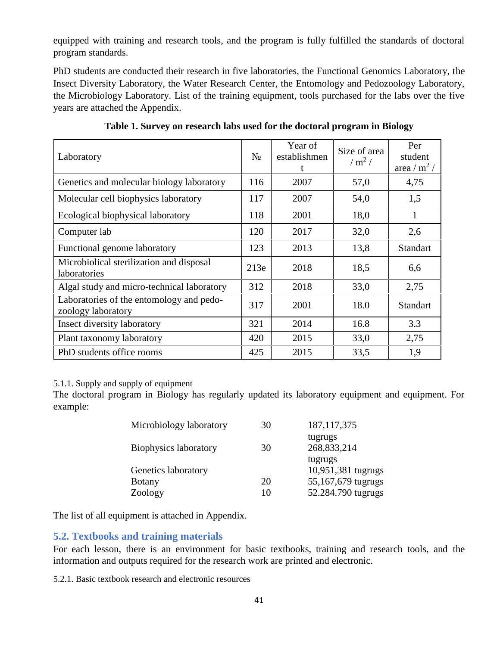equipped with training and research tools, and the program is fully fulfilled the standards of doctoral program standards.

PhD students are conducted their research in five laboratories, the Functional Genomics Laboratory, the Insect Diversity Laboratory, the Water Research Center, the Entomology and Pedozoology Laboratory, the Microbiology Laboratory. List of the training equipment, tools purchased for the labs over the five years are attached the Appendix.

| Laboratory                                                     |     | Year of<br>establishmen<br>t | Size of area<br>/ $m^2$ / | Per<br>student<br>area / $m^2$ / |
|----------------------------------------------------------------|-----|------------------------------|---------------------------|----------------------------------|
| Genetics and molecular biology laboratory                      | 116 | 2007                         | 57,0                      | 4,75                             |
| Molecular cell biophysics laboratory                           | 117 | 2007                         | 54,0                      | 1,5                              |
| Ecological biophysical laboratory                              | 118 | 2001                         | 18,0                      | 1                                |
| Computer lab                                                   | 120 | 2017                         | 32,0                      | 2,6                              |
| Functional genome laboratory                                   | 123 | 2013                         | 13,8                      | <b>Standart</b>                  |
| Microbiolical sterilization and disposal<br>laboratories       | 213 | 2018                         | 18,5                      | 6,6                              |
| Algal study and micro-technical laboratory                     | 312 | 2018                         | 33,0                      | 2,75                             |
| Laboratories of the entomology and pedo-<br>zoology laboratory | 317 | 2001                         | 18.0                      | <b>Standart</b>                  |
| Insect diversity laboratory                                    | 321 | 2014                         | 16.8                      | 3.3                              |
| Plant taxonomy laboratory                                      | 420 | 2015                         | 33,0                      | 2,75                             |
| PhD students office rooms                                      | 425 | 2015                         | 33,5                      | 1,9                              |

**Table 1. Survey on research labs used for the doctoral program in Biology**

#### 5.1.1. Supply and supply of equipment

The doctoral program in Biology has regularly updated its laboratory equipment and equipment. For example:

| Microbiology laboratory | 30 | 187, 117, 375          |
|-------------------------|----|------------------------|
| Biophysics laboratory   | 30 | tugrugs<br>268,833,214 |
|                         |    | tugrugs                |
| Genetics laboratory     |    | 10,951,381 tugrugs     |
| <b>Botany</b>           | 20 | 55,167,679 tugrugs     |
| Zoology                 | 10 | 52.284.790 tugrugs     |

The list of all equipment is attached in Appendix.

## **5.2. Textbooks and training materials**

For each lesson, there is an environment for basic textbooks, training and research tools, and the information and outputs required for the research work are printed and electronic.

5.2.1. Basic textbook research and electronic resources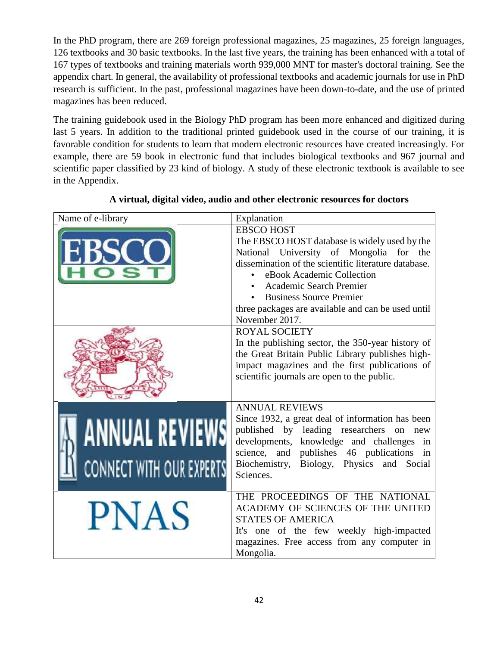In the PhD program, there are 269 foreign professional magazines, 25 magazines, 25 foreign languages, 126 textbooks and 30 basic textbooks. In the last five years, the training has been enhanced with a total of 167 types of textbooks and training materials worth 939,000 MNT for master's doctoral training. See the appendix chart. In general, the availability of professional textbooks and academic journals for use in PhD research is sufficient. In the past, professional magazines have been down-to-date, and the use of printed magazines has been reduced.

The training guidebook used in the Biology PhD program has been more enhanced and digitized during last 5 years. In addition to the traditional printed guidebook used in the course of our training, it is favorable condition for students to learn that modern electronic resources have created increasingly. For example, there are 59 book in electronic fund that includes biological textbooks and 967 journal and scientific paper classified by 23 kind of biology. A study of these electronic textbook is available to see in the Appendix.

| Name of e-library                                        | Explanation                                                                                                                                                                                                                                                                                                                                                                                                                                                                                                                                                               |
|----------------------------------------------------------|---------------------------------------------------------------------------------------------------------------------------------------------------------------------------------------------------------------------------------------------------------------------------------------------------------------------------------------------------------------------------------------------------------------------------------------------------------------------------------------------------------------------------------------------------------------------------|
|                                                          | <b>EBSCO HOST</b><br>The EBSCO HOST database is widely used by the<br>National University of Mongolia for the<br>dissemination of the scientific literature database.<br>eBook Academic Collection<br>Academic Search Premier<br><b>Business Source Premier</b><br>three packages are available and can be used until<br>November 2017.<br><b>ROYAL SOCIETY</b><br>In the publishing sector, the 350-year history of<br>the Great Britain Public Library publishes high-<br>impact magazines and the first publications of<br>scientific journals are open to the public. |
| <b>ANNUAL REVIEWS</b><br><b>CONNECT WITH OUR EXPERTS</b> | <b>ANNUAL REVIEWS</b><br>Since 1932, a great deal of information has been<br>published by leading researchers on new<br>developments, knowledge and challenges in<br>science, and publishes 46 publications in<br>Biochemistry, Biology, Physics and Social<br>Sciences.                                                                                                                                                                                                                                                                                                  |
| <b>PNAS</b>                                              | THE PROCEEDINGS OF THE NATIONAL<br>ACADEMY OF SCIENCES OF THE UNITED<br><b>STATES OF AMERICA</b><br>It's one of the few weekly high-impacted<br>magazines. Free access from any computer in<br>Mongolia.                                                                                                                                                                                                                                                                                                                                                                  |

#### **A virtual, digital video, audio and other electronic resources for doctors**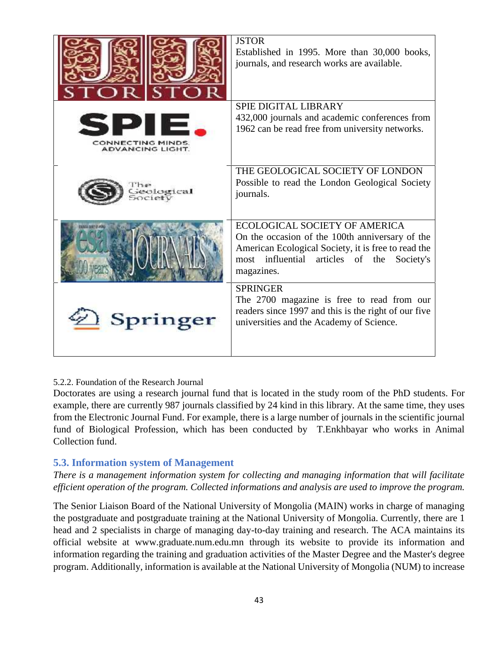|                                             | <b>JSTOR</b><br>Established in 1995. More than 30,000 books,<br>journals, and research works are available.                                                                                                      |
|---------------------------------------------|------------------------------------------------------------------------------------------------------------------------------------------------------------------------------------------------------------------|
| CONNECTING MINDS<br><b>ADVANCING LIGHT.</b> | <b>SPIE DIGITAL LIBRARY</b><br>432,000 journals and academic conferences from<br>1962 can be read free from university networks.                                                                                 |
| sological                                   | THE GEOLOGICAL SOCIETY OF LONDON<br>Possible to read the London Geological Society<br>journals.                                                                                                                  |
|                                             | <b>ECOLOGICAL SOCIETY OF AMERICA</b><br>On the occasion of the 100th anniversary of the<br>American Ecological Society, it is free to read the<br>most influential<br>articles of the<br>Society's<br>magazines. |
| Springer                                    | <b>SPRINGER</b><br>The 2700 magazine is free to read from our<br>readers since 1997 and this is the right of our five<br>universities and the Academy of Science.                                                |

#### 5.2.2. Foundation of the Research Journal

Doctorates are using a research journal fund that is located in the study room of the PhD students. For example, there are currently 987 journals classified by 24 kind in this library. At the same time, they uses from the Electronic Journal Fund. For example, there is a large number of journals in the scientific journal fund of Biological Profession, which has been conducted by T.Enkhbayar who works in Animal Collection fund.

#### **5.3. Information system of Management**

*There is a management information system for collecting and managing information that will facilitate efficient operation of the program. Collected informations and analysis are used to improve the program.*

The Senior Liaison Board of the National University of Mongolia (MAIN) works in charge of managing the postgraduate and postgraduate training at the National University of Mongolia. Currently, there are 1 head and 2 specialists in charge of managing day-to-day training and research. The ACA maintains its official website at www.graduate.num.edu.mn through its website to provide its information and information regarding the training and graduation activities of the Master Degree and the Master's degree program. Additionally, information is available at the National University of Mongolia (NUM) to increase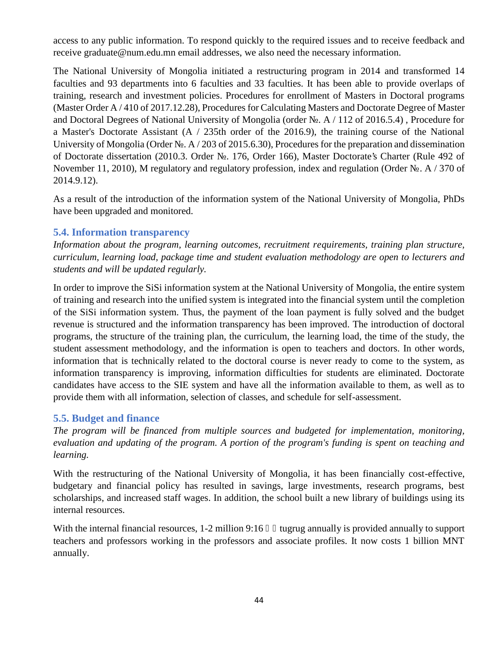access to any public information. To respond quickly to the required issues and to receive feedback and receive graduate@num.edu.mn email addresses, we also need the necessary information.

The National University of Mongolia initiated a restructuring program in 2014 and transformed 14 faculties and 93 departments into 6 faculties and 33 faculties. It has been able to provide overlaps of training, research and investment policies. Procedures for enrollment of Masters in Doctoral programs (Master Order A / 410 of 2017.12.28), Procedures for Calculating Masters and Doctorate Degree of Master and Doctoral Degrees of National University of Mongolia (order . A / 112 of 2016.5.4), Procedure for a Master's Doctorate Assistant (A / 235th order of the 2016.9), the training course of the National University of Mongolia (Order  $\therefore$  A / 203 of 2015.6.30), Procedures for the preparation and dissemination of Doctorate dissertation (2010.3. Order №. 176, Order 166), Master Doctorate's Charter (Rule 492 of November 11, 2010), M regulatory and regulatory profession, index and regulation (Order . A / 370 of 2014.9.12).

As a result of the introduction of the information system of the National University of Mongolia, PhDs have been upgraded and monitored.

#### **5.4. Information transparency**

*Information about the program, learning outcomes, recruitment requirements, training plan structure, curriculum, learning load, package time and student evaluation methodology are open to lecturers and students and will be updated regularly.*

In order to improve the SiSi information system at the National University of Mongolia, the entire system of training and research into the unified system is integrated into the financial system until the completion of the SiSi information system. Thus, the payment of the loan payment is fully solved and the budget revenue is structured and the information transparency has been improved. The introduction of doctoral programs, the structure of the training plan, the curriculum, the learning load, the time of the study, the student assessment methodology, and the information is open to teachers and doctors. In other words, information that is technically related to the doctoral course is never ready to come to the system, as information transparency is improving, information difficulties for students are eliminated. Doctorate candidates have access to the SIE system and have all the information available to them, as well as to provide them with all information, selection of classes, and schedule for self-assessment.

#### **5.5. Budget and finance**

*The program will be financed from multiple sources and budgeted for implementation, monitoring, evaluation and updating of the program. A portion of the program's funding is spent on teaching and learning.*

With the restructuring of the National University of Mongolia, it has been financially cost-effective, budgetary and financial policy has resulted in savings, large investments, research programs, best scholarships, and increased staff wages. In addition, the school built a new library of buildings using its internal resources.

With the internal financial resources,  $1\n-2$  million  $9:16$  tugrug annually is provided annually to support teachers and professors working in the professors and associate profiles. It now costs 1 billion MNT annually.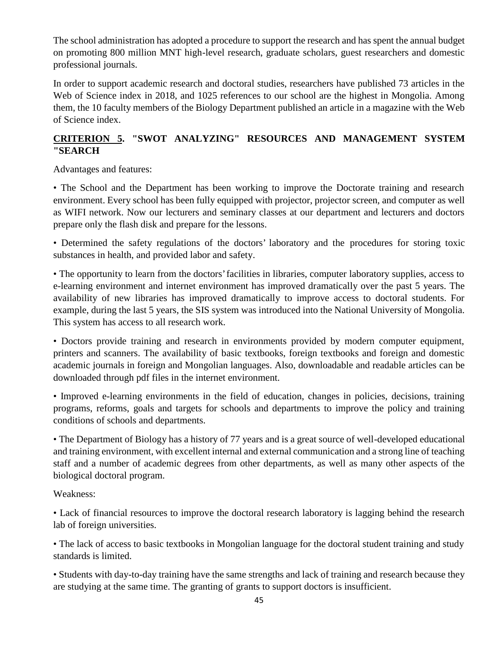The school administration has adopted a procedure to support the research and has spent the annual budget on promoting 800 million MNT high-level research, graduate scholars, guest researchers and domestic professional journals.

In order to support academic research and doctoral studies, researchers have published 73 articles in the Web of Science index in 2018, and 1025 references to our school are the highest in Mongolia. Among them, the 10 faculty members of the Biology Department published an article in a magazine with the Web of Science index.

## **CRITERION 5. "SWOT ANALYZING" RESOURCES AND MANAGEMENT SYSTEM "SEARCH**

Advantages and features:

• The School and the Department has been working to improve the Doctorate training and research environment. Every school has been fully equipped with projector, projector screen, and computer as well as WIFI network. Now our lecturers and seminary classes at our department and lecturers and doctors prepare only the flash disk and prepare for the lessons.

• Determined the safety regulations of the doctors' laboratory and the procedures for storing toxic substances in health, and provided labor and safety.

• The opportunity to learn from the doctors' facilities in libraries, computer laboratory supplies, access to e-learning environment and internet environment has improved dramatically over the past 5 years. The availability of new libraries has improved dramatically to improve access to doctoral students. For example, during the last 5 years, the SIS system was introduced into the National University of Mongolia. This system has access to all research work.

• Doctors provide training and research in environments provided by modern computer equipment, printers and scanners. The availability of basic textbooks, foreign textbooks and foreign and domestic academic journals in foreign and Mongolian languages. Also, downloadable and readable articles can be downloaded through pdf files in the internet environment.

• Improved e-learning environments in the field of education, changes in policies, decisions, training programs, reforms, goals and targets for schools and departments to improve the policy and training conditions of schools and departments.

• The Department of Biology has a history of 77 years and is a great source of well-developed educational and training environment, with excellent internal and external communication and a strong line of teaching staff and a number of academic degrees from other departments, as well as many other aspects of the biological doctoral program.

Weakness:

• Lack of financial resources to improve the doctoral research laboratory is lagging behind the research lab of foreign universities.

• The lack of access to basic textbooks in Mongolian language for the doctoral student training and study standards is limited.

• Students with day-to-day training have the same strengths and lack of training and research because they are studying at the same time. The granting of grants to support doctors is insufficient.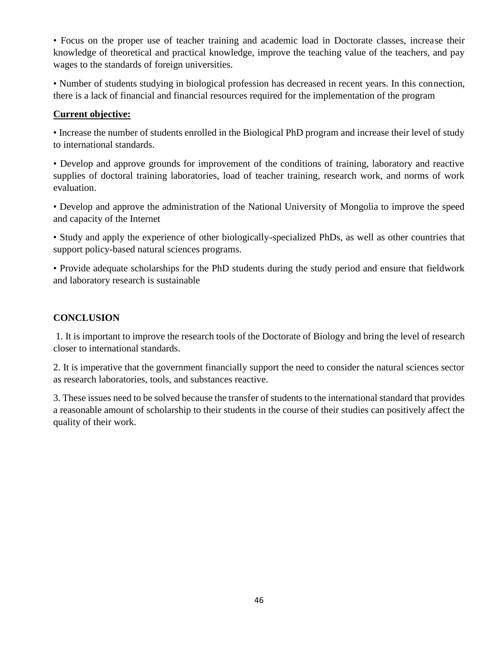• Focus on the proper use of teacher training and academic load in Doctorate classes, increase their knowledge of theoretical and practical knowledge, improve the teaching value of the teachers, and pay wages to the standards of foreign universities.

• Number of students studying in biological profession has decreased in recent years. In this connection, there is a lack of financial and financial resources required for the implementation of the program

#### **Current objective:**

• Increase the number of students enrolled in the Biological PhD program and increase their level of study to international standards.

• Develop and approve grounds for improvement of the conditions of training, laboratory and reactive supplies of doctoral training laboratories, load of teacher training, research work, and norms of work evaluation.

• Develop and approve the administration of the National University of Mongolia to improve the speed and capacity of the Internet

• Study and apply the experience of other biologically-specialized PhDs, as well as other countries that support policy-based natural sciences programs.

• Provide adequate scholarships for the PhD students during the study period and ensure that fieldwork and laboratory research is sustainable

#### **CONCLUSION**

1. It is important to improve the research tools of the Doctorate of Biology and bring the level of research closer to international standards.

2. It is imperative that the government financially support the need to consider the natural sciences sector as research laboratories, tools, and substances reactive.

3. These issues need to be solved because the transfer of students to the international standard that provides a reasonable amount of scholarship to their students in the course of their studies can positively affect the quality of their work.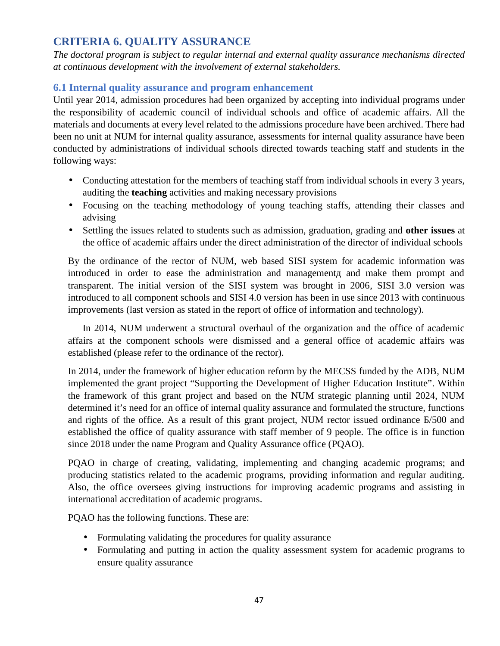## **CRITERIA 6. QUALITY ASSURANCE**

*The doctoral program is subject to regular internal and external quality assurance mechanisms directed at continuous development with the involvement of external stakeholders.*

## **6.1 Internal quality assurance and program enhancement**

Until year 2014, admission procedures had been organized by accepting into individual programs under the responsibility of academic council of individual schools and office of academic affairs. All the materials and documents at every level related to the admissions procedure have been archived. There had been no unit at NUM for internal quality assurance, assessments for internal quality assurance have been conducted by administrations of individual schools directed towards teaching staff and students in the following ways:

- Conducting attestation for the members of teaching staff from individual schools in every 3 years, auditing the **teaching** activities and making necessary provisions
- Focusing on the teaching methodology of young teaching staffs, attending their classes and advising
- Settling the issues related to students such as admission, graduation, grading and **other issues** at the office of academic affairs under the direct administration of the director of individual schools

By the ordinance of the rector of NUM, web based SISI system for academic information was introduced in order to ease the administration and management and make them prompt and transparent. The initial version of the SISI system was brought in 2006, SISI 3.0 version was introduced to all component schools and SISI 4.0 version has been in use since 2013 with continuous improvements (last version as stated in the report of office of information and technology).

In 2014, NUM underwent a structural overhaul of the organization and the office of academic affairs at the component schools were dismissed and a general office of academic affairs was established (please refer to the ordinance of the rector).

In 2014, under the framework of higher education reform by the MECSS funded by the ADB, NUM implemented the grant project "Supporting the Development of Higher Education Institute". Within the framework of this grant project and based on the NUM strategic planning until 2024, NUM determined it's need for an office of internal quality assurance and formulated the structure, functions and rights of the office. As a result of this grant project, NUM rector issued ordinance /500 and established the office of quality assurance with staff member of 9 people. The office is in function since 2018 under the name Program and Quality Assurance office (PQAO).

PQAO in charge of creating, validating, implementing and changing academic programs; and producing statistics related to the academic programs, providing information and regular auditing. Also, the office oversees giving instructions for improving academic programs and assisting in international accreditation of academic programs.

PQAO has the following functions. These are:

- Formulating validating the procedures for quality assurance
- Formulating and putting in action the quality assessment system for academic programs to ensure quality assurance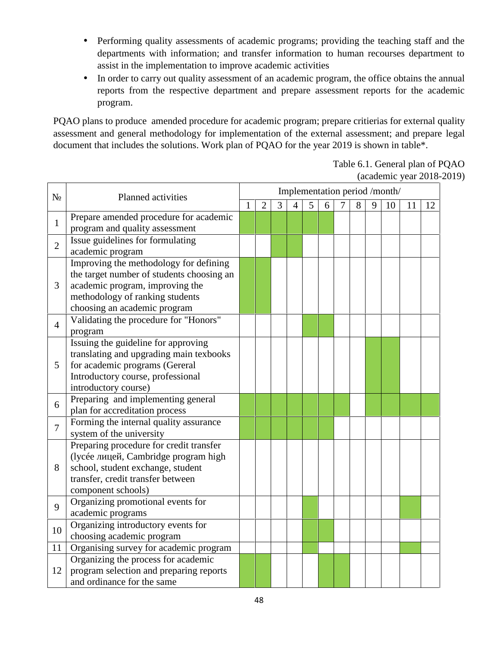- Performing quality assessments of academic programs; providing the teaching staff and the departments with information; and transfer information to human recourses department to assist in the implementation to improve academic activities
- In order to carry out quality assessment of an academic program, the office obtains the annual reports from the respective department and prepare assessment reports for the academic program.

PQAO plans to produce amended procedure for academic program; prepare critierias for external quality assessment and general methodology for implementation of the external assessment; and prepare legal document that includes the solutions. Work plan of PQAO for the year 2019 is shown in table\*.

> Table 6.1. General plan of PQAO (academic year 2018-2019)

|                | Planned activities                                                                                                                                                                        | Implementation period /month/ |                |   |   |   |   |   |   |   |    |    |    |
|----------------|-------------------------------------------------------------------------------------------------------------------------------------------------------------------------------------------|-------------------------------|----------------|---|---|---|---|---|---|---|----|----|----|
|                |                                                                                                                                                                                           | 1                             | $\overline{2}$ | 3 | 4 | 5 | 6 | 7 | 8 | 9 | 10 | 11 | 12 |
| $\mathbf{1}$   | Prepare amended procedure for academic<br>program and quality assessment                                                                                                                  |                               |                |   |   |   |   |   |   |   |    |    |    |
| $\overline{2}$ | Issue guidelines for formulating<br>academic program                                                                                                                                      |                               |                |   |   |   |   |   |   |   |    |    |    |
| 3              | Improving the methodology for defining<br>the target number of students choosing an<br>academic program, improving the<br>methodology of ranking students<br>choosing an academic program |                               |                |   |   |   |   |   |   |   |    |    |    |
| $\overline{4}$ | Validating the procedure for "Honors"<br>program                                                                                                                                          |                               |                |   |   |   |   |   |   |   |    |    |    |
| 5              | Issuing the guideline for approving<br>translating and upgrading main texbooks<br>for academic programs (Gereral<br>Introductory course, professional<br>introductory course)             |                               |                |   |   |   |   |   |   |   |    |    |    |
| 6              | Preparing and implementing general<br>plan for accreditation process                                                                                                                      |                               |                |   |   |   |   |   |   |   |    |    |    |
| 7              | Forming the internal quality assurance<br>system of the university                                                                                                                        |                               |                |   |   |   |   |   |   |   |    |    |    |
| 8              | Preparing procedure for credit transfer<br>, Cambridge program high<br>(lycée<br>school, student exchange, student<br>transfer, credit transfer between<br>component schools)             |                               |                |   |   |   |   |   |   |   |    |    |    |
| 9              | Organizing promotional events for<br>academic programs                                                                                                                                    |                               |                |   |   |   |   |   |   |   |    |    |    |
| 10             | Organizing introductory events for<br>choosing academic program                                                                                                                           |                               |                |   |   |   |   |   |   |   |    |    |    |
| 11             | Organising survey for academic program                                                                                                                                                    |                               |                |   |   |   |   |   |   |   |    |    |    |
| 12             | Organizing the process for academic<br>program selection and preparing reports<br>and ordinance for the same                                                                              |                               |                |   |   |   |   |   |   |   |    |    |    |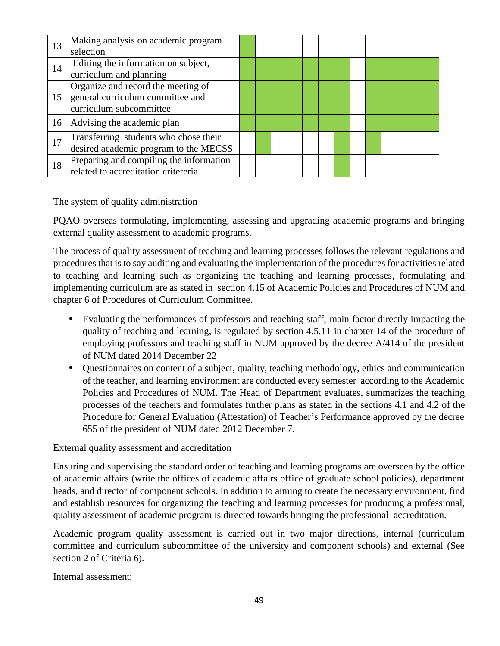| 13 | Making analysis on academic program     |  |  |  |  |  |  |
|----|-----------------------------------------|--|--|--|--|--|--|
|    | selection                               |  |  |  |  |  |  |
| 14 | Editing the information on subject,     |  |  |  |  |  |  |
|    | curriculum and planning                 |  |  |  |  |  |  |
|    | Organize and record the meeting of      |  |  |  |  |  |  |
| 15 | general curriculum committee and        |  |  |  |  |  |  |
|    | curriculum subcommittee                 |  |  |  |  |  |  |
| 16 | Advising the academic plan              |  |  |  |  |  |  |
| 17 | Transferring students who chose their   |  |  |  |  |  |  |
|    | desired academic program to the MECSS   |  |  |  |  |  |  |
| 18 | Preparing and compiling the information |  |  |  |  |  |  |
|    | related to accreditation critereria     |  |  |  |  |  |  |

The system of quality administration

PQAO overseas formulating, implementing, assessing and upgrading academic programs and bringing external quality assessment to academic programs.

The process of quality assessment of teaching and learning processes follows the relevant regulations and procedures that is to say auditing and evaluating the implementation of the procedures for activities related to teaching and learning such as organizing the teaching and learning processes, formulating and implementing curriculum are as stated in section 4.15 of Academic Policies and Procedures of NUM and chapter 6 of Procedures of Curriculum Committee.

- Evaluating the performances of professors and teaching staff, main factor directly impacting the quality of teaching and learning, is regulated by section 4.5.11 in chapter 14 of the procedure of employing professors and teaching staff in NUM approved by the decree A/414 of the president of NUM dated 2014 December 22
- Questionnaires on content of a subject, quality, teaching methodology, ethics and communication of the teacher, and learning environment are conducted every semester according to the Academic Policies and Procedures of NUM. The Head of Department evaluates, summarizes the teaching processes of the teachers and formulates further plans as stated in the sections 4.1 and 4.2 of the Procedure for General Evaluation (Attestation) of Teacher's Performance approved by the decree 655 of the president of NUM dated 2012 December 7.

External quality assessment and accreditation

Ensuring and supervising the standard order of teaching and learning programs are overseen by the office of academic affairs (write the offices of academic affairs office of graduate school policies), department heads, and director of component schools. In addition to aiming to create the necessary environment, find and establish resources for organizing the teaching and learning processes for producing a professional, quality assessment of academic program is directed towards bringing the professional accreditation.

Academic program quality assessment is carried out in two major directions, internal (curriculum committee and curriculum subcommittee of the university and component schools) and external (See section 2 of Criteria 6).

Internal assessment: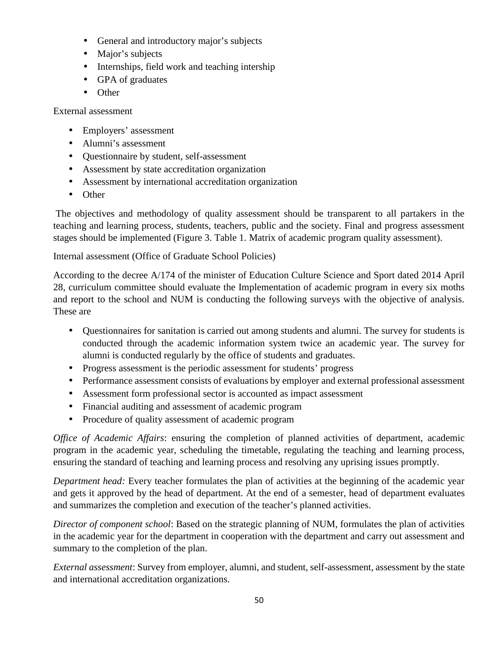- General and introductory major's subjects
- Major's subjects
- Internships, field work and teaching intership
- GPA of graduates
- Other

External assessment

- Employers' assessment
- Alumni's assessment
- Questionnaire by student, self-assessment
- Assessment by state accreditation organization
- Assessment by international accreditation organization
- Other

The objectives and methodology of quality assessment should be transparent to all partakers in the teaching and learning process, students, teachers, public and the society. Final and progress assessment stages should be implemented (Figure 3. Table 1. Matrix of academic program quality assessment).

Internal assessment (Office of Graduate School Policies)

According to the decree A/174 of the minister of Education Culture Science and Sport dated 2014 April 28, curriculum committee should evaluate the Implementation of academic program in every six moths and report to the school and NUM is conducting the following surveys with the objective of analysis. These are

- Questionnaires for sanitation is carried out among students and alumni. The survey for students is conducted through the academic information system twice an academic year. The survey for alumni is conducted regularly by the office of students and graduates.
- Progress assessment is the periodic assessment for students' progress
- Performance assessment consists of evaluations by employer and external professional assessment
- Assessment form professional sector is accounted as impact assessment
- Financial auditing and assessment of academic program
- Procedure of quality assessment of academic program

*Office of Academic Affairs*: ensuring the completion of planned activities of department, academic program in the academic year, scheduling the timetable, regulating the teaching and learning process, ensuring the standard of teaching and learning process and resolving any uprising issues promptly.

*Department head:* Every teacher formulates the plan of activities at the beginning of the academic year and gets it approved by the head of department. At the end of a semester, head of department evaluates and summarizes the completion and execution of the teacher's planned activities.

*Director of component school*: Based on the strategic planning of NUM, formulates the plan of activities in the academic year for the department in cooperation with the department and carry out assessment and summary to the completion of the plan.

*External assessment*: Survey from employer, alumni, and student, self-assessment, assessment by the state and international accreditation organizations.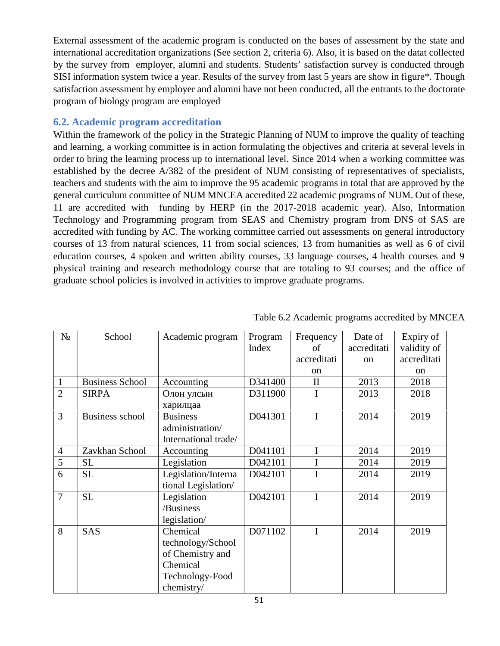External assessment of the academic program is conducted on the bases of assessment by the state and international accreditation organizations (See section 2, criteria 6). Also, it is based on the datat collected by the survey from employer, alumni and students. Students' satisfaction survey is conducted through SISI information system twice a year. Results of the survey from last 5 years are show in figure\*. Though satisfaction assessment by employer and alumni have not been conducted, all the entrants to the doctorate program of biology program are employed

#### **6.2. Academic program accreditation**

Within the framework of the policy in the Strategic Planning of NUM to improve the quality of teaching and learning, a working committee is in action formulating the objectives and criteria at several levels in order to bring the learning process up to international level. Since 2014 when a working committee was established by the decree A/382 of the president of NUM consisting of representatives of specialists, teachers and students with the aim to improve the 95 academic programs in total that are approved by the general curriculum committee of NUM MNCEA accredited 22 academic programs of NUM. Out of these, 11 are accredited with funding by HERP (in the 2017-2018 academic year). Also, Information Technology and Programming program from SEAS and Chemistry program from DNS of SAS are accredited with funding by AC. The working committee carried out assessments on general introductory courses of 13 from natural sciences, 11 from social sciences, 13 from humanities as well as 6 of civil education courses, 4 spoken and written ability courses, 33 language courses, 4 health courses and 9 physical training and research methodology course that are totaling to 93 courses; and the office of graduate school policies is involved in activities to improve graduate programs.

|                | School                 | Academic program                                                                               | Program<br>Index | Frequency<br>of | Date of<br>accreditati | Expiry of<br>validity of |
|----------------|------------------------|------------------------------------------------------------------------------------------------|------------------|-----------------|------------------------|--------------------------|
|                |                        |                                                                                                |                  | accreditati     | <sub>on</sub>          | accreditati              |
|                |                        |                                                                                                |                  | on              |                        | <sub>on</sub>            |
| $\mathbf{1}$   | <b>Business School</b> | Accounting                                                                                     | D341400          | $\mathbf{I}$    | 2013                   | 2018                     |
| $\overline{2}$ | <b>SIRPA</b>           |                                                                                                | D311900          |                 | 2013                   | 2018                     |
| 3              | Business school        | <b>Business</b><br>administration/<br>International trade/                                     | D041301          | I               | 2014                   | 2019                     |
| $\overline{4}$ | Zavkhan School         | Accounting                                                                                     | D041101          | $\mathbf I$     | 2014                   | 2019                     |
| 5              | SL                     | Legislation                                                                                    | D042101          |                 | 2014                   | 2019                     |
| 6              | <b>SL</b>              | Legislation/Interna<br>tional Legislation/                                                     | D042101          | I               | 2014                   | 2019                     |
| $\overline{7}$ | <b>SL</b>              | Legislation<br>/Business<br>legislation/                                                       | D042101          | I               | 2014                   | 2019                     |
| 8              | <b>SAS</b>             | Chemical<br>technology/School<br>of Chemistry and<br>Chemical<br>Technology-Food<br>chemistry/ | D071102          | I               | 2014                   | 2019                     |

Table 6.2 Academic programs accredited by MNCEA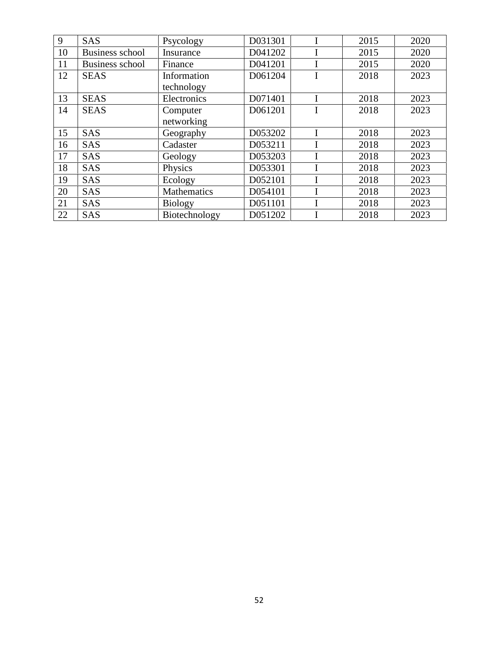| 9  | <b>SAS</b>             | Psycology          | D031301 |  | 2015 | 2020 |
|----|------------------------|--------------------|---------|--|------|------|
| 10 | <b>Business school</b> | Insurance          | D041202 |  | 2015 | 2020 |
| 11 | <b>Business school</b> | Finance            | D041201 |  | 2015 | 2020 |
| 12 | <b>SEAS</b>            | Information        | D061204 |  | 2018 | 2023 |
|    |                        | technology         |         |  |      |      |
| 13 | <b>SEAS</b>            | Electronics        | D071401 |  | 2018 | 2023 |
| 14 | <b>SEAS</b>            | Computer           | D061201 |  | 2018 | 2023 |
|    |                        | networking         |         |  |      |      |
| 15 | <b>SAS</b>             | Geography          | D053202 |  | 2018 | 2023 |
| 16 | <b>SAS</b>             | Cadaster           | D053211 |  | 2018 | 2023 |
| 17 | <b>SAS</b>             | Geology            | D053203 |  | 2018 | 2023 |
| 18 | <b>SAS</b>             | Physics            | D053301 |  | 2018 | 2023 |
| 19 | <b>SAS</b>             | Ecology            | D052101 |  | 2018 | 2023 |
| 20 | <b>SAS</b>             | <b>Mathematics</b> | D054101 |  | 2018 | 2023 |
| 21 | <b>SAS</b>             | <b>Biology</b>     | D051101 |  | 2018 | 2023 |
| 22 | <b>SAS</b>             | Biotechnology      | D051202 |  | 2018 | 2023 |
|    |                        |                    |         |  |      |      |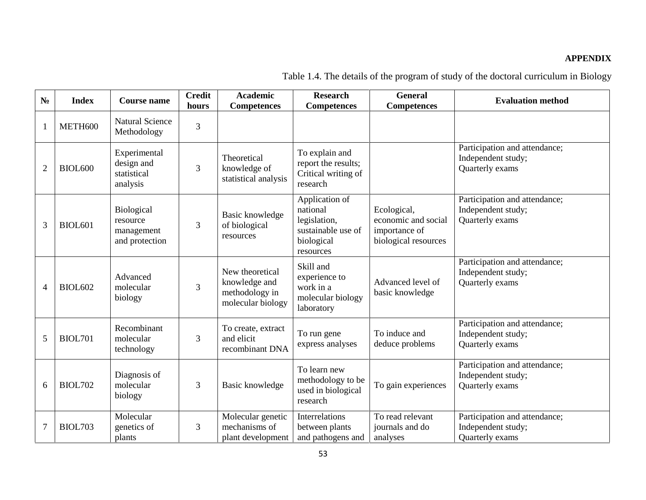#### **APPENDIX**

|                | <b>Index</b>   | <b>Course name</b>                                            | <b>Credit</b><br>hours | <b>Academic</b><br><b>Competences</b>                                   | <b>Research</b><br><b>Competences</b>                                                       | <b>General</b><br><b>Competences</b>                                        | <b>Evaluation method</b>                                               |
|----------------|----------------|---------------------------------------------------------------|------------------------|-------------------------------------------------------------------------|---------------------------------------------------------------------------------------------|-----------------------------------------------------------------------------|------------------------------------------------------------------------|
|                | METH600        | <b>Natural Science</b><br>Methodology                         | 3                      |                                                                         |                                                                                             |                                                                             |                                                                        |
| $\overline{2}$ | <b>BIOL600</b> | Experimental<br>design and<br>statistical<br>analysis         | 3                      | Theoretical<br>knowledge of<br>statistical analysis                     | To explain and<br>report the results;<br>Critical writing of<br>research                    |                                                                             | Participation and attendance;<br>Independent study;<br>Quarterly exams |
| 3              | <b>BIOL601</b> | <b>Biological</b><br>resource<br>management<br>and protection | 3                      | Basic knowledge<br>of biological<br>resources                           | Application of<br>national<br>legislation,<br>sustainable use of<br>biological<br>resources | Ecological,<br>economic and social<br>importance of<br>biological resources | Participation and attendance;<br>Independent study;<br>Quarterly exams |
| 4              | <b>BIOL602</b> | Advanced<br>molecular<br>biology                              | 3                      | New theoretical<br>knowledge and<br>methodology in<br>molecular biology | Skill and<br>experience to<br>work in a<br>molecular biology<br>laboratory                  | Advanced level of<br>basic knowledge                                        | Participation and attendance;<br>Independent study;<br>Quarterly exams |
| 5              | <b>BIOL701</b> | Recombinant<br>molecular<br>technology                        | 3                      | To create, extract<br>and elicit<br>recombinant DNA                     | To run gene<br>express analyses                                                             | To induce and<br>deduce problems                                            | Participation and attendance;<br>Independent study;<br>Quarterly exams |
| 6              | <b>BIOL702</b> | Diagnosis of<br>molecular<br>biology                          | 3                      | Basic knowledge                                                         | To learn new<br>methodology to be<br>used in biological<br>research                         | To gain experiences                                                         | Participation and attendance;<br>Independent study;<br>Quarterly exams |
| $\overline{7}$ | <b>BIOL703</b> | Molecular<br>genetics of<br>plants                            | 3                      | Molecular genetic<br>mechanisms of<br>plant development                 | Interrelations<br>between plants<br>and pathogens and                                       | To read relevant<br>journals and do<br>analyses                             | Participation and attendance;<br>Independent study;<br>Quarterly exams |

Table 1.4. The details of the program of study of the doctoral curriculum in Biology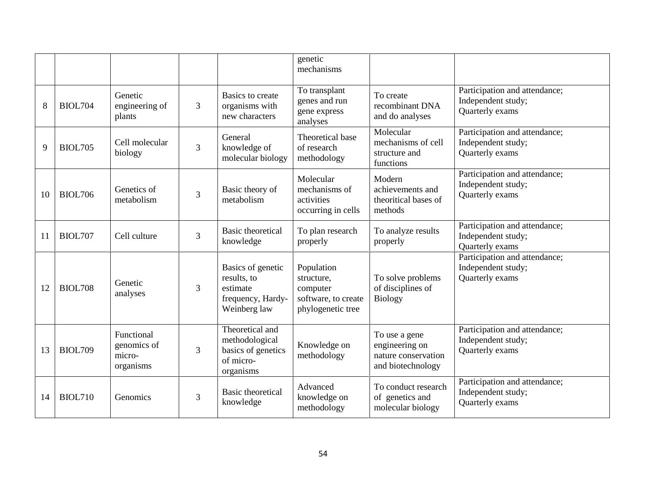|    |                |                                                  |                |                                                                                   | genetic<br>mechanisms                                                            |                                                                             |                                                                        |
|----|----------------|--------------------------------------------------|----------------|-----------------------------------------------------------------------------------|----------------------------------------------------------------------------------|-----------------------------------------------------------------------------|------------------------------------------------------------------------|
| 8  | <b>BIOL704</b> | Genetic<br>engineering of<br>plants              | 3              | Basics to create<br>organisms with<br>new characters                              | To transplant<br>genes and run<br>gene express<br>analyses                       | To create<br>recombinant DNA<br>and do analyses                             | Participation and attendance;<br>Independent study;<br>Quarterly exams |
| 9  | <b>BIOL705</b> | Cell molecular<br>biology                        | $\overline{3}$ | General<br>knowledge of<br>molecular biology                                      | Theoretical base<br>of research<br>methodology                                   | Molecular<br>mechanisms of cell<br>structure and<br>functions               | Participation and attendance;<br>Independent study;<br>Quarterly exams |
| 10 | <b>BIOL706</b> | Genetics of<br>metabolism                        | 3              | Basic theory of<br>metabolism                                                     | Molecular<br>mechanisms of<br>activities<br>occurring in cells                   | Modern<br>achievements and<br>theoritical bases of<br>methods               | Participation and attendance;<br>Independent study;<br>Quarterly exams |
| 11 | <b>BIOL707</b> | Cell culture                                     | 3              | <b>Basic theoretical</b><br>knowledge                                             | To plan research<br>properly                                                     | To analyze results<br>properly                                              | Participation and attendance;<br>Independent study;<br>Quarterly exams |
| 12 | <b>BIOL708</b> | Genetic<br>analyses                              | 3              | Basics of genetic<br>results, to<br>estimate<br>frequency, Hardy-<br>Weinberg law | Population<br>structure,<br>computer<br>software, to create<br>phylogenetic tree | To solve problems<br>of disciplines of<br><b>Biology</b>                    | Participation and attendance;<br>Independent study;<br>Quarterly exams |
| 13 | <b>BIOL709</b> | Functional<br>genomics of<br>micro-<br>organisms | 3              | Theoretical and<br>methodological<br>basics of genetics<br>of micro-<br>organisms | Knowledge on<br>methodology                                                      | To use a gene<br>engineering on<br>nature conservation<br>and biotechnology | Participation and attendance;<br>Independent study;<br>Quarterly exams |
| 14 | <b>BIOL710</b> | Genomics                                         | 3              | <b>Basic theoretical</b><br>knowledge                                             | Advanced<br>knowledge on<br>methodology                                          | To conduct research<br>of genetics and<br>molecular biology                 | Participation and attendance;<br>Independent study;<br>Quarterly exams |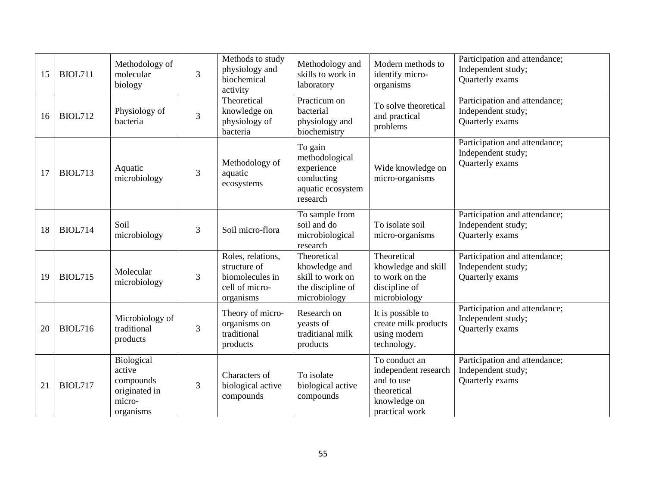| 15 | <b>BIOL711</b> | Methodology of<br>molecular<br>biology                                    | $\overline{3}$ | Methods to study<br>physiology and<br>biochemical<br>activity                       | Methodology and<br>skills to work in<br>laboratory                                     | Modern methods to<br>identify micro-<br>organisms                                                    | Participation and attendance;<br>Independent study;<br>Quarterly exams |
|----|----------------|---------------------------------------------------------------------------|----------------|-------------------------------------------------------------------------------------|----------------------------------------------------------------------------------------|------------------------------------------------------------------------------------------------------|------------------------------------------------------------------------|
| 16 | <b>BIOL712</b> | Physiology of<br>bacteria                                                 | 3              | Theoretical<br>knowledge on<br>physiology of<br>bacteria                            | Practicum on<br>bacterial<br>physiology and<br>biochemistry                            | To solve theoretical<br>and practical<br>problems                                                    | Participation and attendance;<br>Independent study;<br>Quarterly exams |
| 17 | <b>BIOL713</b> | Aquatic<br>microbiology                                                   | 3              | Methodology of<br>aquatic<br>ecosystems                                             | To gain<br>methodological<br>experience<br>conducting<br>aquatic ecosystem<br>research | Wide knowledge on<br>micro-organisms                                                                 | Participation and attendance;<br>Independent study;<br>Quarterly exams |
| 18 | <b>BIOL714</b> | Soil<br>microbiology                                                      | 3              | Soil micro-flora                                                                    | To sample from<br>soil and do<br>microbiological<br>research                           | To isolate soil<br>micro-organisms                                                                   | Participation and attendance;<br>Independent study;<br>Quarterly exams |
| 19 | <b>BIOL715</b> | Molecular<br>microbiology                                                 | 3              | Roles, relations,<br>structure of<br>biomolecules in<br>cell of micro-<br>organisms | Theoretical<br>khowledge and<br>skill to work on<br>the discipline of<br>microbiology  | Theoretical<br>khowledge and skill<br>to work on the<br>discipline of<br>microbiology                | Participation and attendance;<br>Independent study;<br>Quarterly exams |
| 20 | <b>BIOL716</b> | Microbiology of<br>traditional<br>products                                | 3              | Theory of micro-<br>organisms on<br>traditional<br>products                         | Research on<br>yeasts of<br>traditianal milk<br>products                               | It is possible to<br>create milk products<br>using modern<br>technology.                             | Participation and attendance;<br>Independent study;<br>Quarterly exams |
| 21 | <b>BIOL717</b> | Biological<br>active<br>compounds<br>originated in<br>micro-<br>organisms | 3              | Characters of<br>biological active<br>compounds                                     | To isolate<br>biological active<br>compounds                                           | To conduct an<br>independent research<br>and to use<br>theoretical<br>knowledge on<br>practical work | Participation and attendance;<br>Independent study;<br>Quarterly exams |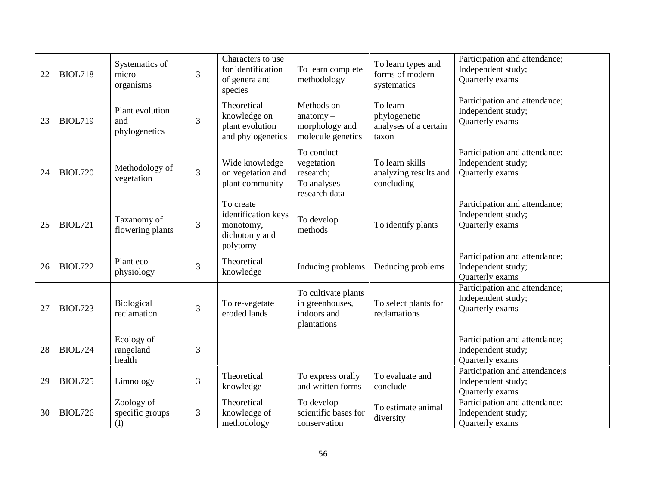| 22 | <b>BIOL718</b> | Systematics of<br>micro-<br>organisms   | 3              | Characters to use<br>for identification<br>of genera and<br>species        | To learn complete<br>methodology                                      | To learn types and<br>forms of modern<br>systematics       | Participation and attendance;<br>Independent study;<br>Quarterly exams  |
|----|----------------|-----------------------------------------|----------------|----------------------------------------------------------------------------|-----------------------------------------------------------------------|------------------------------------------------------------|-------------------------------------------------------------------------|
| 23 | <b>BIOL719</b> | Plant evolution<br>and<br>phylogenetics | 3              | Theoretical<br>knowledge on<br>plant evolution<br>and phylogenetics        | Methods on<br>$anatomy -$<br>morphology and<br>molecule genetics      | To learn<br>phylogenetic<br>analyses of a certain<br>taxon | Participation and attendance;<br>Independent study;<br>Quarterly exams  |
| 24 | <b>BIOL720</b> | Methodology of<br>vegetation            | $\overline{3}$ | Wide knowledge<br>on vegetation and<br>plant community                     | To conduct<br>vegetation<br>research;<br>To analyses<br>research data | To learn skills<br>analyzing results and<br>concluding     | Participation and attendance;<br>Independent study;<br>Quarterly exams  |
| 25 | <b>BIOL721</b> | Taxanomy of<br>flowering plants         | 3              | To create<br>identification keys<br>monotomy,<br>dichotomy and<br>polytomy | To develop<br>methods                                                 | To identify plants                                         | Participation and attendance;<br>Independent study;<br>Quarterly exams  |
| 26 | <b>BIOL722</b> | Plant eco-<br>physiology                | 3              | Theoretical<br>knowledge                                                   | Inducing problems                                                     | Deducing problems                                          | Participation and attendance;<br>Independent study;<br>Quarterly exams  |
| 27 | <b>BIOL723</b> | Biological<br>reclamation               | 3              | To re-vegetate<br>eroded lands                                             | To cultivate plants<br>in greenhouses,<br>indoors and<br>plantations  | To select plants for<br>reclamations                       | Participation and attendance;<br>Independent study;<br>Quarterly exams  |
| 28 | <b>BIOL724</b> | Ecology of<br>rangeland<br>health       | 3              |                                                                            |                                                                       |                                                            | Participation and attendance;<br>Independent study;<br>Quarterly exams  |
| 29 | <b>BIOL725</b> | Limnology                               | 3              | Theoretical<br>knowledge                                                   | To express orally<br>and written forms                                | To evaluate and<br>conclude                                | Participation and attendance;s<br>Independent study;<br>Quarterly exams |
| 30 | <b>BIOL726</b> | Zoology of<br>specific groups<br>(I)    | 3              | Theoretical<br>knowledge of<br>methodology                                 | To develop<br>scientific bases for<br>conservation                    | To estimate animal<br>diversity                            | Participation and attendance;<br>Independent study;<br>Quarterly exams  |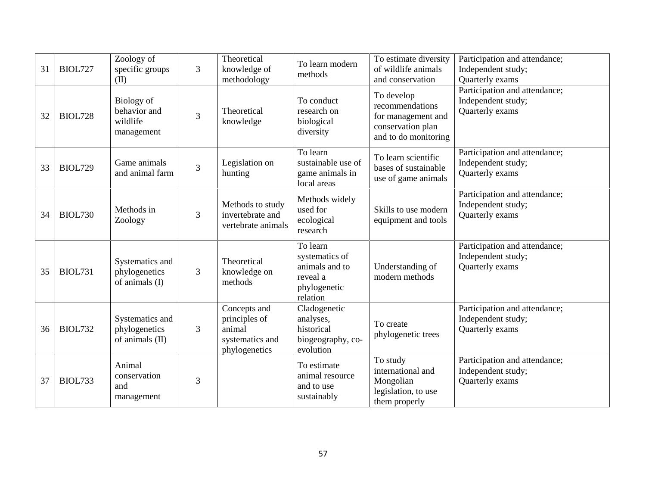| 31<br><b>BIOL727</b> | Zoology of<br>specific groups<br>(II)                | $\overline{3}$ | Theoretical<br>knowledge of<br>methodology                                  | To learn modern<br>methods                                                           | To estimate diversity<br>of wildlife animals<br>and conservation                                 | Participation and attendance;<br>Independent study;<br>Quarterly exams |
|----------------------|------------------------------------------------------|----------------|-----------------------------------------------------------------------------|--------------------------------------------------------------------------------------|--------------------------------------------------------------------------------------------------|------------------------------------------------------------------------|
| <b>BIOL728</b><br>32 | Biology of<br>behavior and<br>wildlife<br>management | 3              | Theoretical<br>knowledge                                                    | To conduct<br>research on<br>biological<br>diversity                                 | To develop<br>recommendations<br>for management and<br>conservation plan<br>and to do monitoring | Participation and attendance;<br>Independent study;<br>Quarterly exams |
| <b>BIOL729</b><br>33 | Game animals<br>and animal farm                      | 3              | Legislation on<br>hunting                                                   | To learn<br>sustainable use of<br>game animals in<br>local areas                     | To learn scientific<br>bases of sustainable<br>use of game animals                               | Participation and attendance;<br>Independent study;<br>Quarterly exams |
| <b>BIOL730</b><br>34 | Methods in<br>Zoology                                | 3              | Methods to study<br>invertebrate and<br>vertebrate animals                  | Methods widely<br>used for<br>ecological<br>research                                 | Skills to use modern<br>equipment and tools                                                      | Participation and attendance;<br>Independent study;<br>Quarterly exams |
| <b>BIOL731</b><br>35 | Systematics and<br>phylogenetics<br>of animals (I)   | $\overline{3}$ | Theoretical<br>knowledge on<br>methods                                      | To learn<br>systematics of<br>animals and to<br>reveal a<br>phylogenetic<br>relation | Understanding of<br>modern methods                                                               | Participation and attendance;<br>Independent study;<br>Quarterly exams |
| <b>BIOL732</b><br>36 | Systematics and<br>phylogenetics<br>of animals (II)  | $\overline{3}$ | Concepts and<br>principles of<br>animal<br>systematics and<br>phylogenetics | Cladogenetic<br>analyses,<br>historical<br>biogeography, co-<br>evolution            | To create<br>phylogenetic trees                                                                  | Participation and attendance;<br>Independent study;<br>Quarterly exams |
| <b>BIOL733</b><br>37 | Animal<br>conservation<br>and<br>management          | 3              |                                                                             | To estimate<br>animal resource<br>and to use<br>sustainably                          | To study<br>international and<br>Mongolian<br>legislation, to use<br>them properly               | Participation and attendance;<br>Independent study;<br>Quarterly exams |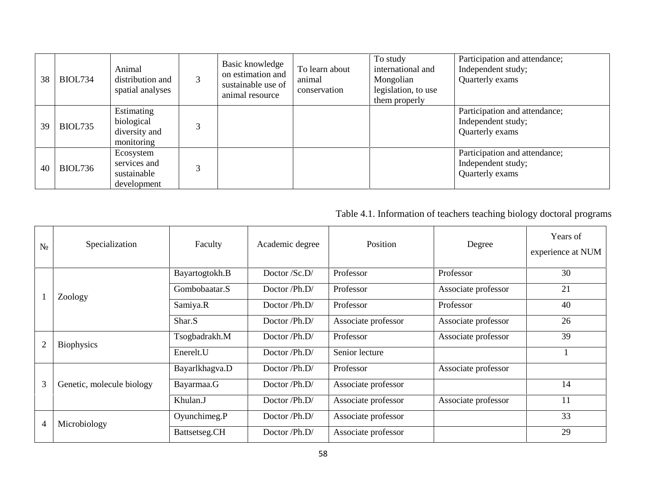| 38 | <b>BIOL734</b> | Animal<br>distribution and<br>spatial analyses          | 3 | Basic knowledge<br>on estimation and<br>sustainable use of<br>animal resource | To learn about<br>animal<br>conservation | To study<br>international and<br>Mongolian<br>legislation, to use<br>them properly | Participation and attendance;<br>Independent study;<br>Quarterly exams |
|----|----------------|---------------------------------------------------------|---|-------------------------------------------------------------------------------|------------------------------------------|------------------------------------------------------------------------------------|------------------------------------------------------------------------|
| 39 | <b>BIOL735</b> | Estimating<br>biological<br>diversity and<br>monitoring |   |                                                                               |                                          |                                                                                    | Participation and attendance;<br>Independent study;<br>Quarterly exams |
| 40 | <b>BIOL736</b> | Ecosystem<br>services and<br>sustainable<br>development |   |                                                                               |                                          |                                                                                    | Participation and attendance;<br>Independent study;<br>Quarterly exams |

# Table 4.1. Information of teachers teaching biology doctoral programs

|                | Specialization            | Faculty        | Academic degree                  | Position            | Degree              | Years of<br>experience at NUM |
|----------------|---------------------------|----------------|----------------------------------|---------------------|---------------------|-------------------------------|
|                |                           | Bayartogtokh.B | Doctor $/S$ .D/                  | Professor           | Professor           | 30                            |
|                | Zoology                   | Gombobaatar.S  | Doctor /Ph.D/                    | Professor           | Associate professor | 21                            |
|                |                           | Samiya.R       | Doctor /Ph.D/                    | Professor           | Professor           | 40                            |
|                |                           | Shar.S         | Doctor $\mathsf{Ph.D}/\mathsf{}$ | Associate professor | Associate professor | 26                            |
| $\overline{2}$ | <b>Biophysics</b>         | Tsogbadrakh.M  | Doctor /Ph.D/                    | Professor           | Associate professor | 39                            |
|                |                           | Enerelt.U      | Doctor /Ph.D/                    | Senior lecture      |                     |                               |
|                |                           | Bayarlkhagva.D | Doctor /Ph.D/                    | Professor           | Associate professor |                               |
| 3              | Genetic, molecule biology | Bayarmaa.G     | Doctor /Ph.D/                    | Associate professor |                     | 14                            |
|                |                           | Khulan.J       | Doctor /Ph.D/                    | Associate professor | Associate professor | 11                            |
|                |                           | Oyunchimeg.P   | Doctor /Ph.D/                    | Associate professor |                     | 33                            |
| $\overline{4}$ | Microbiology              | Battsetseg.CH  | Doctor /Ph.D/                    | Associate professor |                     | 29                            |
|                |                           |                |                                  |                     |                     |                               |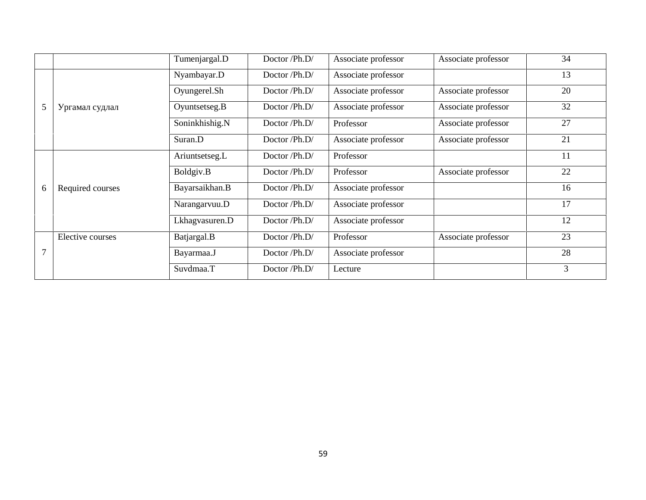|                       | Tumenjargal.D  | Doctor /Ph.D/ | Associate professor | Associate professor | 34 |
|-----------------------|----------------|---------------|---------------------|---------------------|----|
|                       | Nyambayar.D    | Doctor /Ph.D/ | Associate professor |                     | 13 |
|                       | Oyungerel.Sh   | Doctor /Ph.D/ | Associate professor | Associate professor | 20 |
| 5                     | Oyuntsetseg.B  | Doctor /Ph.D/ | Associate professor | Associate professor | 32 |
|                       | Soninkhishig.N | Doctor /Ph.D/ | Professor           | Associate professor | 27 |
|                       | Suran.D        | Doctor /Ph.D/ | Associate professor | Associate professor | 21 |
|                       | Ariuntsetseg.L | Doctor /Ph.D/ | Professor           |                     | 11 |
|                       | Boldgiv.B      | Doctor /Ph.D/ | Professor           | Associate professor | 22 |
| 6<br>Required courses | Bayarsaikhan.B | Doctor /Ph.D/ | Associate professor |                     | 16 |
|                       | Narangarvuu.D  | Doctor /Ph.D/ | Associate professor |                     | 17 |
|                       | Lkhagvasuren.D | Doctor /Ph.D/ | Associate professor |                     | 12 |
| Elective courses      | Batjargal.B    | Doctor /Ph.D/ | Professor           | Associate professor | 23 |
| 7                     | Bayarmaa.J     | Doctor /Ph.D/ | Associate professor |                     | 28 |
|                       | Suvdmaa.T      | Doctor /Ph.D/ | Lecture             |                     | 3  |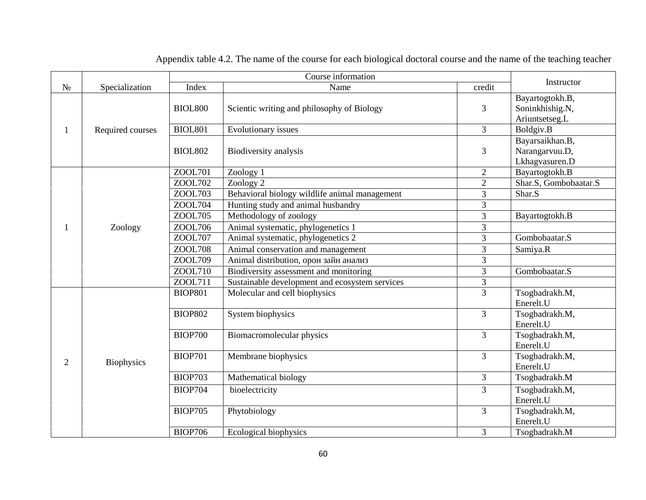|                |                   | Course information      |                                                |                |                       |
|----------------|-------------------|-------------------------|------------------------------------------------|----------------|-----------------------|
|                | Specialization    | Index<br>Name<br>credit |                                                | Instructor     |                       |
|                |                   |                         |                                                |                | Bayartogtokh.B,       |
|                |                   | <b>BIOL800</b>          | Scientic writing and philosophy of Biology     | 3              | Soninkhishig.N,       |
|                |                   |                         |                                                |                | Ariuntsetseg.L        |
|                | Required courses  | <b>BIOL801</b>          | Evolutionary issues                            | $\overline{3}$ | Boldgiv.B             |
|                |                   |                         |                                                |                | Bayarsaikhan.B,       |
|                |                   | <b>BIOL802</b>          | Biodiversity analysis                          | 3              | Narangarvuu.D,        |
|                |                   |                         |                                                |                | Lkhagvasuren.D        |
|                |                   | ZOOL701                 | Zoology 1                                      | $\overline{2}$ | Bayartogtokh.B        |
|                |                   | ZOOL702                 | Zoology 2                                      | $\overline{2}$ | Shar.S, Gombobaatar.S |
|                |                   | ZOOL703                 | Behavioral biology wildlife animal management  | 3              | Shar.S                |
|                |                   | ZOOL704                 | Hunting study and animal husbandry             | 3              |                       |
|                |                   | ZOOL705                 | Methodology of zoology                         | 3              | Bayartogtokh.B        |
|                | Zoology           | ZOOL706                 | Animal systematic, phylogenetics 1             | $\overline{3}$ |                       |
|                |                   | ZOOL707                 | Animal systematic, phylogenetics 2             | 3              | Gombobaatar.S         |
|                |                   | <b>ZOOL708</b>          | Animal conservation and management             | 3              | Samiya.R              |
|                |                   | ZOOL709                 | Animal distribution,                           | 3              |                       |
|                |                   | ZOOL710                 | Biodiversity assessment and monitoring         | 3              | Gombobaatar.S         |
|                |                   | ZOOL711                 | Sustainable development and ecosystem services | 3              |                       |
|                |                   | <b>BIOP801</b>          | Molecular and cell biophysics                  | $\overline{3}$ | Tsogbadrakh.M,        |
|                |                   |                         |                                                |                | Enerelt.U             |
|                |                   | <b>BIOP802</b>          | System biophysics                              | $\overline{3}$ | Tsogbadrakh.M,        |
|                |                   |                         |                                                |                | Enerelt.U             |
|                |                   | <b>BIOP700</b>          | Biomacromolecular physics                      | $\overline{3}$ | Tsogbadrakh.M,        |
|                |                   |                         |                                                |                | Enerelt.U             |
| $\overline{2}$ |                   | <b>BIOP701</b>          | Membrane biophysics                            | $\overline{3}$ | Tsogbadrakh.M,        |
|                | <b>Biophysics</b> |                         |                                                |                | Enerelt.U             |
|                |                   | <b>BIOP703</b>          | Mathematical biology                           | 3              | Tsogbadrakh.M         |
|                |                   | <b>BIOP704</b>          | bioelectricity                                 | 3              | Tsogbadrakh.M,        |
|                |                   |                         |                                                |                | Enerelt.U             |
|                |                   | <b>BIOP705</b>          | Phytobiology                                   | 3              | Tsogbadrakh.M,        |
|                |                   |                         |                                                |                | Enerelt.U             |
|                |                   | <b>BIOP706</b>          | Ecological biophysics                          | $\overline{3}$ | Tsogbadrakh.M         |

Appendix table 4.2. The name of the course for each biological doctoral course and the name of the teaching teacher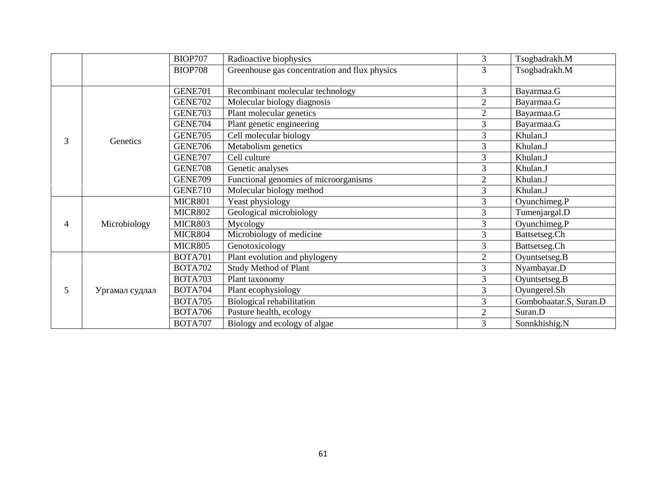|   |              | <b>BIOP707</b> | Radioactive biophysics                        | 3              | Tsogbadrakh.M          |
|---|--------------|----------------|-----------------------------------------------|----------------|------------------------|
|   |              | <b>BIOP708</b> | Greenhouse gas concentration and flux physics | $\overline{3}$ | Tsogbadrakh.M          |
|   |              |                |                                               |                |                        |
|   |              | <b>GENE701</b> | Recombinant molecular technology              | 3              | Bayarmaa.G             |
|   |              | <b>GENE702</b> | Molecular biology diagnosis                   | 2              | Bayarmaa.G             |
|   |              | <b>GENE703</b> | Plant molecular genetics                      | $\overline{2}$ | Bayarmaa.G             |
|   |              | <b>GENE704</b> | Plant genetic engineering                     | 3              | Bayarmaa.G             |
| 3 | Genetics     | <b>GENE705</b> | Cell molecular biology                        | 3              | Khulan.J               |
|   |              | <b>GENE706</b> | Metabolism genetics                           | 3              | Khulan.J               |
|   |              | <b>GENE707</b> | Cell culture                                  | 3              | Khulan.J               |
|   |              | <b>GENE708</b> | Genetic analyses                              | 3              | Khulan.J               |
|   |              | <b>GENE709</b> | Functional genomics of microorganisms         | 2              | Khulan.J               |
|   |              | GENE710        | Molecular biology method                      | 3              | Khulan.J               |
|   |              | <b>ICR801</b>  | Yeast physiology                              | 3              | Oyunchimeg.P           |
|   |              | <b>ICR802</b>  | Geological microbiology                       | 3              | Tumenjargal.D          |
| 4 | Microbiology | <b>ICR803</b>  | Mycology                                      | 3              | Oyunchimeg.P           |
|   |              | <b>ICR804</b>  | Microbiology of medicine                      | 3              | Battsetseg.Ch          |
|   |              | <b>ICR805</b>  | Genotoxicology                                | 3              | Battsetseg.Ch          |
|   |              | <b>BOTA701</b> | Plant evolution and phylogeny                 | $\overline{2}$ | Oyuntsetseg.B          |
|   |              | <b>BOTA702</b> | <b>Study Method of Plant</b>                  | 3              | Nyambayar.D            |
|   |              | <b>BOTA703</b> | Plant taxonomy                                | 3              | Oyuntsetseg.B          |
| 5 |              | <b>BOTA704</b> | Plant ecophysiology                           | 3              | Oyungerel.Sh           |
|   |              | <b>BOTA705</b> | Biological rehabilitation                     | 3              | Gombobaatar.S, Suran.D |
|   |              | <b>BOTA706</b> | Pasture health, ecology                       | $\overline{2}$ | Suran.D                |
|   |              | BOTA707        | Biology and ecology of algae                  | 3              | Sonnkhishig.N          |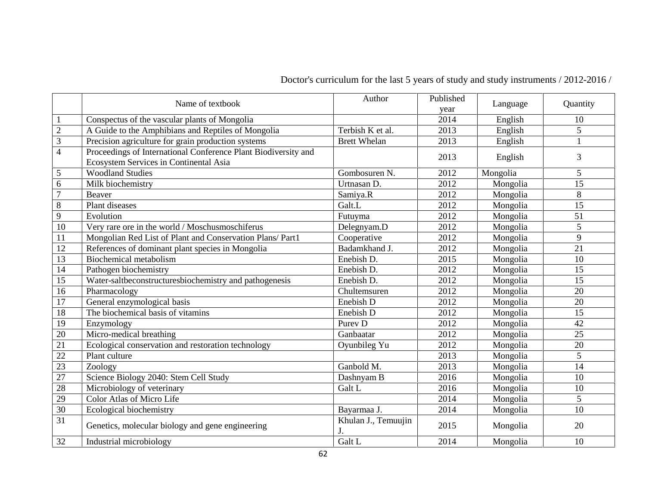|                | Name of textbook                                                                                         | Author                    | Published<br>year | Language | Quantity |
|----------------|----------------------------------------------------------------------------------------------------------|---------------------------|-------------------|----------|----------|
| $\mathbf{1}$   | Conspectus of the vascular plants of Mongolia                                                            |                           | 2014              | English  | 10       |
| $\sqrt{2}$     | A Guide to the Amphibians and Reptiles of Mongolia                                                       | Terbish K t al.           | 2013              | English  | 5        |
| 3              | Precision agriculture for grain production systems                                                       | <b>Brett Whelan</b>       | 2013              | English  | 1        |
| $\overline{4}$ | Proceedings of International Conference Plant Biodiversity and<br>Ecosystem Services in Continental Asia |                           | 2013              | English  | 3        |
| $\mathfrak{S}$ | <b>Woodland Studies</b>                                                                                  | Gombosuren N.             | 2012              | Mongolia | 5        |
| 6              | Milk biochemistry                                                                                        | Urtnasan D.               | 2012              | Mongolia | 15       |
| $\overline{7}$ | Beaver                                                                                                   | Samiya.R                  | 2012              | Mongolia | 8        |
| 8              | Plant diseases                                                                                           | Galt.L                    | 2012              | Mongolia | 15       |
| 9              | Evolution                                                                                                | Futuyma                   | 2012              | Mongolia | 51       |
| 10             | Very rare ore in the world / Moschusmoschiferus                                                          | Delegnyam.D               | 2012              | Mongolia | 5        |
| 11             | Mongolian Red List of Plant and Conservation Plans/ Part1                                                | Cooperative               | 2012              | Mongolia | 9        |
| 12             | References of dominant plant species in Mongolia                                                         | Badamkhand J.             | 2012              | Mongolia | 21       |
| 13             | <b>Biochemical metabolism</b>                                                                            | Enebish D.                | 2015              | Mongolia | 10       |
| 14             | Pathogen biochemistry                                                                                    | Enebish D.                | 2012              | Mongolia | 15       |
| 15             | Water-saltbeconstructuresbiochemistry and pathogenesis                                                   | Enebish D.                | 2012              | Mongolia | 15       |
| 16             | Pharmacology                                                                                             | Chultemsuren              | 2012              | Mongolia | 20       |
| 17             | General enzymological basis                                                                              | Enebish D                 | 2012              | Mongolia | 20       |
| 18             | The biochemical basis of vitamins                                                                        | Enebish D                 | 2012              | Mongolia | 15       |
| 19             | Enzymology                                                                                               | Purev <sub>D</sub>        | 2012              | Mongolia | 42       |
| 20             | Micro-medical breathing                                                                                  | Ganbaatar                 | 2012              | Mongolia | 25       |
| 21             | Ecological conservation and restoration technology                                                       | Oyunbileg Yu              | 2012              | Mongolia | 20       |
| 22             | Plant culture                                                                                            |                           | 2013              | Mongolia | 5        |
| 23             | Zoology                                                                                                  | Ganbold M.                | 2013              | Mongolia | 14       |
| 27             | Science Biology 2040: Stem Cell Study                                                                    | Dashnyam B                | 2016              | Mongolia | 10       |
| 28             | Microbiology of veterinary                                                                               | Galt L                    | 2016              | Mongolia | 10       |
| 29             | Color Atlas of Micro Life                                                                                |                           | 2014              | Mongolia | 5        |
| 30             | Ecological biochemistry                                                                                  | Bayarmaa J.               | 2014              | Mongolia | 10       |
| 31             | Genetics, molecular biology and gene engineering                                                         | Khulan J., Temuujin<br>J. | 2015              | Mongolia | 20       |
| 32             | Industrial microbiology                                                                                  | Galt L                    | 2014              | Mongolia | 10       |

Doctor's curriculum for the last 5 years of study and study instruments / 2012-2016 /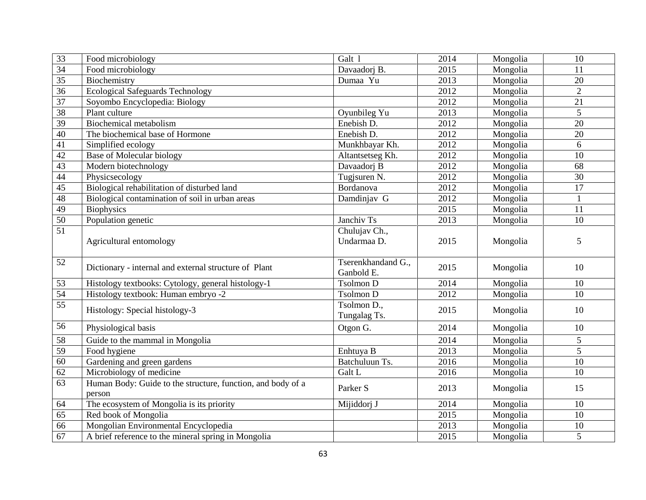| 33              | Food microbiology                                                     | Galt 1                           | 2014 | Mongolia | 10             |
|-----------------|-----------------------------------------------------------------------|----------------------------------|------|----------|----------------|
| 34              | Food microbiology                                                     | Davaadorj B.                     | 2015 | Mongolia | 11             |
| 35              | Biochemistry                                                          | Dumaa Yu                         | 2013 | Mongolia | 20             |
| 36              | <b>Ecological Safeguards Technology</b>                               |                                  | 2012 | Mongolia | $\overline{2}$ |
| $\overline{37}$ | Soyombo Encyclopedia: Biology                                         |                                  | 2012 | Mongolia | 21             |
| 38              | Plant culture                                                         | Oyunbileg Yu                     | 2013 | Mongolia | 5              |
| 39              | <b>Biochemical metabolism</b>                                         | Enebish D.                       | 2012 | Mongolia | 20             |
| 40              | The biochemical base of Hormone                                       | Enebish D.                       | 2012 | Mongolia | 20             |
| 41              | Simplified ecology                                                    | Munkhbayar Kh.                   | 2012 | Mongolia | 6              |
| 42              | Base of Molecular biology                                             | Altantsetseg Kh.                 | 2012 | Mongolia | 10             |
| 43              | Modern biotechnology                                                  | Davaadorj B                      | 2012 | Mongolia | 68             |
| 44              | Physicsecology                                                        | Tugjsuren N.                     | 2012 | Mongolia | 30             |
| 45              | Biological rehabilitation of disturbed land                           | Bordanova                        | 2012 | Mongolia | 17             |
| 48              | Biological contamination of soil in urban areas                       | Damdinjav G                      | 2012 | Mongolia | $\mathbf{1}$   |
| 49              | <b>Biophysics</b>                                                     |                                  | 2015 | Mongolia | 11             |
| 50              | Population genetic                                                    | Janchiv Ts                       | 2013 | Mongolia | 10             |
| 51              | Agricultural entomology                                               | Chulujav Ch.,<br>Undarmaa D.     | 2015 | Mongolia | 5              |
| 52              | Dictionary - internal and external structure of Plant                 | Tserenkhandand G.,<br>Ganbold E. | 2015 | Mongolia | 10             |
| 53              | Histology textbooks: Cytology, general histology-1                    | <b>Tsolmon D</b>                 | 2014 | Mongolia | 10             |
| 54              | Histology textbook: Human embryo -2                                   | Tsolmon D                        | 2012 | Mongolia | 10             |
| 55              | Histology: Special histology-3                                        | Tsolmon D.,<br>Tungalag Ts.      | 2015 | Mongolia | 10             |
| 56              | Physiological basis                                                   | Otgon G.                         | 2014 | Mongolia | 10             |
| 58              |                                                                       |                                  |      |          |                |
|                 |                                                                       |                                  | 2014 | Mongolia | 5              |
| 59              | Guide to the mammal in Mongolia<br>Food hygiene                       | Enhtuya B                        | 2013 | Mongolia | 5              |
| 60              | Gardening and green gardens                                           | Batchuluun Ts.                   | 2016 | Mongolia | 10             |
| 62              | Microbiology of medicine                                              | Galt L                           | 2016 | Mongolia | 10             |
| 63              | Human Body: Guide to the structure, function, and body of a<br>person | Parker S                         | 2013 | Mongolia | 15             |
| 64              | The ecosystem of Mongolia is its priority                             | Mijiddorj J                      | 2014 | Mongolia | 10             |
| 65              | Red book of Mongolia                                                  |                                  | 2015 | Mongolia | 10             |
| 66              | Mongolian Environmental Encyclopedia                                  |                                  | 2013 | Mongolia | 10             |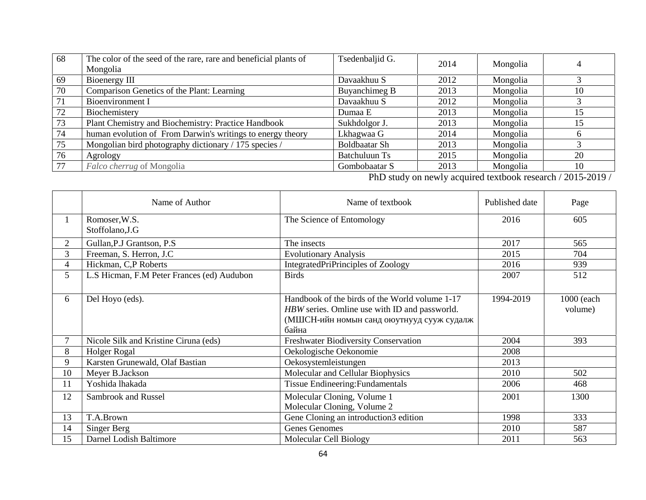| 68 | The color of the seed of the rare, rare and beneficial plants of<br>Mongolia | Tsedenbaljid G.      | 2014 | Mongolia | 4  |
|----|------------------------------------------------------------------------------|----------------------|------|----------|----|
| 69 | Bioenergy III                                                                | Davaakhuu S          | 2012 | Mongolia |    |
| 70 | Comparison Genetics of the Plant: Learning                                   | Buyanchimeg B        | 2013 | Mongolia | 10 |
| 71 | Bioenvironment I                                                             | Davaakhuu S          | 2012 | Mongolia |    |
| 72 | Biochemistery                                                                | Dumaa E              | 2013 | Mongolia | 15 |
| 73 | Plant Chemistry and Biochemistry: Practice Handbook                          | Sukhdolgor J.        | 2013 | Mongolia | 15 |
| 74 | human evolution of From Darwin's writings to energy theory                   | Lkhagwaa G           | 2014 | Mongolia |    |
| 75 | Mongolian bird photography dictionary / 175 species /                        | <b>Boldbaatar Sh</b> | 2013 | Mongolia |    |
| 76 | Agrology                                                                     | Batchuluun Ts        | 2015 | Mongolia | 20 |
| 77 | Falco cherrug of Mongolia                                                    | Gombobaatar S        | 2013 | Mongolia | 10 |

PhD study on newly acquired textbook research / 2015-2019 /

|                | Name of Author                             | Name of textbook                                                                                | Published date | Page                  |
|----------------|--------------------------------------------|-------------------------------------------------------------------------------------------------|----------------|-----------------------|
| 1              | Romoser, W.S.                              | The Science of Entomology                                                                       | 2016           | 605                   |
|                | Stoffolano, J.G                            |                                                                                                 |                |                       |
| $\overline{2}$ | Gullan, P.J Grantson, P.S.                 | The insects                                                                                     | 2017           | 565                   |
| 3              | Freeman, S. Herron, J.C                    | <b>Evolutionary Analysis</b>                                                                    | 2015           | 704                   |
| 4              | Hickman, C,P Roberts                       | IntegratedPriPrinciples of Zoology                                                              | 2016           | 939                   |
| 5              | L.S Hicman, F.M Peter Frances (ed) Audubon | <b>Birds</b>                                                                                    | 2007           | 512                   |
| 6              | Del Hoyo (eds).                            | Handbook of the birds of the World volume 1-17<br>HBW series. Omline use with ID and passworld. | 1994-2019      | 1000 (each<br>volume) |
|                | Nicole Silk and Kristine Ciruna (eds)      | Freshwater Biodiversity Conservation                                                            | 2004           | 393                   |
| 8              | Holger Rogal                               | Oekologische Oekonomie                                                                          | 2008           |                       |
| 9              | Karsten Grunewald, Olaf Bastian            | Oekosystemleistungen                                                                            | 2013           |                       |
| 10             | Meyer B.Jackson                            | Molecular and Cellular Biophysics                                                               | 2010           | 502                   |
| 11             | Yoshida lhakada                            | Tissue Endineering: Fundamentals                                                                | 2006           | 468                   |
| 12             | Sambrook and Russel                        | Molecular Cloning, Volume 1<br>Molecular Cloning, Volume 2                                      | 2001           | 1300                  |
| 13             | T.A.Brown                                  | Gene Cloning an introduction3 edition                                                           | 1998           | 333                   |
| 14             | Singer Berg                                | <b>Genes Genomes</b>                                                                            | 2010           | 587                   |
| 15             | Darnel Lodish Baltimore                    | Molecular Cell Biology                                                                          | 2011           | 563                   |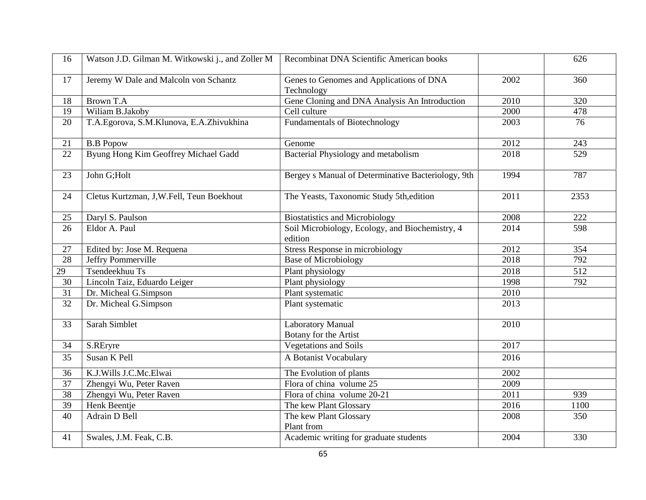| 16              | Watson J.D. Gilman M. Witkowski j., and Zoller M | Recombinat DNA Scientific American books                   |      | 626  |
|-----------------|--------------------------------------------------|------------------------------------------------------------|------|------|
| 17              | Jeremy W Dale and Malcoln von Schantz            | Genes to Genomes and Applications of DNA<br>Technology     | 2002 | 360  |
| 18              | <b>Brown T.A</b>                                 | Gene Cloning and DNA Analysis An Introduction              | 2010 | 320  |
| 19              | Wiliam B.Jakoby                                  | Cell culture                                               | 2000 | 478  |
| 20              | T.A.Egorova, S.M.Klunova, E.A.Zhivukhina         | <b>Fundamentals of Biotechnology</b>                       | 2003 | 76   |
| 21              | <b>B.B Popow</b>                                 | Genome                                                     | 2012 | 243  |
| 22              | Byung Hong Kim Geoffrey Michael Gadd             | Bacterial Physiology and metabolism                        | 2018 | 529  |
| 23              | John G; Holt                                     | Bergey s Manual of Determinative Bacteriology, 9th         | 1994 | 787  |
| 24              | Cletus Kurtzman, J,W.Fell, Teun Boekhout         | The Yeasts, Taxonomic Study 5th, edition                   | 2011 | 2353 |
| 25              | Daryl S. Paulson                                 | <b>Biostatistics and Microbiology</b>                      | 2008 | 222  |
| 26              | Eldor A. Paul                                    | Soil Microbiology, Ecology, and Biochemistry, 4<br>edition | 2014 | 598  |
| 27              | Edited by: Jose M. Requena                       | Stress Response in microbiology                            | 2012 | 354  |
| $\overline{28}$ | Jeffry Pommerville                               | <b>Base of Microbiology</b>                                | 2018 | 792  |
| 29              | Tsendeekhuu Ts                                   | Plant physiology                                           | 2018 | 512  |
| 30              | Lincoln Taiz, Eduardo Leiger                     | Plant physiology                                           | 1998 | 792  |
| 31              | Dr. Micheal G.Simpson                            | Plant systematic                                           | 2010 |      |
| 32              | Dr. Micheal G.Simpson                            | Plant systematic                                           | 2013 |      |
| 33              | Sarah Simblet                                    | <b>Laboratory Manual</b><br>Botany for the Artist          | 2010 |      |
| 34              | S.REryre                                         | <b>Vegetations and Soils</b>                               | 2017 |      |
| 35              | Susan K Pell                                     | A Botanist Vocabulary                                      | 2016 |      |
| 36              | K.J.Wills J.C.Mc.Elwai                           | The Evolution of plants                                    | 2002 |      |
| 37              | Zhengyi Wu, Peter Raven                          | Flora of china volume 25                                   | 2009 |      |
| 38              | Zhengyi Wu, Peter Raven                          | Flora of china volume 20-21                                | 2011 | 939  |
| 39              | Henk Beentje                                     | The kew Plant Glossary                                     | 2016 | 1100 |
| 40              | Adrain D Bell                                    | The kew Plant Glossary<br>Plant from                       | 2008 | 350  |
| 41              | Swales, J.M. Feak, C.B.                          | Academic writing for graduate students                     | 2004 | 330  |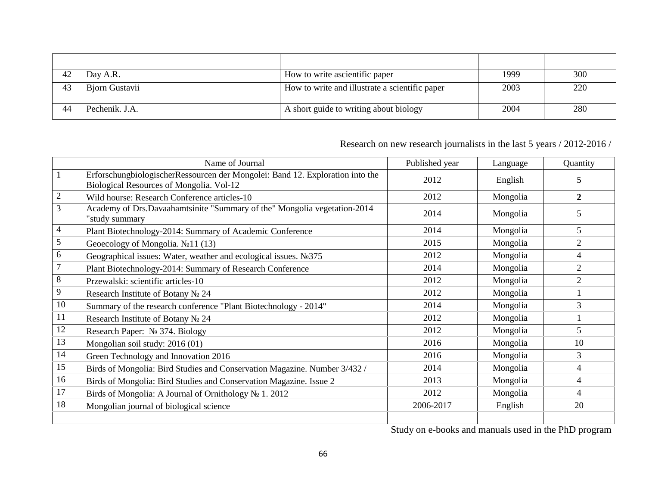|    | Day A.R.       | How to write ascientific paper                 | 1999 | 300 |
|----|----------------|------------------------------------------------|------|-----|
| 43 | Bjorn Gustavii | How to write and illustrate a scientific paper | 2003 | 220 |
| 44 | Pechenik. J.A. | A short guide to writing about biology         | 2004 | 280 |

# Research on new research journalists in the last 5 years / 2012-2016 /

|              | Name of Journal                                                                                                           | Published year | Language | Quantity         |
|--------------|---------------------------------------------------------------------------------------------------------------------------|----------------|----------|------------------|
|              | ErforschungbiologischerRessourcen der Mongolei: Band 12. Exploration into the<br>Biological Resources of Mongolia. Vol-12 | 2012           | English  | 5                |
| $\mathbf{2}$ | Wild hourse: Research Conference articles-10                                                                              | 2012           | Mongolia | $\boldsymbol{2}$ |
| 3            | Academy of Drs.Davaahamtsinite "Summary of the" Mongolia vegetation-2014<br>study summary"                                | 2014           | Mongolia | 5                |
| 4            | Plant Biotechnology-2014: Summary of Academic Conference                                                                  | 2014           | Mongolia | 5                |
| 5            | Geoecology of Mongolia.<br>11(13)                                                                                         | 2015           | Mongolia | $\overline{2}$   |
| 6            | Geographical issues: Water, weather and ecological issues.<br>375                                                         | 2012           | Mongolia | 4                |
|              | Plant Biotechnology-2014: Summary of Research Conference                                                                  | 2014           | Mongolia | 2                |
|              | Przewalski: scientific articles-10                                                                                        | 2012           | Mongolia | 2                |
| 9            | <b>Research Institute of Botany</b><br>24                                                                                 | 2012           | Mongolia |                  |
| 10           | Summary of the research conference "Plant Biotechnology - 2014"                                                           | 2014           | Mongolia | 3                |
| 11           | Research Institute of Botany<br>24                                                                                        | 2012           | Mongolia |                  |
| 12           | <b>Research Paper:</b><br>374. Biology                                                                                    | 2012           | Mongolia | 5                |
| 13           | Mongolian soil study: 2016 (01)                                                                                           | 2016           | Mongolia | 10               |
| 14           | Green Technology and Innovation 2016                                                                                      | 2016           | Mongolia | 3                |
| 15           | Birds of Mongolia: Bird Studies and Conservation Magazine. Number 3/432 /                                                 | 2014           | Mongolia | 4                |
| 16           | Birds of Mongolia: Bird Studies and Conservation Magazine. Issue 2                                                        | 2013           | Mongolia | 4                |
| 17           | Birds of Mongolia: A Journal of Ornithology<br>1.2012                                                                     | 2012           | Mongolia | $\overline{4}$   |
| 18           | Mongolian journal of biological science                                                                                   | 2006-2017      | English  | 20               |
|              |                                                                                                                           |                |          |                  |

Study on e-books and manuals used in the PhD program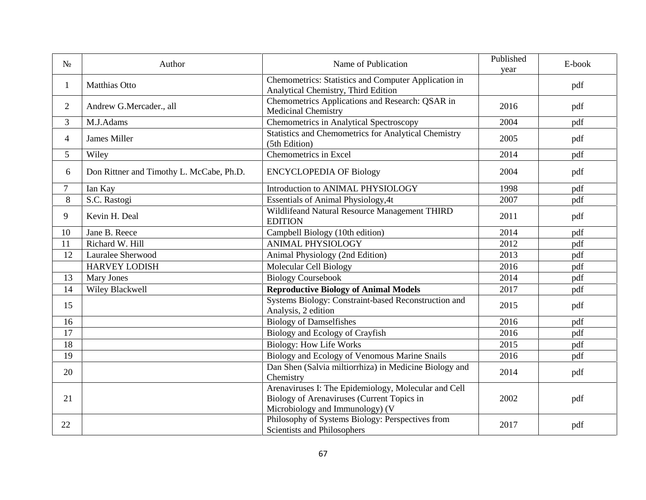|                | Author                                   | Name of Publication                                                                                                                   | Published<br>year | E-book |
|----------------|------------------------------------------|---------------------------------------------------------------------------------------------------------------------------------------|-------------------|--------|
| 1              | <b>Matthias Otto</b>                     | Chemometrics: Statistics and Computer Application in<br>Analytical Chemistry, Third Edition                                           |                   | pdf    |
| 2              | Andrew G.Mercader., all                  | Chemometrics Applications and Research: QSAR in<br><b>Medicinal Chemistry</b>                                                         | 2016              | pdf    |
| 3              | M.J.Adams                                | Chemometrics in Analytical Spectroscopy                                                                                               | 2004              | pdf    |
| 4              | <b>James Miller</b>                      | <b>Statistics and Chemometrics for Analytical Chemistry</b><br>(5th Edition)                                                          | 2005              | pdf    |
| 5              | Wiley                                    | Chemometrics in Excel                                                                                                                 | 2014              | pdf    |
| 6              | Don Rittner and Timothy L. McCabe, Ph.D. | <b>ENCYCLOPEDIA OF Biology</b>                                                                                                        | 2004              | pdf    |
| $\overline{7}$ | Ian Kay                                  | Introduction to ANIMAL PHYSIOLOGY                                                                                                     | 1998              | pdf    |
| 8              | S.C. Rastogi                             | <b>Essentials of Animal Physiology, 4t</b>                                                                                            | 2007              | pdf    |
| 9              | Kevin H. Deal                            | Wildlifeand Natural Resource Management THIRD<br><b>EDITION</b>                                                                       | 2011              | pdf    |
| 10             | Jane B. Reece                            | Campbell Biology (10th edition)                                                                                                       | 2014              | pdf    |
| 11             | Richard W. Hill                          | <b>ANIMAL PHYSIOLOGY</b>                                                                                                              | 2012              | pdf    |
| 12             | Lauralee Sherwood                        | Animal Physiology (2nd Edition)                                                                                                       | 2013              | pdf    |
|                | <b>HARVEY LODISH</b>                     | Molecular Cell Biology                                                                                                                | 2016              | pdf    |
| 13             | <b>Mary Jones</b>                        | <b>Biology Coursebook</b>                                                                                                             | 2014              | pdf    |
| 14             | Wiley Blackwell                          | <b>Reproductive Biology of Animal Models</b>                                                                                          | 2017              | pdf    |
| 15             |                                          | Systems Biology: Constraint-based Reconstruction and<br>Analysis, 2 edition                                                           | 2015              | pdf    |
| 16             |                                          | <b>Biology of Damselfishes</b>                                                                                                        | 2016              | pdf    |
| 17             |                                          | Biology and Ecology of Crayfish                                                                                                       | 2016              | pdf    |
| 18             |                                          | <b>Biology: How Life Works</b>                                                                                                        | 2015              | pdf    |
| 19             |                                          | Biology and Ecology of Venomous Marine Snails                                                                                         | 2016              | pdf    |
| 20             |                                          | Dan Shen (Salvia miltiorrhiza) in Medicine Biology and<br>Chemistry                                                                   | 2014              | pdf    |
| 21             |                                          | Arenaviruses I: The Epidemiology, Molecular and Cell<br>Biology of Arenaviruses (Current Topics in<br>Microbiology and Immunology) (V | 2002              | pdf    |
| 22             |                                          | Philosophy of Systems Biology: Perspectives from<br><b>Scientists and Philosophers</b>                                                | 2017              | pdf    |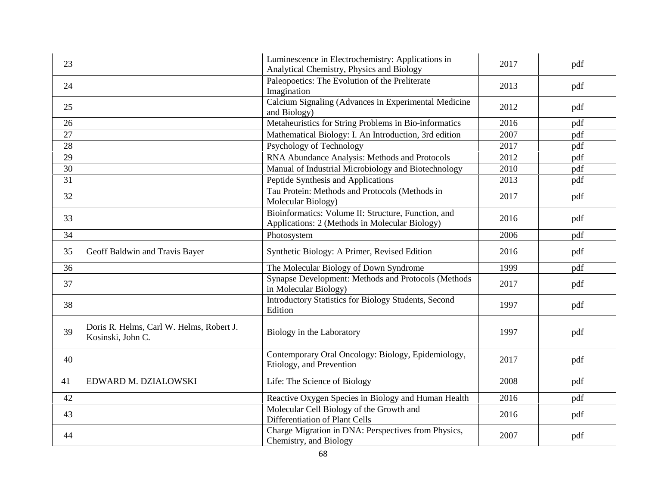| 23 |                                                               | Luminescence in Electrochemistry: Applications in<br>Analytical Chemistry, Physics and Biology        | 2017 | pdf |
|----|---------------------------------------------------------------|-------------------------------------------------------------------------------------------------------|------|-----|
| 24 |                                                               | Paleopoetics: The Evolution of the Preliterate<br>Imagination                                         | 2013 | pdf |
| 25 |                                                               | Calcium Signaling (Advances in Experimental Medicine<br>and Biology)                                  | 2012 | pdf |
| 26 |                                                               | Metaheuristics for String Problems in Bio-informatics                                                 | 2016 | pdf |
| 27 |                                                               | Mathematical Biology: I. An Introduction, 3rd edition                                                 | 2007 | pdf |
| 28 |                                                               | Psychology of Technology                                                                              | 2017 | pdf |
| 29 |                                                               | RNA Abundance Analysis: Methods and Protocols                                                         | 2012 | pdf |
| 30 |                                                               | Manual of Industrial Microbiology and Biotechnology                                                   | 2010 | pdf |
| 31 |                                                               | Peptide Synthesis and Applications                                                                    | 2013 | pdf |
| 32 |                                                               | Tau Protein: Methods and Protocols (Methods in<br>Molecular Biology)                                  | 2017 | pdf |
| 33 |                                                               | Bioinformatics: Volume II: Structure, Function, and<br>Applications: 2 (Methods in Molecular Biology) | 2016 | pdf |
| 34 |                                                               | Photosystem                                                                                           | 2006 | pdf |
| 35 | Geoff Baldwin and Travis Bayer                                | Synthetic Biology: A Primer, Revised Edition                                                          | 2016 | pdf |
| 36 |                                                               | The Molecular Biology of Down Syndrome                                                                | 1999 | pdf |
| 37 |                                                               | Synapse Development: Methods and Protocols (Methods<br>in Molecular Biology)                          | 2017 | pdf |
| 38 |                                                               | Introductory Statistics for Biology Students, Second<br>Edition                                       | 1997 | pdf |
| 39 | Doris R. Helms, Carl W. Helms, Robert J.<br>Kosinski, John C. | Biology in the Laboratory                                                                             | 1997 | pdf |
| 40 |                                                               | Contemporary Oral Oncology: Biology, Epidemiology,<br>Etiology, and Prevention                        | 2017 | pdf |
| 41 | EDWARD M. DZIALOWSKI                                          | Life: The Science of Biology                                                                          | 2008 | pdf |
| 42 |                                                               | Reactive Oxygen Species in Biology and Human Health                                                   | 2016 | pdf |
| 43 |                                                               | Molecular Cell Biology of the Growth and<br>Differentiation of Plant Cells                            | 2016 | pdf |
| 44 |                                                               | Charge Migration in DNA: Perspectives from Physics,<br>Chemistry, and Biology                         | 2007 | pdf |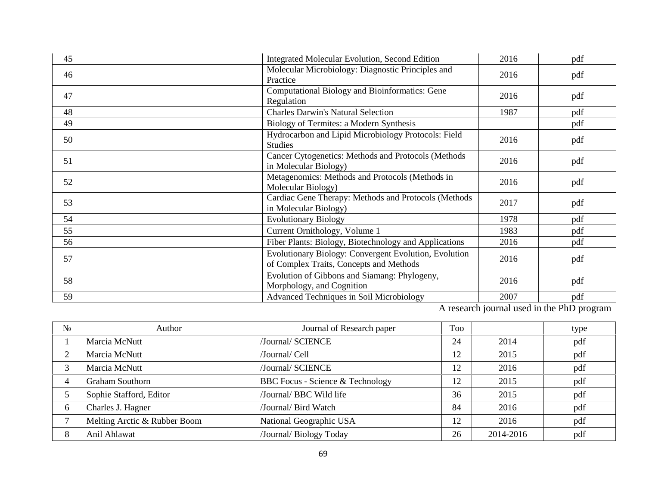| 45 | <b>Integrated Molecular Evolution, Second Edition</b>                                            | 2016 | pdf |
|----|--------------------------------------------------------------------------------------------------|------|-----|
| 46 | Molecular Microbiology: Diagnostic Principles and<br>Practice                                    | 2016 | pdf |
| 47 | Computational Biology and Bioinformatics: Gene<br>Regulation                                     | 2016 | pdf |
| 48 | <b>Charles Darwin's Natural Selection</b>                                                        | 1987 | pdf |
| 49 | Biology of Termites: a Modern Synthesis                                                          |      | pdf |
| 50 | Hydrocarbon and Lipid Microbiology Protocols: Field<br><b>Studies</b>                            | 2016 | pdf |
| 51 | Cancer Cytogenetics: Methods and Protocols (Methods<br>in Molecular Biology)                     | 2016 | pdf |
| 52 | Metagenomics: Methods and Protocols (Methods in<br>Molecular Biology)                            | 2016 | pdf |
| 53 | Cardiac Gene Therapy: Methods and Protocols (Methods)<br>in Molecular Biology)                   | 2017 | pdf |
| 54 | <b>Evolutionary Biology</b>                                                                      | 1978 | pdf |
| 55 | Current Ornithology, Volume 1                                                                    | 1983 | pdf |
| 56 | Fiber Plants: Biology, Biotechnology and Applications                                            | 2016 | pdf |
| 57 | Evolutionary Biology: Convergent Evolution, Evolution<br>of Complex Traits, Concepts and Methods | 2016 | pdf |
| 58 | Evolution of Gibbons and Siamang: Phylogeny,<br>Morphology, and Cognition                        | 2016 | pdf |
| 59 | Advanced Techniques in Soil Microbiology                                                         | 2007 | pdf |

A research journal used in the PhD program

|   | Author                       | Journal of Research paper        |    |           | type |
|---|------------------------------|----------------------------------|----|-----------|------|
|   | Marcia McNutt                | /Journal/ SCIENCE                | 24 | 2014      | pdf  |
|   | Marcia McNutt                | /Journal/ Cell                   | 12 | 2015      | pdf  |
|   | Marcia McNutt                | /Journal/ SCIENCE                | 12 | 2016      | pdf  |
|   | <b>Graham Southorn</b>       | BBC Focus - Science & Technology | 12 | 2015      | pdf  |
|   | Sophie Stafford, Editor      | /Journal/ BBC Wild life          | 36 | 2015      | pdf  |
| 6 | Charles J. Hagner            | /Journal/ Bird Watch             | 84 | 2016      | pdf  |
|   | Melting Arctic & Rubber Boom | National Geographic USA          | 12 | 2016      | pdf  |
| 8 | Anil Ahlawat                 | /Journal/ Biology Today          | 26 | 2014-2016 | pdf  |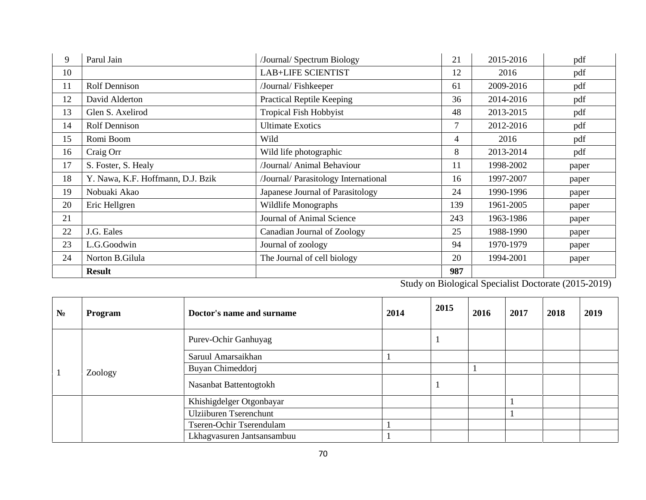| 9  | Parul Jain                        | /Journal/ Spectrum Biology           | 21     | 2015-2016 | pdf   |
|----|-----------------------------------|--------------------------------------|--------|-----------|-------|
| 10 |                                   | <b>LAB+LIFE SCIENTIST</b>            | 12     | 2016      | pdf   |
| 11 | Rolf Dennison                     | /Journal/Fishkeeper                  | 61     | 2009-2016 | pdf   |
| 12 | David Alderton                    | <b>Practical Reptile Keeping</b>     | 36     | 2014-2016 | pdf   |
| 13 | Glen S. Axelirod                  | <b>Tropical Fish Hobbyist</b>        | 48     | 2013-2015 | pdf   |
| 14 | Rolf Dennison                     | <b>Ultimate Exotics</b>              | $\tau$ | 2012-2016 | pdf   |
| 15 | Romi Boom                         | Wild                                 | 4      | 2016      | pdf   |
| 16 | Craig Orr                         | Wild life photographic               | 8      | 2013-2014 | pdf   |
| 17 | S. Foster, S. Healy               | /Journal/ Animal Behaviour           | 11     | 1998-2002 | paper |
| 18 | Y. Nawa, K.F. Hoffmann, D.J. Bzik | /Journal/ Parasitology International | 16     | 1997-2007 | paper |
| 19 | Nobuaki Akao                      | Japanese Journal of Parasitology     | 24     | 1990-1996 | paper |
| 20 | Eric Hellgren                     | Wildlife Monographs                  | 139    | 1961-2005 | paper |
| 21 |                                   | Journal of Animal Science            | 243    | 1963-1986 | paper |
| 22 | J.G. Eales                        | Canadian Journal of Zoology          | 25     | 1988-1990 | paper |
| 23 | L.G.Goodwin                       | Journal of zoology                   | 94     | 1970-1979 | paper |
| 24 | Norton B.Gilula                   | The Journal of cell biology          | 20     | 1994-2001 | paper |
|    | <b>Result</b>                     |                                      | 987    |           |       |

Study on Biological Specialist Doctorate (2015-2019)

|  | Program | Doctor's name and surname     | 2014 | 2015 | 2016 | 2017 | 2018 | 2019 |
|--|---------|-------------------------------|------|------|------|------|------|------|
|  |         | Purev-Ochir Ganhuyag          |      |      |      |      |      |      |
|  |         | Saruul Amarsaikhan            |      |      |      |      |      |      |
|  | Zoology | Buyan Chimeddorj              |      |      |      |      |      |      |
|  |         | Nasanbat Battentogtokh        |      |      |      |      |      |      |
|  |         | Khishigdelger Otgonbayar      |      |      |      |      |      |      |
|  |         | <b>Ulziiburen Tserenchunt</b> |      |      |      |      |      |      |
|  |         | Tseren-Ochir Tserendulam      |      |      |      |      |      |      |
|  |         | Lkhagvasuren Jantsansambuu    |      |      |      |      |      |      |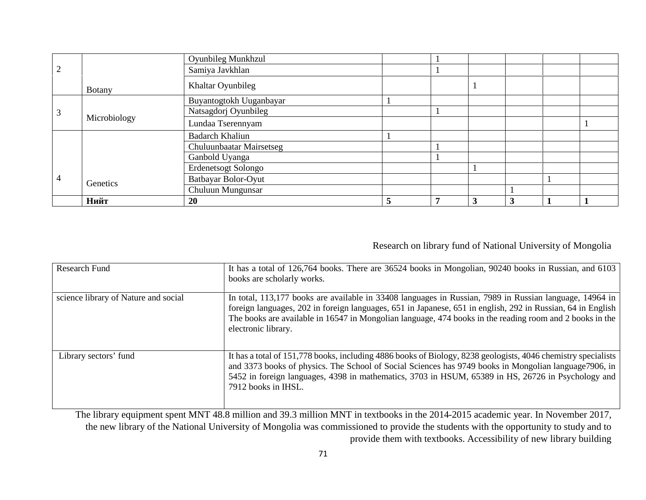|              |               | <b>Oyunbileg Munkhzul</b> |  |   |   |  |
|--------------|---------------|---------------------------|--|---|---|--|
|              |               | Samiya Javkhlan           |  |   |   |  |
|              | <b>Botany</b> | Khaltar Oyunbileg         |  |   |   |  |
|              |               | Buyantogtokh Uuganbayar   |  |   |   |  |
|              |               | Natsagdorj Oyunbileg      |  |   |   |  |
| Microbiology |               | Lundaa Tserennyam         |  |   |   |  |
|              |               | <b>Badarch Khaliun</b>    |  |   |   |  |
|              |               | Chuluunbaatar Mairsetseg  |  |   |   |  |
|              |               | Ganbold Uyanga            |  |   |   |  |
|              |               | Erdenetsogt Solongo       |  |   |   |  |
|              | Genetics      | Batbayar Bolor-Oyut       |  |   |   |  |
|              |               | Chuluun Mungunsar         |  |   |   |  |
|              |               | 20                        |  | 3 | 3 |  |

#### Research on library fund of National University of Mongolia

| Research Fund                        | It has a total of 126,764 books. There are 36524 books in Mongolian, 90240 books in Russian, and 6103<br>books are scholarly works.                                                                                                                                                                                                                       |
|--------------------------------------|-----------------------------------------------------------------------------------------------------------------------------------------------------------------------------------------------------------------------------------------------------------------------------------------------------------------------------------------------------------|
| science library of Nature and social | In total, 113,177 books are available in 33408 languages in Russian, 7989 in Russian language, 14964 in<br>foreign languages, 202 in foreign languages, 651 in Japanese, 651 in english, 292 in Russian, 64 in English<br>The books are available in 16547 in Mongolian language, 474 books in the reading room and 2 books in the<br>electronic library. |
| Library sectors' fund                | It has a total of 151,778 books, including 4886 books of Biology, 8238 geologists, 4046 chemistry specialists<br>and 3373 books of physics. The School of Social Sciences has 9749 books in Mongolian language 7906, in<br>5452 in foreign languages, 4398 in mathematics, 3703 in HSUM, 65389 in HS, 26726 in Psychology and<br>7912 books in IHSL.      |

The library equipment spent MNT 48.8 million and 39.3 million MNT in textbooks in the 2014-2015 academic year. In November 2017, the new library of the National University of Mongolia was commissioned to provide the students with the opportunity to study and to provide them with textbooks. Accessibility of new library building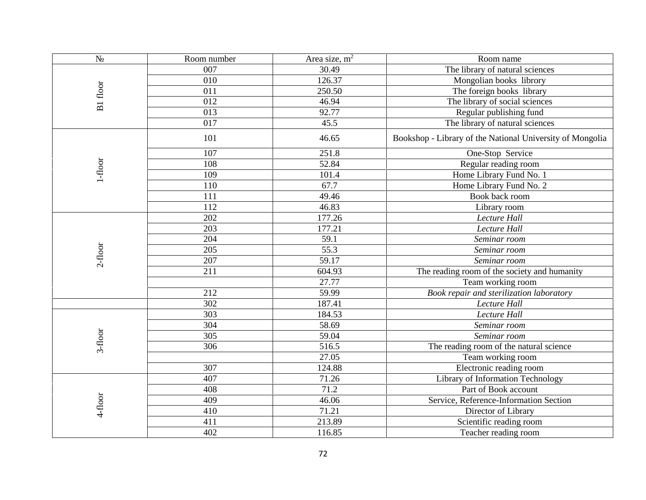|                  | Room number | Area size, $m2$ | Room name                                                 |
|------------------|-------------|-----------------|-----------------------------------------------------------|
|                  | 007         | 30.49           | The library of natural sciences                           |
|                  | 010         | 126.37          | Mongolian books librory                                   |
| 1 floor          | 011         | 250.50          | The foreign books library                                 |
|                  | 012         | 46.94           | The library of social sciences                            |
|                  | 013         | 92.77           | Regular publishing fund                                   |
|                  | 017         | 45.5            | The library of natural sciences                           |
|                  | 101         | 46.65           | Bookshop - Library of the National University of Mongolia |
|                  | 107         | 251.8           | One-Stop Service                                          |
| $1-\text{floor}$ | 108         | 52.84           | Regular reading room                                      |
|                  | 109         | 101.4           | Home Library Fund No. 1                                   |
|                  | 110         | 67.7            | Home Library Fund No. 2                                   |
|                  | 111         | 49.46           | Book back room                                            |
|                  | 112         | 46.83           | Library room                                              |
|                  | 202         | 177.26          | Lecture<br>ll                                             |
|                  | 203         | 177.21          | ll<br>Lecture                                             |
|                  | 204         | 59.1            | Seminar room                                              |
| 2-floor          | 205         | 55.3            | Seminar room                                              |
|                  | 207         | 59.17           | Seminar room                                              |
|                  | 211         | 604.93          | The reading room of the society and humanity              |
|                  |             | 27.77           | Team working room                                         |
|                  | 212         | 59.99           | Book repair and sterilization laboratory                  |
|                  | 302         | 187.41          | Lecture<br>ll                                             |
|                  | 303         | 184.53          | $\overline{ll}$<br>Lecture                                |
|                  | 304         | 58.69           | Seminar room                                              |
| 3-floor          | 305         | 59.04           | Seminar room                                              |
|                  | 306         | 516.5           | The reading room of the natural science                   |
|                  |             | 27.05           | Team working room                                         |
|                  | 307         | 124.88          | Electronic reading room                                   |
|                  | 407         | 71.26           | Library of Information Technology                         |
|                  | 408         | 71.2            | Part of Book account                                      |
| 4-floor          | 409         | 46.06           | Service, Reference-Information Section                    |
|                  | 410         | 71.21           | Director of Library                                       |
|                  | 411         | 213.89          | Scientific reading room                                   |
|                  | 402         | 116.85          | Teacher reading room                                      |